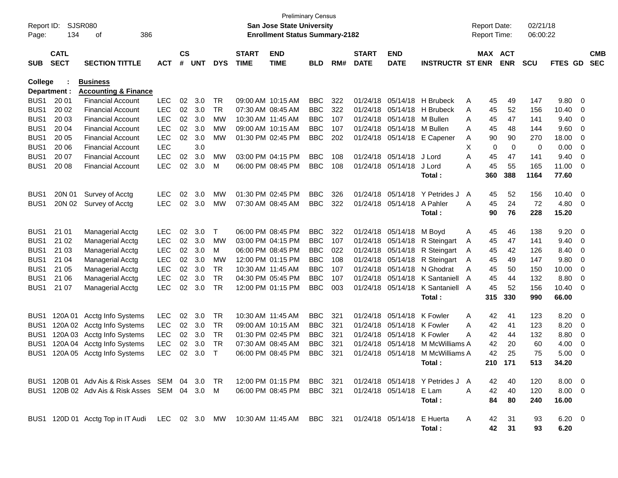| Report ID:<br>Page:                  | 134                        | SJSR080<br>386<br>οf                                                      |                          |                    |            |            |                             | <b>Preliminary Census</b><br>San Jose State University<br><b>Enrollment Status Summary-2182</b> |                          |            |                             |                               |                                  |        | <b>Report Date:</b><br><b>Report Time:</b> |            | 02/21/18<br>06:00:22 |                        |        |                          |
|--------------------------------------|----------------------------|---------------------------------------------------------------------------|--------------------------|--------------------|------------|------------|-----------------------------|-------------------------------------------------------------------------------------------------|--------------------------|------------|-----------------------------|-------------------------------|----------------------------------|--------|--------------------------------------------|------------|----------------------|------------------------|--------|--------------------------|
| <b>SUB</b>                           | <b>CATL</b><br><b>SECT</b> | <b>SECTION TITTLE</b>                                                     | <b>ACT</b>               | $\mathsf{cs}$<br># | <b>UNT</b> | <b>DYS</b> | <b>START</b><br><b>TIME</b> | <b>END</b><br><b>TIME</b>                                                                       | <b>BLD</b>               | RM#        | <b>START</b><br><b>DATE</b> | <b>END</b><br><b>DATE</b>     | <b>INSTRUCTR ST ENR</b>          |        | MAX ACT                                    | <b>ENR</b> | <b>SCU</b>           | FTES GD                |        | <b>CMB</b><br><b>SEC</b> |
| College                              |                            | <b>Business</b>                                                           |                          |                    |            |            |                             |                                                                                                 |                          |            |                             |                               |                                  |        |                                            |            |                      |                        |        |                          |
|                                      | Department :               | <b>Accounting &amp; Finance</b>                                           |                          |                    |            |            |                             |                                                                                                 |                          |            |                             |                               |                                  |        |                                            |            |                      |                        |        |                          |
| BUS <sub>1</sub>                     | 20 01                      | <b>Financial Account</b>                                                  | <b>LEC</b>               | 02                 | 3.0        | TR         | 09:00 AM 10:15 AM           |                                                                                                 | <b>BBC</b>               | 322        | 01/24/18                    | 05/14/18                      | <b>H</b> Brubeck                 | Α      | 45                                         | 49         | 147                  | 9.80                   | 0      |                          |
| BUS <sub>1</sub>                     | 20 02                      | <b>Financial Account</b>                                                  | <b>LEC</b>               | 02                 | 3.0        | <b>TR</b>  | 07:30 AM 08:45 AM           |                                                                                                 | <b>BBC</b>               | 322        | 01/24/18                    | 05/14/18                      | H Brubeck                        | Α      | 45                                         | 52         | 156                  | 10.40                  | 0      |                          |
| BUS <sub>1</sub><br>BUS <sub>1</sub> | 20 03<br>20 04             | <b>Financial Account</b><br><b>Financial Account</b>                      | <b>LEC</b><br><b>LEC</b> | 02<br>02           | 3.0        | MW<br>МW   | 09:00 AM 10:15 AM           | 10:30 AM 11:45 AM                                                                               | <b>BBC</b><br><b>BBC</b> | 107<br>107 | 01/24/18<br>01/24/18        | 05/14/18<br>05/14/18 M Bullen | M Bullen                         | A      | 45                                         | 47<br>48   | 141<br>144           | 9.40<br>9.60           | 0      |                          |
| BUS <sub>1</sub>                     | 20 05                      | <b>Financial Account</b>                                                  | <b>LEC</b>               | 02                 | 3.0<br>3.0 | MW         |                             | 01:30 PM 02:45 PM                                                                               | <b>BBC</b>               | 202        | 01/24/18                    | 05/14/18                      | E Capener                        | A<br>Α | 45<br>90                                   | 90         | 270                  | 18.00                  | 0<br>0 |                          |
| BUS <sub>1</sub>                     | 20 06                      | <b>Financial Account</b>                                                  | <b>LEC</b>               |                    | 3.0        |            |                             |                                                                                                 |                          |            |                             |                               |                                  | X      | 0                                          | 0          | 0                    | 0.00                   | 0      |                          |
| BUS <sub>1</sub>                     | 20 07                      | <b>Financial Account</b>                                                  | <b>LEC</b>               | 02                 | 3.0        | МW         |                             | 03:00 PM 04:15 PM                                                                               | <b>BBC</b>               | 108        | 01/24/18                    | 05/14/18                      | J Lord                           | A      | 45                                         | 47         | 141                  | 9.40                   | 0      |                          |
| BUS <sub>1</sub>                     | 20 08                      | <b>Financial Account</b>                                                  | <b>LEC</b>               | 02                 | 3.0        | M          |                             | 06:00 PM 08:45 PM                                                                               | <b>BBC</b>               | 108        | 01/24/18                    | 05/14/18                      | J Lord                           | A      | 45                                         | 55         | 165                  | 11.00                  | 0      |                          |
|                                      |                            |                                                                           |                          |                    |            |            |                             |                                                                                                 |                          |            |                             |                               | Total:                           |        | 360                                        | 388        | 1164                 | 77.60                  |        |                          |
|                                      |                            |                                                                           |                          |                    |            |            |                             |                                                                                                 |                          |            |                             |                               |                                  |        |                                            |            |                      |                        |        |                          |
| BUS <sub>1</sub>                     | 20N 01                     | Survey of Acctg                                                           | <b>LEC</b>               | 02                 | 3.0        | МW         |                             | 01:30 PM 02:45 PM                                                                               | <b>BBC</b>               | 326        | 01/24/18                    | 05/14/18                      | Y Petrides J                     | A      | 45                                         | 52         | 156                  | 10.40                  | 0      |                          |
| BUS <sub>1</sub>                     | 20N 02                     | Survey of Acctg                                                           | <b>LEC</b>               | 02                 | 3.0        | MW         | 07:30 AM 08:45 AM           |                                                                                                 | <b>BBC</b>               | 322        | 01/24/18                    | 05/14/18                      | A Pahler                         | A      | 45                                         | 24         | 72                   | 4.80                   | 0      |                          |
|                                      |                            |                                                                           |                          |                    |            |            |                             |                                                                                                 |                          |            |                             |                               | Total:                           |        | 90                                         | 76         | 228                  | 15.20                  |        |                          |
| BUS <sub>1</sub>                     | 21 01                      | <b>Managerial Acctg</b>                                                   | <b>LEC</b>               | 02                 | 3.0        | Т          |                             | 06:00 PM 08:45 PM                                                                               | <b>BBC</b>               | 322        | 01/24/18                    | 05/14/18                      | M Boyd                           | A      | 45                                         | 46         | 138                  | 9.20                   | 0      |                          |
| BUS <sub>1</sub>                     | 21 02                      | <b>Managerial Acctg</b>                                                   | <b>LEC</b>               | 02                 | 3.0        | MW         |                             | 03:00 PM 04:15 PM                                                                               | <b>BBC</b>               | 107        | 01/24/18                    | 05/14/18                      | R Steingart                      | A      | 45                                         | 47         | 141                  | 9.40                   | 0      |                          |
| BUS <sub>1</sub>                     | 21 03                      | Managerial Acctg                                                          | <b>LEC</b>               | 02                 | 3.0        | М          |                             | 06:00 PM 08:45 PM                                                                               | <b>BBC</b>               | 022        | 01/24/18                    | 05/14/18                      | R Steingart                      | A      | 45                                         | 42         | 126                  | 8.40                   | 0      |                          |
| BUS <sub>1</sub>                     | 21 04                      | <b>Managerial Acctg</b>                                                   | LEC                      | 02                 | 3.0        | MW         |                             | 12:00 PM 01:15 PM                                                                               | <b>BBC</b>               | 108        | 01/24/18                    | 05/14/18                      | R Steingart                      | A      | 45                                         | 49         | 147                  | 9.80                   | 0      |                          |
| BUS <sub>1</sub>                     | 21 05                      | <b>Managerial Acctg</b>                                                   | LEC                      | 02                 | 3.0        | <b>TR</b>  | 10:30 AM 11:45 AM           |                                                                                                 | <b>BBC</b>               | 107        | 01/24/18                    | 05/14/18                      | N Ghodrat                        | A      | 45                                         | 50         | 150                  | 10.00                  | 0      |                          |
| BUS <sub>1</sub>                     | 21 06                      | <b>Managerial Acctg</b>                                                   | <b>LEC</b>               | 02                 | 3.0        | <b>TR</b>  |                             | 04:30 PM 05:45 PM                                                                               | <b>BBC</b>               | 107        | 01/24/18                    | 05/14/18                      | K Santaniell                     | A      | 45                                         | 44         | 132                  | 8.80                   | 0      |                          |
| BUS <sub>1</sub>                     | 21 07                      | <b>Managerial Acctg</b>                                                   | <b>LEC</b>               | 02                 | 3.0        | TR         |                             | 12:00 PM 01:15 PM                                                                               | <b>BBC</b>               | 003        | 01/24/18                    | 05/14/18                      | K Santaniell                     | A      | 45                                         | 52         | 156                  | 10.40                  | 0      |                          |
|                                      |                            |                                                                           |                          |                    |            |            |                             |                                                                                                 |                          |            |                             |                               | Total:                           |        | 315                                        | 330        | 990                  | 66.00                  |        |                          |
|                                      |                            |                                                                           |                          |                    |            |            |                             |                                                                                                 |                          |            |                             |                               |                                  |        |                                            |            |                      |                        |        |                          |
| BUS <sub>1</sub>                     | 120A 01                    | Acctg Info Systems                                                        | <b>LEC</b>               | 02                 | 3.0        | TR         |                             | 10:30 AM 11:45 AM                                                                               | <b>BBC</b>               | 321        | 01/24/18                    | 05/14/18                      | K Fowler                         | A      | 42                                         | 41         | 123                  | 8.20                   | 0      |                          |
| BUS <sub>1</sub>                     | 120A 02                    | Acctg Info Systems                                                        | <b>LEC</b>               | 02                 | 3.0        | TR         | 09:00 AM 10:15 AM           |                                                                                                 | <b>BBC</b>               | 321        | 01/24/18                    | 05/14/18                      | K Fowler                         | A      | 42                                         | 41         | 123                  | 8.20                   | 0      |                          |
| BUS <sub>1</sub>                     | 120A03                     | Acctg Info Systems                                                        | LEC                      | 02                 | 3.0        | <b>TR</b>  |                             | 01:30 PM 02:45 PM                                                                               | <b>BBC</b>               | 321        | 01/24/18                    | 05/14/18                      | K Fowler                         | A      | 42                                         | 44         | 132                  | 8.80                   | 0      |                          |
| BUS <sub>1</sub>                     | 120A 04                    | Acctg Info Systems                                                        | <b>LEC</b>               | 02                 | 3.0        | TR         | 07:30 AM 08:45 AM           |                                                                                                 | <b>BBC</b>               | 321        | 01/24/18                    | 05/14/18                      | M McWilliams A<br>M McWilliams A |        | 42                                         | 20         | 60                   | 4.00                   | 0      |                          |
| BUS <sub>1</sub>                     | 120A 05                    | Acctg Info Systems                                                        | <b>LEC</b>               | 02                 | 3.0        | $\top$     |                             | 06:00 PM 08:45 PM                                                                               | <b>BBC</b>               | 321        | 01/24/18                    | 05/14/18                      | Total :                          |        | 42<br>210                                  | 25<br>171  | 75<br>513            | 5.00<br>34.20          | 0      |                          |
|                                      |                            |                                                                           |                          |                    |            |            |                             |                                                                                                 |                          |            |                             |                               |                                  |        |                                            |            |                      |                        |        |                          |
|                                      |                            | BUS1 120B 01 Adv Ais & Risk Asses SEM 04 3.0 TR                           |                          |                    |            |            |                             | 12:00 PM 01:15 PM BBC 321                                                                       |                          |            |                             |                               | 01/24/18 05/14/18 Y Petrides J A |        | 42                                         | 40         | 120                  | $8.00 \ 0$             |        |                          |
|                                      |                            | BUS1 120B 02 Adv Ais & Risk Asses SEM 04 3.0 M                            |                          |                    |            |            |                             | 06:00 PM 08:45 PM                                                                               | BBC 321                  |            |                             | 01/24/18 05/14/18 E Lam       |                                  | A      | 42                                         | 40         | 120                  | $8.00 \t 0$            |        |                          |
|                                      |                            |                                                                           |                          |                    |            |            |                             |                                                                                                 |                          |            |                             |                               | Total:                           |        | 84                                         | 80         | 240                  | 16.00                  |        |                          |
|                                      |                            | BUS1 120D 01 Acctg Top in IT Audi LEC 02 3.0 MW 10:30 AM 11:45 AM BBC 321 |                          |                    |            |            |                             |                                                                                                 |                          |            |                             |                               |                                  |        |                                            |            |                      |                        |        |                          |
|                                      |                            |                                                                           |                          |                    |            |            |                             |                                                                                                 |                          |            |                             | 01/24/18 05/14/18 E Huerta    | Total:                           | A      | 42<br>42                                   | 31<br>31   | 93<br>93             | $6.20 \quad 0$<br>6.20 |        |                          |
|                                      |                            |                                                                           |                          |                    |            |            |                             |                                                                                                 |                          |            |                             |                               |                                  |        |                                            |            |                      |                        |        |                          |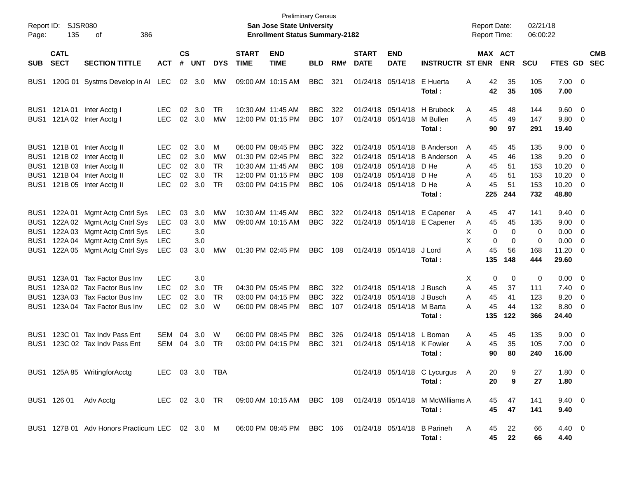| Page:                                                                        | Report ID: SJSR080<br>135                | 386<br>оf                                                                                                                                       |                                                                    |                            |                                 |                                                       |                             | <b>San Jose State University</b><br><b>Enrollment Status Summary-2182</b>                             | <b>Preliminary Census</b>                                          |                                 |                             |                                                                                                       |                                                                           | <b>Report Date:</b><br><b>Report Time:</b>                 |                                                  | 02/21/18<br>06:00:22                   |                                                                          |                                                             |                          |
|------------------------------------------------------------------------------|------------------------------------------|-------------------------------------------------------------------------------------------------------------------------------------------------|--------------------------------------------------------------------|----------------------------|---------------------------------|-------------------------------------------------------|-----------------------------|-------------------------------------------------------------------------------------------------------|--------------------------------------------------------------------|---------------------------------|-----------------------------|-------------------------------------------------------------------------------------------------------|---------------------------------------------------------------------------|------------------------------------------------------------|--------------------------------------------------|----------------------------------------|--------------------------------------------------------------------------|-------------------------------------------------------------|--------------------------|
| <b>SUB</b>                                                                   | <b>CATL</b><br><b>SECT</b>               | <b>SECTION TITTLE</b>                                                                                                                           | <b>ACT</b>                                                         | $\mathsf{cs}$<br>#         | <b>UNT</b>                      | <b>DYS</b>                                            | <b>START</b><br><b>TIME</b> | <b>END</b><br><b>TIME</b>                                                                             | <b>BLD</b>                                                         | RM#                             | <b>START</b><br><b>DATE</b> | <b>END</b><br><b>DATE</b>                                                                             | <b>INSTRUCTR ST ENR</b>                                                   | MAX ACT                                                    | <b>ENR</b>                                       | <b>SCU</b>                             | FTES GD                                                                  |                                                             | <b>CMB</b><br><b>SEC</b> |
| BUS1                                                                         |                                          | 120G 01 Systms Develop in AI LEC                                                                                                                |                                                                    |                            | 02 3.0                          | МW                                                    |                             | 09:00 AM 10:15 AM                                                                                     | <b>BBC</b>                                                         | 321                             |                             | 01/24/18 05/14/18                                                                                     | E Huerta<br>Total:                                                        | 42<br>A<br>42                                              | 35<br>35                                         | 105<br>105                             | $7.00 \t 0$<br>7.00                                                      |                                                             |                          |
| BUS1<br>BUS1                                                                 | 121A 01<br>121A 02                       | Inter Acctg I<br>Inter Acctg I                                                                                                                  | LEC.<br><b>LEC</b>                                                 | 02<br>02                   | 3.0<br>3.0                      | TR.<br><b>MW</b>                                      |                             | 10:30 AM 11:45 AM<br>12:00 PM 01:15 PM                                                                | <b>BBC</b><br><b>BBC</b>                                           | 322<br>107                      |                             | 01/24/18 05/14/18<br>01/24/18 05/14/18                                                                | H Brubeck<br>M Bullen<br>Total:                                           | A<br>45<br>45<br>A<br>90                                   | 48<br>49<br>97                                   | 144<br>147<br>291                      | 9.60 0<br>9.80 0<br>19.40                                                |                                                             |                          |
| BUS1<br>BUS <sub>1</sub><br>BUS <sub>1</sub><br>BUS1<br>BUS1                 |                                          | 121B 01 Inter Acctg II<br>121B 02 Inter Acctg II<br>121B 03 Inter Acctg II<br>121B 04 Inter Acctg II<br>121B 05 Inter Acctg II                  | LEC.<br><b>LEC</b><br><b>LEC</b><br><b>LEC</b><br><b>LEC</b>       | 02<br>02<br>02<br>02<br>02 | 3.0<br>3.0<br>3.0<br>3.0<br>3.0 | M<br><b>MW</b><br><b>TR</b><br><b>TR</b><br><b>TR</b> |                             | 06:00 PM 08:45 PM<br>01:30 PM 02:45 PM<br>10:30 AM 11:45 AM<br>12:00 PM 01:15 PM<br>03:00 PM 04:15 PM | <b>BBC</b><br><b>BBC</b><br><b>BBC</b><br><b>BBC</b><br><b>BBC</b> | 322<br>322<br>108<br>108<br>106 |                             | 01/24/18 05/14/18<br>01/24/18 05/14/18<br>01/24/18 05/14/18<br>01/24/18 05/14/18<br>01/24/18 05/14/18 | <b>B</b> Anderson<br><b>B</b> Anderson<br>D He<br>D He<br>D He<br>Total : | A<br>45<br>A<br>45<br>A<br>45<br>A<br>45<br>45<br>Α<br>225 | 45<br>46<br>51<br>51<br>51<br>244                | 135<br>138<br>153<br>153<br>153<br>732 | $9.00 \t 0$<br>9.20<br>10.20<br>10.20<br>$10.20 \t 0$<br>48.80           | $\overline{\phantom{0}}$<br>$\overline{\phantom{0}}$<br>- 0 |                          |
| BUS1<br>BUS <sub>1</sub><br>BUS <sub>1</sub><br>BUS <sub>1</sub><br>BUS1     | 122A 01                                  | Mgmt Actg Cntrl Sys<br>122A 02 Mgmt Actg Cntrl Sys<br>122A 03 Mgmt Actg Cntrl Sys<br>122A 04 Mgmt Actg Cntrl Sys<br>122A 05 Mgmt Actg Cntrl Sys | <b>LEC</b><br><b>LEC</b><br><b>LEC</b><br><b>LEC</b><br><b>LEC</b> | 03<br>03<br>03             | 3.0<br>3.0<br>3.0<br>3.0<br>3.0 | MW<br>MW<br>МW                                        |                             | 10:30 AM 11:45 AM<br>09:00 AM 10:15 AM<br>01:30 PM 02:45 PM                                           | <b>BBC</b><br><b>BBC</b><br><b>BBC</b>                             | 322<br>322<br>108               |                             | 01/24/18 05/14/18<br>01/24/18 05/14/18                                                                | E Capener<br>01/24/18 05/14/18 E Capener<br>J Lord<br>Total:              | Α<br>45<br>Α<br>45<br>0<br>Х<br>X<br>0<br>Α<br>45<br>135   | 47<br>45<br>$\mathbf 0$<br>$\Omega$<br>56<br>148 | 141<br>135<br>0<br>0<br>168<br>444     | $9.40 \quad 0$<br>$9.00 \t 0$<br>$0.00 \t 0$<br>0.00<br>11.20 0<br>29.60 | $\overline{\phantom{0}}$                                    |                          |
| BUS <sub>1</sub><br>BUS <sub>1</sub><br>BUS <sub>1</sub><br>BUS <sub>1</sub> | 123A 01<br>123A 02<br>123A 03<br>123A 04 | Tax Factor Bus Inv<br>Tax Factor Bus Inv<br>Tax Factor Bus Inv<br>Tax Factor Bus Inv                                                            | <b>LEC</b><br><b>LEC</b><br><b>LEC</b><br><b>LEC</b>               | 02<br>02<br>02             | 3.0<br>3.0<br>3.0<br>3.0        | TR<br><b>TR</b><br>W                                  |                             | 04:30 PM 05:45 PM<br>03:00 PM 04:15 PM<br>06:00 PM 08:45 PM                                           | <b>BBC</b><br><b>BBC</b><br><b>BBC</b>                             | 322<br>322<br>107               |                             | 01/24/18 05/14/18<br>01/24/18 05/14/18<br>01/24/18 05/14/18                                           | J Busch<br>J Busch<br>M Barta<br>Total:                                   | X<br>0<br>A<br>45<br>A<br>45<br>45<br>А<br>135             | $\mathbf 0$<br>37<br>41<br>44<br>122             | 0<br>111<br>123<br>132<br>366          | $0.00 \t 0$<br>7.40<br>8.20<br>$8.80\ 0$<br>24.40                        | $\overline{\phantom{0}}$<br>$\overline{\phantom{0}}$        |                          |
| BUS <sub>1</sub><br>BUS1                                                     | 123C 01                                  | Tax Indy Pass Ent<br>123C 02 Tax Indy Pass Ent                                                                                                  | <b>SEM</b><br>SEM                                                  | 04<br>04                   | 3.0<br>3.0                      | W<br>TR                                               |                             | 06:00 PM 08:45 PM<br>03:00 PM 04:15 PM                                                                | <b>BBC</b><br><b>BBC</b>                                           | 326<br>321                      |                             | 01/24/18 05/14/18<br>01/24/18 05/14/18                                                                | L Boman<br>K Fowler<br>Total :                                            | A<br>45<br>45<br>A<br>90                                   | 45<br>35<br>80                                   | 135<br>105<br>240                      | $9.00 \t 0$<br>$7.00 \t 0$<br>16.00                                      |                                                             |                          |
|                                                                              |                                          | BUS1 125A 85 WritingforAcctg                                                                                                                    | LEC 03 3.0 TBA                                                     |                            |                                 |                                                       |                             |                                                                                                       |                                                                    |                                 |                             |                                                                                                       | 01/24/18 05/14/18 C Lycurgus A<br>Total:                                  | 20<br>20                                                   | 9<br>9                                           | 27<br>27                               | 1.80 0<br>1.80                                                           |                                                             |                          |
|                                                                              |                                          | BUS1 126 01 Adv Acctg<br>BUS1 127B 01 Adv Honors Practicum LEC 02 3.0 M 06:00 PM 08:45 PM BBC 106 01/24/18 05/14/18 B Parineh                   |                                                                    |                            |                                 |                                                       |                             | LEC 02 3.0 TR 09:00 AM 10:15 AM BBC 108                                                               |                                                                    |                                 |                             |                                                                                                       | 01/24/18  05/14/18  M McWilliams A<br>Total:                              | 45<br>45<br>45<br>A                                        | 47<br>47<br>22                                   | 141<br>141<br>66                       | $9.40 \quad 0$<br>9.40<br>$4.40 \quad 0$                                 |                                                             |                          |
|                                                                              |                                          |                                                                                                                                                 |                                                                    |                            |                                 |                                                       |                             |                                                                                                       |                                                                    |                                 |                             |                                                                                                       | Total:                                                                    | 45                                                         | 22                                               | 66                                     | 4.40                                                                     |                                                             |                          |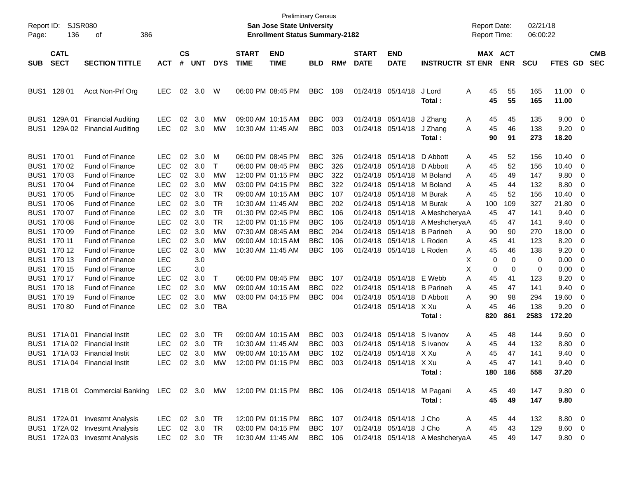| Page:                                                                                                                                                                        | Report ID: SJSR080<br>136                                                                                                                                    | 386<br>οf                                                                                                                                                                                                                                                                                                                         |                                                                                                                                                                                                                              |                                                                                  |                                                                                                              |                                                                                                         |                                        | San Jose State University<br><b>Enrollment Status Summary-2182</b>                                                                                                                                                                                                                                 | <b>Preliminary Census</b>                                                                                                                                                                        |                                                                                                |              |                                                                                                                                                                                                                                                                                  |                                                                                                                                                          | <b>Report Date:</b><br>Report Time:                                                                                                                               |                                                                                             | 02/21/18<br>06:00:22                                                                                     |                                                                                                                                    |                                                                              |            |
|------------------------------------------------------------------------------------------------------------------------------------------------------------------------------|--------------------------------------------------------------------------------------------------------------------------------------------------------------|-----------------------------------------------------------------------------------------------------------------------------------------------------------------------------------------------------------------------------------------------------------------------------------------------------------------------------------|------------------------------------------------------------------------------------------------------------------------------------------------------------------------------------------------------------------------------|----------------------------------------------------------------------------------|--------------------------------------------------------------------------------------------------------------|---------------------------------------------------------------------------------------------------------|----------------------------------------|----------------------------------------------------------------------------------------------------------------------------------------------------------------------------------------------------------------------------------------------------------------------------------------------------|--------------------------------------------------------------------------------------------------------------------------------------------------------------------------------------------------|------------------------------------------------------------------------------------------------|--------------|----------------------------------------------------------------------------------------------------------------------------------------------------------------------------------------------------------------------------------------------------------------------------------|----------------------------------------------------------------------------------------------------------------------------------------------------------|-------------------------------------------------------------------------------------------------------------------------------------------------------------------|---------------------------------------------------------------------------------------------|----------------------------------------------------------------------------------------------------------|------------------------------------------------------------------------------------------------------------------------------------|------------------------------------------------------------------------------|------------|
|                                                                                                                                                                              | <b>CATL</b>                                                                                                                                                  |                                                                                                                                                                                                                                                                                                                                   |                                                                                                                                                                                                                              | $\mathsf{cs}$                                                                    |                                                                                                              |                                                                                                         | <b>START</b>                           | <b>END</b>                                                                                                                                                                                                                                                                                         |                                                                                                                                                                                                  |                                                                                                | <b>START</b> | <b>END</b>                                                                                                                                                                                                                                                                       |                                                                                                                                                          | MAX ACT                                                                                                                                                           |                                                                                             |                                                                                                          |                                                                                                                                    |                                                                              | <b>CMB</b> |
| SUB.                                                                                                                                                                         | <b>SECT</b>                                                                                                                                                  | <b>SECTION TITTLE</b>                                                                                                                                                                                                                                                                                                             | <b>ACT</b>                                                                                                                                                                                                                   | #                                                                                | <b>UNT</b>                                                                                                   | <b>DYS</b>                                                                                              | <b>TIME</b>                            | <b>TIME</b>                                                                                                                                                                                                                                                                                        | <b>BLD</b>                                                                                                                                                                                       | RM#                                                                                            | <b>DATE</b>  | <b>DATE</b>                                                                                                                                                                                                                                                                      | <b>INSTRUCTR ST ENR</b>                                                                                                                                  |                                                                                                                                                                   | <b>ENR</b>                                                                                  | <b>SCU</b>                                                                                               | FTES GD                                                                                                                            |                                                                              | <b>SEC</b> |
| BUS1                                                                                                                                                                         | 128 01                                                                                                                                                       | Acct Non-Prf Org                                                                                                                                                                                                                                                                                                                  | LEC.                                                                                                                                                                                                                         | 02                                                                               | 3.0                                                                                                          | W                                                                                                       |                                        | 06:00 PM 08:45 PM                                                                                                                                                                                                                                                                                  | <b>BBC</b>                                                                                                                                                                                       | 108                                                                                            |              | 01/24/18 05/14/18                                                                                                                                                                                                                                                                | J Lord<br>Total :                                                                                                                                        | Α<br>45<br>45                                                                                                                                                     | 55<br>55                                                                                    | 165<br>165                                                                                               | 11.00 0<br>11.00                                                                                                                   |                                                                              |            |
| BUS <sub>1</sub><br>BUS <sub>1</sub>                                                                                                                                         | 129A 01                                                                                                                                                      | <b>Financial Auditing</b><br>129A 02 Financial Auditing                                                                                                                                                                                                                                                                           | <b>LEC</b><br><b>LEC</b>                                                                                                                                                                                                     | 02<br>02                                                                         | 3.0<br>3.0                                                                                                   | МW<br>MW                                                                                                | 09:00 AM 10:15 AM<br>10:30 AM 11:45 AM |                                                                                                                                                                                                                                                                                                    | <b>BBC</b><br><b>BBC</b>                                                                                                                                                                         | 003<br>003                                                                                     |              | 01/24/18 05/14/18<br>01/24/18 05/14/18                                                                                                                                                                                                                                           | J Zhang<br>J Zhang<br>Total :                                                                                                                            | 45<br>A<br>45<br>Α<br>90                                                                                                                                          | 45<br>46<br>91                                                                              | 135<br>138<br>273                                                                                        | 9.00<br>9.20<br>18.20                                                                                                              | $\overline{0}$<br>0                                                          |            |
| BUS <sub>1</sub><br>BUS <sub>1</sub><br>BUS1<br>BUS1<br>BUS1<br>BUS1<br>BUS1<br>BUS <sub>1</sub><br>BUS1<br>BUS1<br>BUS1<br>BUS <sub>1</sub><br>BUS1<br>BUS1<br>BUS1<br>BUS1 | 170 01<br>170 02<br>170 03<br>170 04<br>170 05<br>170 06<br>170 07<br>170 08<br>170 09<br>170 11<br>170 12<br>170 13<br>170 15<br>170 17<br>170 18<br>170 19 | <b>Fund of Finance</b><br><b>Fund of Finance</b><br>Fund of Finance<br><b>Fund of Finance</b><br>Fund of Finance<br>Fund of Finance<br>Fund of Finance<br>Fund of Finance<br>Fund of Finance<br>Fund of Finance<br>Fund of Finance<br>Fund of Finance<br>Fund of Finance<br>Fund of Finance<br>Fund of Finance<br>Fund of Finance | <b>LEC</b><br><b>LEC</b><br><b>LEC</b><br><b>LEC</b><br><b>LEC</b><br><b>LEC</b><br><b>LEC</b><br><b>LEC</b><br><b>LEC</b><br><b>LEC</b><br><b>LEC</b><br><b>LEC</b><br><b>LEC</b><br><b>LEC</b><br><b>LEC</b><br><b>LEC</b> | 02<br>02<br>02<br>02<br>02<br>02<br>02<br>02<br>02<br>02<br>02<br>02<br>02<br>02 | 3.0<br>3.0<br>3.0<br>3.0<br>3.0<br>3.0<br>3.0<br>3.0<br>3.0<br>3.0<br>3.0<br>3.0<br>3.0<br>3.0<br>3.0<br>3.0 | M<br>$\top$<br>MW<br>MW<br>TR<br><b>TR</b><br><b>TR</b><br><b>TR</b><br>MW<br>MW<br>MW<br>Τ<br>MW<br>MW |                                        | 06:00 PM 08:45 PM<br>06:00 PM 08:45 PM<br>12:00 PM 01:15 PM<br>03:00 PM 04:15 PM<br>09:00 AM 10:15 AM<br>10:30 AM 11:45 AM<br>01:30 PM 02:45 PM<br>12:00 PM 01:15 PM<br>07:30 AM 08:45 AM<br>09:00 AM 10:15 AM<br>10:30 AM 11:45 AM<br>06:00 PM 08:45 PM<br>09:00 AM 10:15 AM<br>03:00 PM 04:15 PM | <b>BBC</b><br><b>BBC</b><br><b>BBC</b><br><b>BBC</b><br><b>BBC</b><br><b>BBC</b><br><b>BBC</b><br><b>BBC</b><br><b>BBC</b><br><b>BBC</b><br><b>BBC</b><br><b>BBC</b><br><b>BBC</b><br><b>BBC</b> | 326<br>326<br>322<br>322<br>107<br>202<br>106<br>106<br>204<br>106<br>106<br>107<br>022<br>004 |              | 01/24/18 05/14/18<br>01/24/18 05/14/18 D Abbott<br>01/24/18 05/14/18 M Boland<br>01/24/18 05/14/18 M Boland<br>01/24/18 05/14/18 M Burak<br>01/24/18 05/14/18 M Burak<br>01/24/18 05/14/18 L Roden<br>01/24/18 05/14/18 L Roden<br>01/24/18 05/14/18 E Webb<br>01/24/18 05/14/18 | D Abbott<br>01/24/18 05/14/18 A MeshcheryaA<br>01/24/18 05/14/18 A MeshcheryaA<br>01/24/18 05/14/18 B Parineh<br>01/24/18 05/14/18 B Parineh<br>D Abbott | 45<br>Α<br>45<br>Α<br>45<br>A<br>45<br>A<br>45<br>A<br>Α<br>100<br>45<br>45<br>90<br>Α<br>45<br>Α<br>45<br>Α<br>0<br>X<br>х<br>0<br>Α<br>45<br>A<br>45<br>90<br>A | 52<br>52<br>49<br>44<br>52<br>109<br>47<br>47<br>90<br>41<br>46<br>0<br>0<br>41<br>47<br>98 | 156<br>156<br>147<br>132<br>156<br>327<br>141<br>141<br>270<br>123<br>138<br>0<br>0<br>123<br>141<br>294 | 10.40<br>10.40<br>9.80<br>8.80<br>10.40<br>21.80<br>9.40<br>9.40<br>18.00<br>8.20<br>9.20<br>0.00<br>0.00<br>8.20<br>9.40<br>19.60 | 0<br>0<br>0<br>0<br>0<br>0<br>0<br>0<br>0<br>0<br>0<br>0<br>0<br>0<br>0<br>0 |            |
| BUS <sub>1</sub><br>BUS <sub>1</sub><br>BUS <sub>1</sub><br>BUS1<br>BUS <sub>1</sub>                                                                                         | 17080<br>171A 01                                                                                                                                             | <b>Fund of Finance</b><br><b>Financial Instit</b><br>171A 02 Financial Instit<br>171A 03 Financial Instit<br>171A 04 Financial Instit<br>BUS1 171B 01 Commercial Banking LEC 02 3.0 MW 12:00 PM 01:15 PM BBC 106                                                                                                                  | <b>LEC</b><br><b>LEC</b><br><b>LEC</b><br><b>LEC</b><br>LEC.                                                                                                                                                                 | 02<br>02<br>02<br>02<br>02                                                       | 3.0<br>3.0<br>3.0<br>3.0<br>3.0                                                                              | TBA<br>TR<br>TR<br>MW<br>МW                                                                             | 10:30 AM 11:45 AM                      | 09:00 AM 10:15 AM<br>09:00 AM 10:15 AM<br>12:00 PM 01:15 PM                                                                                                                                                                                                                                        | <b>BBC</b><br><b>BBC</b><br><b>BBC</b><br>BBC                                                                                                                                                    | 003<br>003<br>102<br>003                                                                       |              | 01/24/18 05/14/18<br>01/24/18 05/14/18<br>01/24/18 05/14/18 S Ivanov<br>01/24/18 05/14/18 X Xu<br>01/24/18 05/14/18 X Xu                                                                                                                                                         | X Xu<br>Total :<br>S Ivanov<br>Total:<br>01/24/18 05/14/18 M Pagani<br>Total:                                                                            | 45<br>A<br>820<br>45<br>Α<br>45<br>Α<br>45<br>Α<br>45<br>А<br>A<br>45<br>45                                                                                       | 46<br>861<br>48<br>44<br>47<br>47<br>180 186<br>49<br>49                                    | 138<br>2583<br>144<br>132<br>141<br>141<br>558<br>147<br>147                                             | 9.20<br>172.20<br>9.60<br>8.80<br>9.40<br>9.40<br>37.20<br>$9.80\ 0$<br>9.80                                                       | 0<br>0<br>0<br>0<br>$\Omega$                                                 |            |
|                                                                                                                                                                              |                                                                                                                                                              | BUS1 172A 01 Investmt Analysis<br>BUS1 172A 02 Investmt Analysis<br>BUS1 172A 03 Investmt Analysis                                                                                                                                                                                                                                | LEC 02 3.0 TR<br>LEC<br>LEC 02 3.0 TR                                                                                                                                                                                        |                                                                                  | 02 3.0                                                                                                       | <b>TR</b>                                                                                               |                                        | 12:00 PM 01:15 PM<br>03:00 PM 04:15 PM<br>10:30 AM 11:45 AM                                                                                                                                                                                                                                        | <b>BBC</b> 107<br><b>BBC</b><br><b>BBC</b> 106                                                                                                                                                   | 107                                                                                            |              | 01/24/18 05/14/18 J Cho<br>01/24/18 05/14/18 J Cho                                                                                                                                                                                                                               | 01/24/18 05/14/18 A MeshcheryaA                                                                                                                          | 45<br>A<br>A<br>45<br>45                                                                                                                                          | 44<br>43<br>49                                                                              | 132<br>129<br>147                                                                                        | 8.80 0<br>8.60 0<br>$9.80\ 0$                                                                                                      |                                                                              |            |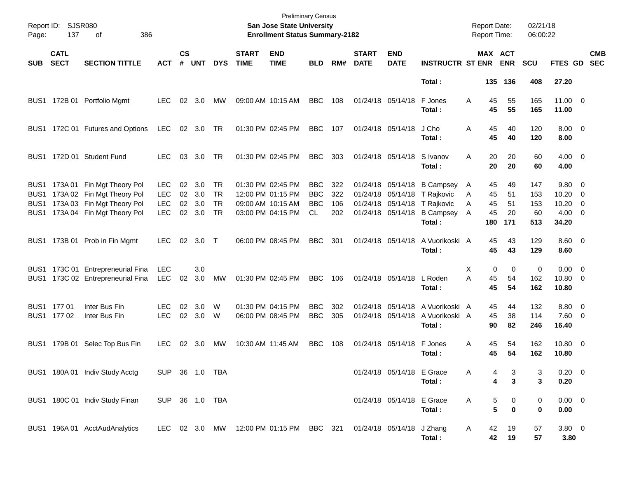| Page:      | Report ID: SJSR080<br>137  | 386<br>οf                                                                                                                           |                                                      |                      |                          |                                      |                             | <b>Preliminary Census</b><br>San Jose State University<br><b>Enrollment Status Summary-2182</b> |                                               |                          |                             |                                                                                  |                                                                            | <b>Report Date:</b><br>Report Time: |                             |                             | 02/21/18<br>06:00:22           |                                                 |                                |
|------------|----------------------------|-------------------------------------------------------------------------------------------------------------------------------------|------------------------------------------------------|----------------------|--------------------------|--------------------------------------|-----------------------------|-------------------------------------------------------------------------------------------------|-----------------------------------------------|--------------------------|-----------------------------|----------------------------------------------------------------------------------|----------------------------------------------------------------------------|-------------------------------------|-----------------------------|-----------------------------|--------------------------------|-------------------------------------------------|--------------------------------|
| <b>SUB</b> | <b>CATL</b><br><b>SECT</b> | <b>SECTION TITTLE</b>                                                                                                               | <b>ACT</b>                                           | $\mathsf{cs}$<br>#   | <b>UNT</b>               | <b>DYS</b>                           | <b>START</b><br><b>TIME</b> | <b>END</b><br><b>TIME</b>                                                                       | <b>BLD</b>                                    | RM#                      | <b>START</b><br><b>DATE</b> | <b>END</b><br><b>DATE</b>                                                        | <b>INSTRUCTR ST ENR</b>                                                    |                                     |                             | MAX ACT<br><b>ENR</b>       | <b>SCU</b>                     | FTES GD                                         | <b>CMB</b><br><b>SEC</b>       |
|            |                            |                                                                                                                                     |                                                      |                      |                          |                                      |                             |                                                                                                 |                                               |                          |                             |                                                                                  | Total:                                                                     |                                     |                             | 135 136                     | 408                            | 27.20                                           |                                |
|            |                            | BUS1 172B 01 Portfolio Mgmt                                                                                                         | <b>LEC</b>                                           | 02                   | 3.0                      | МW                                   |                             | 09:00 AM 10:15 AM                                                                               | BBC                                           | 108                      |                             | 01/24/18 05/14/18                                                                | F Jones<br>Total:                                                          | A                                   | 45<br>45                    | 55<br>55                    | 165<br>165                     | $11.00 \t 0$<br>11.00                           |                                |
|            |                            | BUS1 172C 01 Futures and Options                                                                                                    | <b>LEC</b>                                           |                      | 02 3.0 TR                |                                      |                             | 01:30 PM 02:45 PM                                                                               | BBC                                           | 107                      |                             | 01/24/18 05/14/18                                                                | J Cho<br>Total:                                                            | Α                                   | 45<br>45                    | 40<br>40                    | 120<br>120                     | $8.00 \t 0$<br>8.00                             |                                |
|            |                            | BUS1 172D 01 Student Fund                                                                                                           | <b>LEC</b>                                           | 03                   | 3.0                      | TR.                                  |                             | 01:30 PM 02:45 PM                                                                               | <b>BBC</b>                                    | 303                      |                             | 01/24/18 05/14/18                                                                | S Ivanov<br>Total:                                                         | A                                   | 20<br>20                    | 20<br>20                    | 60<br>60                       | $4.00 \ 0$<br>4.00                              |                                |
| BUS1       |                            | BUS1 173A 01 Fin Mgt Theory Pol<br>173A 02 Fin Mgt Theory Pol<br>BUS1 173A 03 Fin Mgt Theory Pol<br>BUS1 173A 04 Fin Mgt Theory Pol | <b>LEC</b><br><b>LEC</b><br><b>LEC</b><br><b>LEC</b> | 02<br>02<br>02<br>02 | 3.0<br>3.0<br>3.0<br>3.0 | TR.<br>TR.<br><b>TR</b><br><b>TR</b> |                             | 01:30 PM 02:45 PM<br>12:00 PM 01:15 PM<br>09:00 AM 10:15 AM<br>03:00 PM 04:15 PM                | <b>BBC</b><br><b>BBC</b><br><b>BBC</b><br>CL. | 322<br>322<br>106<br>202 |                             | 01/24/18 05/14/18<br>01/24/18 05/14/18<br>01/24/18 05/14/18<br>01/24/18 05/14/18 | <b>B Campsey</b><br>T Rajkovic<br>T Rajkovic<br><b>B Campsey</b><br>Total: | A<br>Α<br>A<br>A                    | 45<br>45<br>45<br>45<br>180 | 49<br>51<br>51<br>20<br>171 | 147<br>153<br>153<br>60<br>513 | 9.80 0<br>10.20<br>10.20<br>$4.00 \ 0$<br>34.20 | - 0<br>$\overline{\mathbf{0}}$ |
|            |                            | BUS1 173B 01 Prob in Fin Mgmt                                                                                                       | <b>LEC</b>                                           | 02                   | 3.0                      | $\top$                               |                             | 06:00 PM 08:45 PM                                                                               | <b>BBC</b>                                    | 301                      |                             | 01/24/18 05/14/18                                                                | A Vuorikoski A<br>Total:                                                   |                                     | 45<br>45                    | 43<br>43                    | 129<br>129                     | $8.60 \quad 0$<br>8.60                          |                                |
|            |                            | BUS1 173C 01 Entrepreneurial Fina<br>BUS1 173C 02 Entrepreneurial Fina                                                              | <b>LEC</b><br><b>LEC</b>                             | 02                   | 3.0<br>3.0               | <b>MW</b>                            |                             | 01:30 PM 02:45 PM                                                                               | <b>BBC</b>                                    | 106                      |                             | 01/24/18 05/14/18                                                                | L Roden<br>Total:                                                          | X<br>A                              | 0<br>45<br>45               | 0<br>54<br>54               | 0<br>162<br>162                | $0.00 \t 0$<br>10.80 0<br>10.80                 |                                |
|            | BUS1 177 01<br>BUS1 177 02 | Inter Bus Fin<br>Inter Bus Fin                                                                                                      | LEC.<br><b>LEC</b>                                   | 02<br>02             | 3.0<br>3.0               | W<br>W                               |                             | 01:30 PM 04:15 PM<br>06:00 PM 08:45 PM                                                          | <b>BBC</b><br><b>BBC</b>                      | 302<br>305               |                             | 01/24/18 05/14/18<br>01/24/18 05/14/18                                           | A Vuorikoski A<br>A Vuorikoski A<br>Total:                                 |                                     | 45<br>45<br>90              | 44<br>38<br>82              | 132<br>114<br>246              | 8.80 0<br>$7.60 \t 0$<br>16.40                  |                                |
|            |                            | BUS1 179B 01 Selec Top Bus Fin                                                                                                      | <b>LEC</b>                                           | 02                   | 3.0                      | MW                                   |                             | 10:30 AM 11:45 AM                                                                               | <b>BBC</b>                                    | 108                      |                             | 01/24/18 05/14/18                                                                | F Jones<br>Total:                                                          | A                                   | 45<br>45                    | 54<br>54                    | 162<br>162                     | 10.80 0<br>10.80                                |                                |
|            |                            | BUS1 180A 01 Indiv Study Acctg                                                                                                      | SUP 36 1.0 TBA                                       |                      |                          |                                      |                             |                                                                                                 |                                               |                          |                             | 01/24/18 05/14/18 E Grace                                                        | Total:                                                                     | Α                                   | 4<br>4                      | 3<br>$\mathbf{3}$           | 3<br>3                         | $0.20 \ 0$<br>0.20                              |                                |
|            |                            | BUS1 180C 01 Indiv Study Finan                                                                                                      | SUP 36 1.0 TBA                                       |                      |                          |                                      |                             |                                                                                                 |                                               |                          |                             | 01/24/18 05/14/18 E Grace                                                        | Total:                                                                     | Α                                   | 5<br>5                      | 0<br>$\bf{0}$               | 0<br>0                         | $0.00 \t 0$<br>0.00                             |                                |
|            |                            | BUS1 196A 01 AcctAudAnalytics                                                                                                       |                                                      |                      |                          |                                      |                             | LEC 02 3.0 MW 12:00 PM 01:15 PM BBC 321                                                         |                                               |                          |                             | 01/24/18 05/14/18 J Zhang                                                        | Total:                                                                     | A                                   | 42<br>42                    | 19<br>19                    | 57<br>57                       | $3.80\ 0$<br>3.80                               |                                |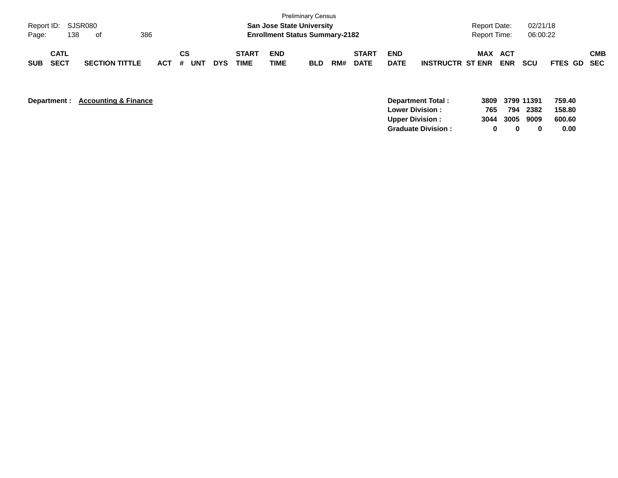| Page:      | Report ID: SJSR080<br>138  | of                    | 386     |                  |            |                             |                           | <b>Preliminary Census</b><br><b>San Jose State University</b><br><b>Enrollment Status Summary-2182</b> |     |                             |                           |                         | <b>Report Date:</b><br><b>Report Time:</b> |                   | 02/21/18<br>06:00:22 |             |            |
|------------|----------------------------|-----------------------|---------|------------------|------------|-----------------------------|---------------------------|--------------------------------------------------------------------------------------------------------|-----|-----------------------------|---------------------------|-------------------------|--------------------------------------------|-------------------|----------------------|-------------|------------|
| <b>SUB</b> | <b>CATL</b><br><b>SECT</b> | <b>SECTION TITTLE</b> | $ACT$ # | CS<br><b>UNT</b> | <b>DYS</b> | <b>START</b><br><b>TIME</b> | <b>END</b><br><b>TIME</b> | <b>BLD</b>                                                                                             | RM# | <b>START</b><br><b>DATE</b> | <b>END</b><br><b>DATE</b> | <b>INSTRUCTR ST ENR</b> | <b>MAX</b>                                 | ACT<br><b>ENR</b> | <b>SCU</b>           | FTES GD SEC | <b>CMB</b> |

**Department : Accounting & Finance** 

|     |   |   | 759.40                                        |
|-----|---|---|-----------------------------------------------|
| 765 |   |   | 158.80                                        |
|     |   |   | 600.60                                        |
| o   | n | 0 | 0.00                                          |
|     |   |   | 3809 3799 11391<br>794 2382<br>3044 3005 9009 |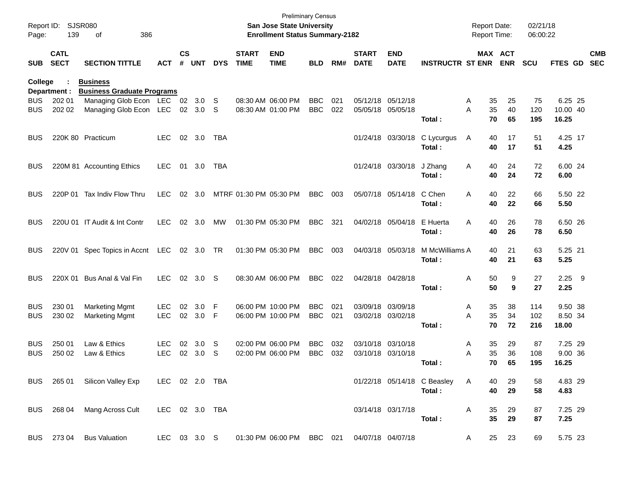| Page:      | Report ID: SJSR080<br>139  | 386<br>οf                                            |                |                    |            |              |                             | <b>Preliminary Census</b><br>San Jose State University<br><b>Enrollment Status Summary-2182</b> |            |     |                             |                           |                               | <b>Report Date:</b><br>Report Time: |                       | 02/21/18<br>06:00:22 |             |            |
|------------|----------------------------|------------------------------------------------------|----------------|--------------------|------------|--------------|-----------------------------|-------------------------------------------------------------------------------------------------|------------|-----|-----------------------------|---------------------------|-------------------------------|-------------------------------------|-----------------------|----------------------|-------------|------------|
| <b>SUB</b> | <b>CATL</b><br><b>SECT</b> | <b>SECTION TITTLE</b>                                | <b>ACT</b>     | $\mathsf{cs}$<br># | <b>UNT</b> | <b>DYS</b>   | <b>START</b><br><b>TIME</b> | <b>END</b><br><b>TIME</b>                                                                       | <b>BLD</b> | RM# | <b>START</b><br><b>DATE</b> | <b>END</b><br><b>DATE</b> | <b>INSTRUCTR ST ENR</b>       |                                     | MAX ACT<br><b>ENR</b> | <b>SCU</b>           | FTES GD SEC | <b>CMB</b> |
| College    | Department :               | <b>Business</b><br><b>Business Graduate Programs</b> |                |                    |            |              |                             |                                                                                                 |            |     |                             |                           |                               |                                     |                       |                      |             |            |
| <b>BUS</b> | 202 01                     | Managing Glob Econ LEC 02 3.0                        |                |                    |            | -S           |                             | 08:30 AM 06:00 PM                                                                               | <b>BBC</b> | 021 |                             | 05/12/18 05/12/18         |                               | Α                                   | 35<br>25              | 75                   | 6.25 25     |            |
| <b>BUS</b> | 202 02                     | Managing Glob Econ LEC 02 3.0                        |                |                    |            | S            |                             | 08:30 AM 01:00 PM                                                                               | <b>BBC</b> | 022 |                             | 05/05/18 05/05/18         |                               | A                                   | 35<br>40              | 120                  | 10.00 40    |            |
|            |                            |                                                      |                |                    |            |              |                             |                                                                                                 |            |     |                             |                           | Total:                        |                                     | 70<br>65              | 195                  | 16.25       |            |
| <b>BUS</b> |                            | 220K 80 Practicum                                    | LEC.           |                    | 02 3.0     | TBA          |                             |                                                                                                 |            |     |                             | 01/24/18 03/30/18         | C Lycurgus                    | A                                   | 40<br>17              | 51                   | 4.25 17     |            |
|            |                            |                                                      |                |                    |            |              |                             |                                                                                                 |            |     |                             |                           | Total:                        |                                     | 40<br>17              | 51                   | 4.25        |            |
| <b>BUS</b> |                            | 220M 81 Accounting Ethics                            | <b>LEC</b>     | 01                 | 3.0        | TBA          |                             |                                                                                                 |            |     |                             | 01/24/18 03/30/18         | J Zhang                       | A                                   | 40<br>24              | 72                   | 6.00 24     |            |
|            |                            |                                                      |                |                    |            |              |                             |                                                                                                 |            |     |                             |                           | Total :                       |                                     | 40<br>24              | 72                   | 6.00        |            |
| <b>BUS</b> | 220P 01                    | Tax Indiv Flow Thru                                  | <b>LEC</b>     | 02                 | 3.0        |              | MTRF 01:30 PM 05:30 PM      |                                                                                                 | <b>BBC</b> | 003 |                             | 05/07/18 05/14/18         | C Chen                        | A                                   | 22<br>40              | 66                   | 5.50 22     |            |
|            |                            |                                                      |                |                    |            |              |                             |                                                                                                 |            |     |                             |                           | Total :                       |                                     | 40<br>22              | 66                   | 5.50        |            |
| <b>BUS</b> |                            | 220U 01 IT Audit & Int Contr                         | <b>LEC</b>     |                    | 02 3.0     | MW           |                             | 01:30 PM 05:30 PM                                                                               | <b>BBC</b> | 321 |                             | 04/02/18 05/04/18         | E Huerta                      | Α                                   | 26<br>40              | 78                   | 6.50 26     |            |
|            |                            |                                                      |                |                    |            |              |                             |                                                                                                 |            |     |                             |                           | Total :                       |                                     | 40<br>26              | 78                   | 6.50        |            |
| <b>BUS</b> |                            | 220V 01 Spec Topics in Accnt LEC 02 3.0 TR           |                |                    |            |              |                             | 01:30 PM 05:30 PM                                                                               | <b>BBC</b> | 003 |                             | 04/03/18 05/03/18         | M McWilliams A                |                                     | 40<br>21              | 63                   | 5.25 21     |            |
|            |                            |                                                      |                |                    |            |              |                             |                                                                                                 |            |     |                             |                           | Total:                        |                                     | 40<br>21              | 63                   | 5.25        |            |
| <b>BUS</b> |                            | 220X 01 Bus Anal & Val Fin                           | <b>LEC</b>     |                    | 02 3.0     | -S           |                             | 08:30 AM 06:00 PM                                                                               | <b>BBC</b> | 022 |                             | 04/28/18 04/28/18         |                               | Α                                   | 50<br>9               | 27                   | $2.25$ 9    |            |
|            |                            |                                                      |                |                    |            |              |                             |                                                                                                 |            |     |                             |                           | Total:                        |                                     | 50<br>9               | 27                   | 2.25        |            |
| <b>BUS</b> | 230 01                     | <b>Marketing Mgmt</b>                                | <b>LEC</b>     | 02                 | 3.0        | -F           |                             | 06:00 PM 10:00 PM                                                                               | <b>BBC</b> | 021 |                             | 03/09/18 03/09/18         |                               | Α                                   | 35<br>38              | 114                  | 9.50 38     |            |
| <b>BUS</b> | 230 02                     | <b>Marketing Mgmt</b>                                | <b>LEC</b>     |                    | 02 3.0     | -F           |                             | 06:00 PM 10:00 PM                                                                               | <b>BBC</b> | 021 |                             | 03/02/18 03/02/18         |                               | A                                   | 35<br>34              | 102                  | 8.50 34     |            |
|            |                            |                                                      |                |                    |            |              |                             |                                                                                                 |            |     |                             |                           | Total:                        |                                     | 70<br>72              | 216                  | 18.00       |            |
| <b>BUS</b> | 250 01                     | Law & Ethics                                         | <b>LEC</b>     | 02                 | 3.0        | S            |                             | 02:00 PM 06:00 PM                                                                               | <b>BBC</b> | 032 |                             | 03/10/18 03/10/18         |                               | Α                                   | 35<br>29              | 87                   | 7.25 29     |            |
| <b>BUS</b> | 250 02                     | Law & Ethics                                         | <b>LEC</b>     | 02                 | 3.0        | S            |                             | 02:00 PM 06:00 PM                                                                               | <b>BBC</b> | 032 |                             | 03/10/18 03/10/18         |                               | Α                                   | 35<br>36              | 108                  | 9.00 36     |            |
|            |                            |                                                      |                |                    |            |              |                             |                                                                                                 |            |     |                             |                           | Total:                        |                                     | 65<br>70              | 195                  | 16.25       |            |
|            |                            | BUS 265 01 Silicon Valley Exp LEC 02 2.0 TBA         |                |                    |            |              |                             |                                                                                                 |            |     |                             |                           | 01/22/18 05/14/18 C Beasley A |                                     | 40<br>29              | 58                   | 4.83 29     |            |
|            |                            |                                                      |                |                    |            |              |                             |                                                                                                 |            |     |                             |                           | Total:                        |                                     | 40<br>29              | 58                   | 4.83        |            |
|            |                            | BUS 268 04 Mang Across Cult                          | LEC 02 3.0 TBA |                    |            |              |                             |                                                                                                 |            |     |                             | 03/14/18 03/17/18         |                               | A                                   | 35<br>29              | 87                   | 7.25 29     |            |
|            |                            |                                                      |                |                    |            |              |                             |                                                                                                 |            |     |                             |                           | Total:                        |                                     | 35<br>29              | 87                   | 7.25        |            |
|            |                            | BUS 273 04 Bus Valuation                             |                |                    |            | LEC 03 3.0 S |                             | 01:30 PM 06:00 PM BBC 021 04/07/18 04/07/18                                                     |            |     |                             |                           |                               | A                                   | 25 23                 | 69                   | 5.75 23     |            |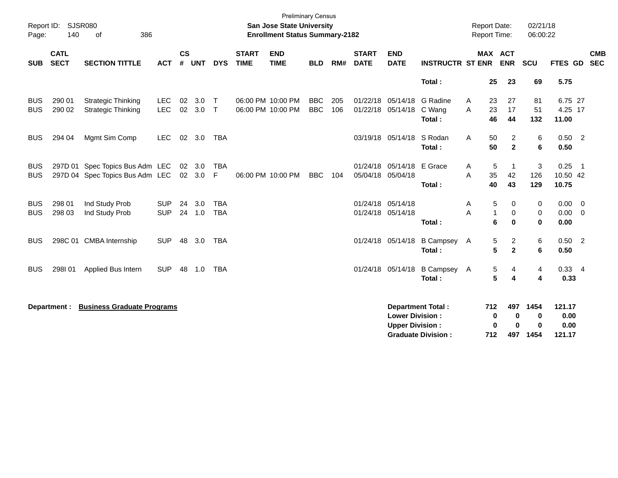| Report ID:<br>Page:      | 140                        | SJSR080<br>386<br>of                                       |                          |                    |                  |                          |                             | <b>Preliminary Census</b><br><b>San Jose State University</b><br><b>Enrollment Status Summary-2182</b> |                          |            |                                        |                                                  |                                                       | <b>Report Date:</b><br>Report Time: |                                                        | 02/21/18<br>06:00:22          |                                       |                            |                          |
|--------------------------|----------------------------|------------------------------------------------------------|--------------------------|--------------------|------------------|--------------------------|-----------------------------|--------------------------------------------------------------------------------------------------------|--------------------------|------------|----------------------------------------|--------------------------------------------------|-------------------------------------------------------|-------------------------------------|--------------------------------------------------------|-------------------------------|---------------------------------------|----------------------------|--------------------------|
| <b>SUB</b>               | <b>CATL</b><br><b>SECT</b> | <b>SECTION TITTLE</b>                                      | <b>ACT</b>               | $\mathsf{cs}$<br># | <b>UNT</b>       | <b>DYS</b>               | <b>START</b><br><b>TIME</b> | <b>END</b><br><b>TIME</b>                                                                              | <b>BLD</b>               | RM#        | <b>START</b><br><b>DATE</b>            | <b>END</b><br><b>DATE</b>                        | <b>INSTRUCTR ST ENR</b>                               |                                     | <b>MAX ACT</b><br><b>ENR</b>                           | <b>SCU</b>                    | FTES GD                               |                            | <b>CMB</b><br><b>SEC</b> |
|                          |                            |                                                            |                          |                    |                  |                          |                             |                                                                                                        |                          |            |                                        |                                                  | Total:                                                | 25                                  | 23                                                     | 69                            | 5.75                                  |                            |                          |
| <b>BUS</b><br><b>BUS</b> | 290 01<br>290 02           | <b>Strategic Thinking</b><br><b>Strategic Thinking</b>     | <b>LEC</b><br><b>LEC</b> | 02<br>02           | 3.0<br>3.0       | $\top$<br>$\mathsf{T}$   |                             | 06:00 PM 10:00 PM<br>06:00 PM 10:00 PM                                                                 | <b>BBC</b><br><b>BBC</b> | 205<br>106 |                                        | 01/22/18 05/14/18<br>01/22/18 05/14/18           | G Radine<br>C Wang<br>Total:                          | 23<br>Α<br>A<br>23<br>46            | 27<br>17<br>44                                         | 81<br>51<br>132               | 6.75 27<br>4.25 17<br>11.00           |                            |                          |
| <b>BUS</b>               | 294 04                     | Mgmt Sim Comp                                              | <b>LEC</b>               |                    | 02 3.0           | <b>TBA</b>               |                             |                                                                                                        |                          |            |                                        | 03/19/18 05/14/18                                | S Rodan<br>Total:                                     | 50<br>A<br>50                       | $\overline{c}$<br>$\overline{2}$                       | 6<br>6                        | $0.50$ 2<br>0.50                      |                            |                          |
| <b>BUS</b><br><b>BUS</b> | 297D 01                    | Spec Topics Bus Adm LEC<br>297D 04 Spec Topics Bus Adm LEC |                          |                    | 02 3.0<br>02 3.0 | <b>TBA</b><br>F          |                             | 06:00 PM 10:00 PM                                                                                      | <b>BBC</b>               | 104        |                                        | 01/24/18 05/14/18 E Grace<br>05/04/18 05/04/18   | Total:                                                | A<br>35<br>A<br>40                  | $\sqrt{5}$<br>$\mathbf 1$<br>42<br>43                  | 3<br>126<br>129               | 0.25<br>10.50 42<br>10.75             | $\overline{\phantom{0}}$ 1 |                          |
| <b>BUS</b><br><b>BUS</b> | 298 01<br>298 03           | Ind Study Prob<br>Ind Study Prob                           | <b>SUP</b><br><b>SUP</b> | 24<br>24           | 3.0<br>1.0       | <b>TBA</b><br><b>TBA</b> |                             |                                                                                                        |                          |            | 01/24/18 05/14/18<br>01/24/18 05/14/18 |                                                  | Total:                                                | Α<br>A                              | 5<br>0<br>$\mathbf{1}$<br>$\mathbf 0$<br>6<br>$\bf{0}$ | 0<br>0<br>$\mathbf 0$         | $0.00 \quad 0$<br>$0.00 \t 0$<br>0.00 |                            |                          |
| <b>BUS</b>               |                            | 298C 01 CMBA Internship                                    | <b>SUP</b>               | 48                 | 3.0              | <b>TBA</b>               |                             |                                                                                                        |                          |            |                                        | 01/24/18 05/14/18                                | <b>B Campsey</b><br>Total:                            | A                                   | 5<br>$\overline{c}$<br>5<br>$\mathbf 2$                | 6<br>6                        | $0.50$ 2<br>0.50                      |                            |                          |
| <b>BUS</b>               | 298I01                     | Applied Bus Intern                                         | <b>SUP</b>               | 48                 | 1.0              | <b>TBA</b>               |                             |                                                                                                        |                          |            |                                        | 01/24/18 05/14/18                                | <b>B Campsey</b><br>Total:                            | A                                   | $\sqrt{5}$<br>4<br>5<br>4                              | 4<br>4                        | $0.33 + 4$<br>0.33                    |                            |                          |
|                          | Department :               | <b>Business Graduate Programs</b>                          |                          |                    |                  |                          |                             |                                                                                                        |                          |            |                                        | <b>Lower Division:</b><br><b>Upper Division:</b> | <b>Department Total:</b><br><b>Graduate Division:</b> | 712<br>712                          | 497<br>0<br>0<br>0<br>$\bf{0}$<br>497                  | 1454<br>0<br>$\bf{0}$<br>1454 | 121.17<br>0.00<br>0.00<br>121.17      |                            |                          |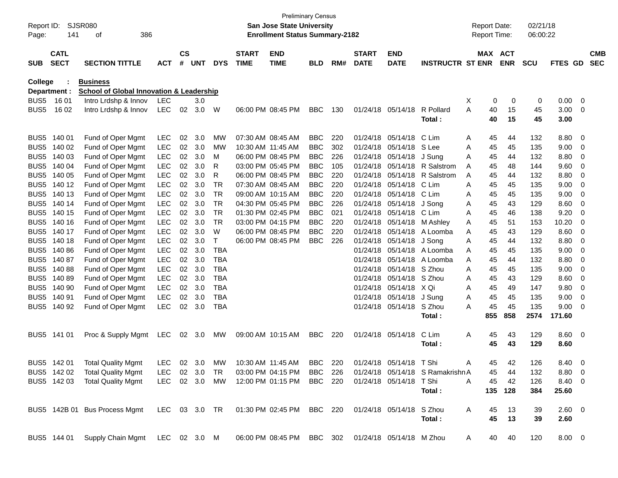| Report ID:<br>Page: | 141                        | SJSR080<br>386<br>οf                                                                           |               |                |            |            |                             | San Jose State University<br><b>Enrollment Status Summary-2182</b> | <b>Preliminary Census</b> |     |                             |                           |                                  |              | <b>Report Date:</b><br><b>Report Time:</b> |                       | 02/21/18<br>06:00:22 |                |                          |                          |
|---------------------|----------------------------|------------------------------------------------------------------------------------------------|---------------|----------------|------------|------------|-----------------------------|--------------------------------------------------------------------|---------------------------|-----|-----------------------------|---------------------------|----------------------------------|--------------|--------------------------------------------|-----------------------|----------------------|----------------|--------------------------|--------------------------|
| <b>SUB</b>          | <b>CATL</b><br><b>SECT</b> | <b>SECTION TITTLE</b>                                                                          | <b>ACT</b>    | <b>CS</b><br># | <b>UNT</b> | <b>DYS</b> | <b>START</b><br><b>TIME</b> | <b>END</b><br><b>TIME</b>                                          | <b>BLD</b>                | RM# | <b>START</b><br><b>DATE</b> | <b>END</b><br><b>DATE</b> | <b>INSTRUCTR ST ENR</b>          |              |                                            | MAX ACT<br><b>ENR</b> | <b>SCU</b>           | FTES GD        |                          | <b>CMB</b><br><b>SEC</b> |
| College             |                            | <b>Business</b>                                                                                |               |                |            |            |                             |                                                                    |                           |     |                             |                           |                                  |              |                                            |                       |                      |                |                          |                          |
|                     | Department :               | <b>School of Global Innovation &amp; Leadership</b>                                            |               |                |            |            |                             |                                                                    |                           |     |                             |                           |                                  |              |                                            |                       |                      |                |                          |                          |
| BUS <sub>5</sub>    | 16 01                      | Intro Lrdshp & Innov                                                                           | LEC           |                | 3.0        |            |                             |                                                                    |                           |     |                             |                           |                                  | X            | 0                                          | 0                     | 0                    | 0.00           | $\overline{0}$           |                          |
| BUS <sub>5</sub>    | 16 02                      | Intro Lrdshp & Innov                                                                           | <b>LEC</b>    | 02             | 3.0        | W          |                             | 06:00 PM 08:45 PM                                                  | <b>BBC</b>                | 130 | 01/24/18                    | 05/14/18                  | R Pollard                        | A            | 40                                         | 15                    | 45                   | 3.00           | 0                        |                          |
|                     |                            |                                                                                                |               |                |            |            |                             |                                                                    |                           |     |                             |                           | Total:                           |              | 40                                         | 15                    | 45                   | 3.00           |                          |                          |
| BUS <sub>5</sub>    | 140 01                     | Fund of Oper Mgmt                                                                              | LEC           | 02             | 3.0        | MW         |                             | 07:30 AM 08:45 AM                                                  | <b>BBC</b>                | 220 | 01/24/18                    | 05/14/18                  | C Lim                            | A            | 45                                         | 44                    | 132                  | 8.80           | 0                        |                          |
| BUS <sub>5</sub>    | 140 02                     | Fund of Oper Mgmt                                                                              | <b>LEC</b>    | 02             | 3.0        | MW         |                             | 10:30 AM 11:45 AM                                                  | <b>BBC</b>                | 302 | 01/24/18                    | 05/14/18                  | S Lee                            | A            | 45                                         | 45                    | 135                  | 9.00           | 0                        |                          |
| BUS <sub>5</sub>    | 140 03                     | Fund of Oper Mgmt                                                                              | <b>LEC</b>    | 02             | 3.0        | м          |                             | 06:00 PM 08:45 PM                                                  | <b>BBC</b>                | 226 | 01/24/18                    | 05/14/18                  | J Sung                           | Α            | 45                                         | 44                    | 132                  | 8.80           | 0                        |                          |
| BUS <sub>5</sub>    | 140 04                     | Fund of Oper Mgmt                                                                              | <b>LEC</b>    | 02             | 3.0        | R          |                             | 03:00 PM 05:45 PM                                                  | <b>BBC</b>                | 105 | 01/24/18                    | 05/14/18                  | R Salstrom                       | Α            | 45                                         | 48                    | 144                  | 9.60           | 0                        |                          |
| BUS <sub>5</sub>    | 140 05                     | Fund of Oper Mgmt                                                                              | <b>LEC</b>    | 02             | 3.0        | R          |                             | 06:00 PM 08:45 PM                                                  | <b>BBC</b>                | 220 | 01/24/18                    | 05/14/18                  | R Salstrom                       | Α            | 45                                         | 44                    | 132                  | 8.80           | 0                        |                          |
| BUS <sub>5</sub>    | 140 12                     | Fund of Oper Mgmt                                                                              | <b>LEC</b>    | 02             | 3.0        | TR         |                             | 07:30 AM 08:45 AM                                                  | <b>BBC</b>                | 220 | 01/24/18                    | 05/14/18                  | C Lim                            | A            | 45                                         | 45                    | 135                  | 9.00           | 0                        |                          |
| BUS <sub>5</sub>    | 140 13                     | Fund of Oper Mgmt                                                                              | <b>LEC</b>    | 02             | 3.0        | TR         |                             | 09:00 AM 10:15 AM                                                  | <b>BBC</b>                | 220 | 01/24/18                    | 05/14/18                  | C Lim                            | Α            | 45                                         | 45                    | 135                  | 9.00           | 0                        |                          |
| BUS <sub>5</sub>    | 140 14                     | Fund of Oper Mgmt                                                                              | <b>LEC</b>    | 02             | 3.0        | TR         |                             | 04:30 PM 05:45 PM                                                  | <b>BBC</b>                | 226 | 01/24/18                    | 05/14/18                  | J Song                           | Α            | 45                                         | 43                    | 129                  | 8.60           | 0                        |                          |
| BUS <sub>5</sub>    | 140 15                     | Fund of Oper Mgmt                                                                              | <b>LEC</b>    | 02             | 3.0        | TR         |                             | 01:30 PM 02:45 PM                                                  | <b>BBC</b>                | 021 | 01/24/18                    | 05/14/18                  | C Lim                            | Α            | 45                                         | 46                    | 138                  | 9.20           | 0                        |                          |
| BUS <sub>5</sub>    | 140 16                     | Fund of Oper Mgmt                                                                              | <b>LEC</b>    | 02             | 3.0        | TR         |                             | 03:00 PM 04:15 PM                                                  | <b>BBC</b>                | 220 | 01/24/18                    | 05/14/18                  | M Ashley                         | Α            | 45                                         | 51                    | 153                  | 10.20          | 0                        |                          |
| BUS <sub>5</sub>    | 140 17                     | Fund of Oper Mgmt                                                                              | <b>LEC</b>    | 02             | 3.0        | W          |                             | 06:00 PM 08:45 PM                                                  | <b>BBC</b>                | 220 | 01/24/18                    | 05/14/18                  | A Loomba                         | Α            | 45                                         | 43                    | 129                  | 8.60           | 0                        |                          |
| BUS <sub>5</sub>    | 140 18                     | Fund of Oper Mgmt                                                                              | <b>LEC</b>    | 02             | 3.0        | $\top$     |                             | 06:00 PM 08:45 PM                                                  | <b>BBC</b>                | 226 | 01/24/18                    | 05/14/18                  | J Song                           | A            | 45                                         | 44                    | 132                  | 8.80           | 0                        |                          |
| BUS <sub>5</sub>    | 140 86                     | Fund of Oper Mgmt                                                                              | <b>LEC</b>    | 02             | 3.0        | <b>TBA</b> |                             |                                                                    |                           |     | 01/24/18                    | 05/14/18                  | A Loomba                         | Α            | 45                                         | 45                    | 135                  | 9.00           | 0                        |                          |
| BUS <sub>5</sub>    | 14087                      | Fund of Oper Mgmt                                                                              | <b>LEC</b>    | $02\,$         | 3.0        | <b>TBA</b> |                             |                                                                    |                           |     | 01/24/18                    | 05/14/18                  | A Loomba                         | A            | 45                                         | 44                    | 132                  | 8.80           | 0                        |                          |
| BUS <sub>5</sub>    | 14088                      | Fund of Oper Mgmt                                                                              | <b>LEC</b>    | 02             | 3.0        | <b>TBA</b> |                             |                                                                    |                           |     | 01/24/18                    | 05/14/18                  | S Zhou                           | A            | 45                                         | 45                    | 135                  | 9.00           | 0                        |                          |
| BUS <sub>5</sub>    | 14089                      | Fund of Oper Mgmt                                                                              | <b>LEC</b>    | 02             | 3.0        | <b>TBA</b> |                             |                                                                    |                           |     | 01/24/18                    | 05/14/18                  | S Zhou                           | Α            | 45                                         | 43                    | 129                  | 8.60           | 0                        |                          |
| BUS <sub>5</sub>    | 140 90                     | Fund of Oper Mgmt                                                                              | <b>LEC</b>    | 02             | 3.0        | <b>TBA</b> |                             |                                                                    |                           |     | 01/24/18                    | 05/14/18 X Qi             |                                  | Α            | 45                                         | 49                    | 147                  | 9.80           | 0                        |                          |
| BUS <sub>5</sub>    | 140 91                     | Fund of Oper Mgmt                                                                              | <b>LEC</b>    | 02             | 3.0        | <b>TBA</b> |                             |                                                                    |                           |     | 01/24/18                    | 05/14/18                  | J Sung                           | Α            | 45                                         | 45                    | 135                  | 9.00           | 0                        |                          |
|                     | BUS5 140 92                | Fund of Oper Mgmt                                                                              | <b>LEC</b>    | 02             | 3.0        | <b>TBA</b> |                             |                                                                    |                           |     | 01/24/18                    | 05/14/18                  | S Zhou                           | A            | 45                                         | 45                    | 135                  | 9.00           | 0                        |                          |
|                     |                            |                                                                                                |               |                |            |            |                             |                                                                    |                           |     |                             |                           | Total:                           |              | 855                                        | 858                   | 2574                 | 171.60         |                          |                          |
|                     | BUS5 141 01                | Proc & Supply Mgmt                                                                             | LEC           | 02             | 3.0        | МW         |                             | 09:00 AM 10:15 AM                                                  | BBC                       | 220 |                             | 01/24/18 05/14/18         | C Lim                            | Α            | 45                                         | 43                    | 129                  | 8.60           | $\overline{\phantom{0}}$ |                          |
|                     |                            |                                                                                                |               |                |            |            |                             |                                                                    |                           |     |                             |                           | Total :                          |              | 45                                         | 43                    | 129                  | 8.60           |                          |                          |
|                     | BUS5 142 01                | <b>Total Quality Mgmt</b>                                                                      | LEC 02 3.0    |                |            | MW         |                             | 10:30 AM 11:45 AM                                                  | <b>BBC</b>                | 220 | 01/24/18                    | 05/14/18 T Shi            |                                  | A            | 45                                         | 42                    | 126                  | 8.40           | - 0                      |                          |
|                     |                            | BUS5 142 02 Total Quality Mgmt                                                                 | LEC 02 3.0 TR |                |            |            |                             | 03:00 PM 04:15 PM BBC 226                                          |                           |     |                             |                           | 01/24/18 05/14/18 S Ramakrishn A |              | 45                                         | 44                    | 132                  | $8.80 \quad 0$ |                          |                          |
|                     |                            | BUS5 142 03 Total Quality Mgmt                                                                 |               |                |            |            |                             | LEC 02 3.0 MW 12:00 PM 01:15 PM BBC 220                            |                           |     |                             | 01/24/18 05/14/18 TShi    |                                  | $\mathsf{A}$ | 45                                         | 42                    | 126                  | 8.40 0         |                          |                          |
|                     |                            |                                                                                                |               |                |            |            |                             |                                                                    |                           |     |                             |                           | Total:                           |              | 135                                        | 128                   | 384                  | 25.60          |                          |                          |
|                     |                            | BUS5 142B 01 Bus Process Mgmt LEC 03 3.0 TR 01:30 PM 02:45 PM BBC 220 01/24/18 05/14/18 S Zhou |               |                |            |            |                             |                                                                    |                           |     |                             |                           |                                  | A            | 45                                         | 13                    | 39                   | $2.60 \t 0$    |                          |                          |
|                     |                            |                                                                                                |               |                |            |            |                             |                                                                    |                           |     |                             |                           | Total:                           |              | 45                                         | 13                    | 39                   | 2.60           |                          |                          |
|                     |                            | BUS5 144 01 Supply Chain Mgmt LEC 02 3.0 M                                                     |               |                |            |            |                             | 06:00 PM 08:45 PM BBC 302 01/24/18 05/14/18 M Zhou                 |                           |     |                             |                           |                                  | A            | 40                                         | 40                    | 120                  | 8.00 0         |                          |                          |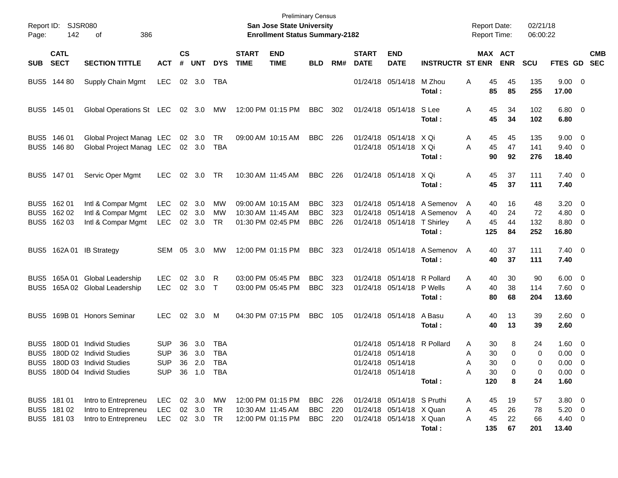| Report ID:<br>Page: | <b>SJSR080</b><br>142                     | 386<br>of                                                                                                               |                                               |                    |                               |                              |                             | <b>Preliminary Census</b><br>San Jose State University<br><b>Enrollment Status Summary-2182</b> |                                        |                   |                             |                                                                                            |                                                                                   | <b>Report Date:</b><br>Report Time:             |                              | 02/21/18<br>06:00:22    |                                                                     |                          |
|---------------------|-------------------------------------------|-------------------------------------------------------------------------------------------------------------------------|-----------------------------------------------|--------------------|-------------------------------|------------------------------|-----------------------------|-------------------------------------------------------------------------------------------------|----------------------------------------|-------------------|-----------------------------|--------------------------------------------------------------------------------------------|-----------------------------------------------------------------------------------|-------------------------------------------------|------------------------------|-------------------------|---------------------------------------------------------------------|--------------------------|
| <b>SUB</b>          | <b>CATL</b><br><b>SECT</b>                | <b>SECTION TITTLE</b>                                                                                                   | <b>ACT</b>                                    | $\mathsf{cs}$<br># | <b>UNT</b>                    | <b>DYS</b>                   | <b>START</b><br><b>TIME</b> | <b>END</b><br><b>TIME</b>                                                                       | <b>BLD</b>                             | RM#               | <b>START</b><br><b>DATE</b> | <b>END</b><br><b>DATE</b>                                                                  | <b>INSTRUCTR ST ENR</b>                                                           |                                                 | <b>MAX ACT</b><br><b>ENR</b> | SCU                     | FTES GD                                                             | <b>CMB</b><br><b>SEC</b> |
|                     | BUS5 144 80                               | Supply Chain Mgmt                                                                                                       | <b>LEC</b>                                    |                    | 02 3.0                        | TBA                          |                             |                                                                                                 |                                        |                   |                             | 01/24/18 05/14/18                                                                          | M Zhou<br>Total:                                                                  | 45<br>Α<br>85                                   | 45<br>85                     | 135<br>255              | $9.00 \t 0$<br>17.00                                                |                          |
|                     | BUS5 145 01                               | Global Operations St LEC                                                                                                |                                               |                    | 02 3.0                        | МW                           |                             | 12:00 PM 01:15 PM                                                                               | <b>BBC</b>                             | 302               |                             | 01/24/18 05/14/18 S Lee                                                                    | Total:                                                                            | 45<br>A<br>45                                   | 34<br>34                     | 102<br>102              | $6.80$ 0<br>6.80                                                    |                          |
|                     | BUS5 146 01<br>BUS5 146 80                | Global Project Manag LEC<br>Global Project Manag LEC                                                                    |                                               |                    | 02 3.0<br>02 3.0              | TR<br>TBA                    |                             | 09:00 AM 10:15 AM                                                                               | BBC                                    | 226               |                             | 01/24/18 05/14/18 X Qi<br>01/24/18 05/14/18 X Qi                                           | Total :                                                                           | 45<br>Α<br>45<br>A<br>90                        | 45<br>47<br>92               | 135<br>141<br>276       | $9.00 \t 0$<br>$9.40 \quad 0$<br>18.40                              |                          |
|                     | BUS5 147 01                               | Servic Oper Mgmt                                                                                                        | <b>LEC</b>                                    | 02                 | 3.0                           | TR                           |                             | 10:30 AM 11:45 AM                                                                               | <b>BBC</b>                             | 226               |                             | 01/24/18 05/14/18 X Qi                                                                     | Total :                                                                           | 45<br>A<br>45                                   | 37<br>37                     | 111<br>111              | $7.40 \quad 0$<br>7.40                                              |                          |
|                     | BUS5 162 01<br>BUS5 162 02<br>BUS5 162 03 | Intl & Compar Mgmt<br>Intl & Compar Mgmt<br>Intl & Compar Mgmt                                                          | <b>LEC</b><br><b>LEC</b><br><b>LEC</b>        | 02<br>02<br>02     | 3.0<br>3.0<br>3.0             | MW<br><b>MW</b><br><b>TR</b> |                             | 09:00 AM 10:15 AM<br>10:30 AM 11:45 AM<br>01:30 PM 02:45 PM                                     | <b>BBC</b><br><b>BBC</b><br><b>BBC</b> | 323<br>323<br>226 |                             | 01/24/18 05/14/18                                                                          | 01/24/18 05/14/18 A Semenov<br>01/24/18 05/14/18 A Semenov<br>T Shirley<br>Total: | 40<br>A<br>40<br>A<br>45<br>A<br>125            | 16<br>24<br>44<br>84         | 48<br>72<br>132<br>252  | $3.20 \ 0$<br>$4.80\ 0$<br>8.80 0<br>16.80                          |                          |
|                     |                                           | BUS5 162A 01 IB Strategy                                                                                                | SEM                                           | 05                 | 3.0                           | MW                           |                             | 12:00 PM 01:15 PM                                                                               | <b>BBC</b>                             | 323               |                             | 01/24/18 05/14/18                                                                          | A Semenov<br>Total:                                                               | 40<br>A<br>40                                   | 37<br>37                     | 111<br>111              | $7.40 \quad 0$<br>7.40                                              |                          |
| BUS5<br>BUS5        |                                           | 165A 01 Global Leadership<br>165A 02 Global Leadership                                                                  | <b>LEC</b><br><b>LEC</b>                      | 02<br>02           | 3.0<br>3.0                    | R<br>$\top$                  |                             | 03:00 PM 05:45 PM<br>03:00 PM 05:45 PM                                                          | <b>BBC</b><br><b>BBC</b>               | 323<br>323        |                             | 01/24/18 05/14/18<br>01/24/18 05/14/18                                                     | R Pollard<br>P Wells<br>Total:                                                    | Α<br>40<br>40<br>A<br>80                        | 30<br>38<br>68               | 90<br>114<br>204        | $6.00 \quad 0$<br>$7.60 \t 0$<br>13.60                              |                          |
|                     |                                           | BUS5 169B 01 Honors Seminar                                                                                             | LEC.                                          | 02                 | 3.0                           | M                            |                             | 04:30 PM 07:15 PM                                                                               | <b>BBC</b>                             | 105               |                             | 01/24/18 05/14/18                                                                          | A Basu<br>Total:                                                                  | 40<br>A<br>40                                   | 13<br>13                     | 39<br>39                | $2.60 \t 0$<br>2.60                                                 |                          |
| BUS5                |                                           | 180D 01 Individ Studies<br>BUS5 180D 02 Individ Studies<br>BUS5 180D 03 Individ Studies<br>BUS5 180D 04 Individ Studies | SUP<br><b>SUP</b><br><b>SUP</b><br><b>SUP</b> | 36<br>36           | 3.0<br>3.0<br>36 1.0 TBA      | TBA<br><b>TBA</b>            |                             |                                                                                                 |                                        |                   |                             | 01/24/18 05/14/18 R Pollard<br>01/24/18 05/14/18<br>01/24/18 05/14/18<br>01/24/18 05/14/18 | Total:                                                                            | 30<br>Α<br>30<br>A<br>A<br>30<br>А<br>30<br>120 | 8<br>$\Omega$<br>0<br>0<br>8 | 24<br>0<br>0<br>0<br>24 | $1.60 \t 0$<br>$0.00 \t 0$<br>$0.00 \quad 0$<br>$0.00 \t 0$<br>1.60 |                          |
|                     | BUS5 181 01<br>BUS5 181 02<br>BUS5 181 03 | Intro to Entrepreneu<br>Intro to Entrepreneu<br>Intro to Entrepreneu                                                    | <b>LEC</b><br><b>LEC</b><br><b>LEC</b>        |                    | 02 3.0<br>02 3.0<br>02 3.0 TR | МW<br>TR                     |                             | 12:00 PM 01:15 PM<br>10:30 AM 11:45 AM<br>12:00 PM 01:15 PM                                     | BBC<br><b>BBC</b><br>BBC               | 226<br>220<br>220 |                             | 01/24/18 05/14/18 S Pruthi<br>01/24/18 05/14/18 X Quan<br>01/24/18 05/14/18 X Quan         | Total:                                                                            | 45<br>Α<br>45<br>Α<br>45<br>Α<br>135            | 19<br>26<br>22<br>67         | 57<br>78<br>66<br>201   | $3.80\ 0$<br>$5.20 \ 0$<br>4.40 0<br>13.40                          |                          |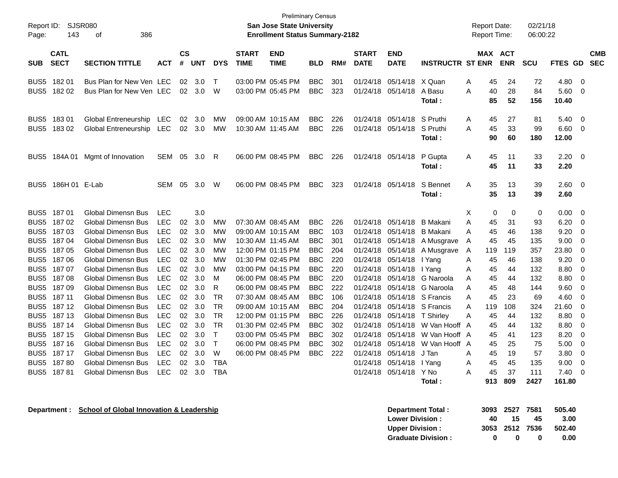| Report ID:<br>Page:      | 143                        | SJSR080<br>386<br>οf                                 |            |                |            |              |                             | <b>Preliminary Census</b><br><b>San Jose State University</b><br><b>Enrollment Status Summary-2182</b> |                          |            |                             |                             |                                | <b>Report Date:</b><br><b>Report Time:</b> |                |                       | 02/21/18<br>06:00:22 |                       |                         |                          |
|--------------------------|----------------------------|------------------------------------------------------|------------|----------------|------------|--------------|-----------------------------|--------------------------------------------------------------------------------------------------------|--------------------------|------------|-----------------------------|-----------------------------|--------------------------------|--------------------------------------------|----------------|-----------------------|----------------------|-----------------------|-------------------------|--------------------------|
| <b>SUB</b>               | <b>CATL</b><br><b>SECT</b> | <b>SECTION TITTLE</b>                                | <b>ACT</b> | <b>CS</b><br># | <b>UNT</b> | <b>DYS</b>   | <b>START</b><br><b>TIME</b> | <b>END</b><br><b>TIME</b>                                                                              | <b>BLD</b>               | RM#        | <b>START</b><br><b>DATE</b> | <b>END</b><br><b>DATE</b>   | <b>INSTRUCTR ST ENR</b>        |                                            |                | MAX ACT<br><b>ENR</b> | <b>SCU</b>           | <b>FTES GD</b>        |                         | <b>CMB</b><br><b>SEC</b> |
| BUS <sub>5</sub>         | 182 01<br>BUS5 182 02      | Bus Plan for New Ven LEC<br>Bus Plan for New Ven LEC |            | 02<br>02       | 3.0<br>3.0 | $\top$<br>W  |                             | 03:00 PM 05:45 PM<br>03:00 PM 05:45 PM                                                                 | <b>BBC</b><br><b>BBC</b> | 301<br>323 | 01/24/18<br>01/24/18        | 05/14/18 X Quan<br>05/14/18 | A Basu<br>Total:               | A<br>A                                     | 45<br>40<br>85 | 24<br>28<br>52        | 72<br>84<br>156      | 4.80<br>5.60<br>10.40 | $\mathbf 0$<br>$\Omega$ |                          |
| BUS5<br>BUS <sub>5</sub> | 18301<br>18302             | Global Entreneurship LEC<br>Global Entreneurship LEC |            | 02<br>02       | 3.0<br>3.0 | МW<br>МW     | 10:30 AM 11:45 AM           | 09:00 AM 10:15 AM                                                                                      | <b>BBC</b><br><b>BBC</b> | 226<br>226 | 01/24/18<br>01/24/18        | 05/14/18<br>05/14/18        | S Pruthi<br>S Pruthi<br>Total: | A<br>A                                     | 45<br>45<br>90 | 27<br>33<br>60        | 81<br>99<br>180      | 5.40<br>6.60<br>12.00 | $\mathbf 0$<br>- 0      |                          |
| BUS5                     | 184A 01                    | Mgmt of Innovation                                   | <b>SEM</b> | 05             | 3.0        | R            |                             | 06:00 PM 08:45 PM                                                                                      | <b>BBC</b>               | 226        |                             | 01/24/18 05/14/18           | P Gupta<br>Total:              | A                                          | 45<br>45       | 11<br>11              | 33<br>33             | 2.20<br>2.20          | - 0                     |                          |
| BUS5                     | 186H 01 E-Lab              |                                                      | <b>SEM</b> | 05             | 3.0        | W            |                             | 06:00 PM 08:45 PM                                                                                      | <b>BBC</b>               | 323        | 01/24/18                    | 05/14/18                    | S Bennet<br>Total:             | A                                          | 35<br>35       | 13<br>13              | 39<br>39             | 2.60<br>2.60          | 0                       |                          |
|                          | BUS5 187 01                | Global Dimensn Bus                                   | <b>LEC</b> |                | 3.0        |              |                             |                                                                                                        |                          |            |                             |                             |                                | X                                          | 0              | 0                     | 0                    | 0.00                  | - 0                     |                          |
| BUS <sub>5</sub>         | 18702                      | <b>Global Dimensn Bus</b>                            | <b>LEC</b> | 02             | 3.0        | <b>MW</b>    |                             | 07:30 AM 08:45 AM                                                                                      | <b>BBC</b>               | 226        | 01/24/18                    | 05/14/18                    | B Makani                       | A                                          | 45             | 31                    | 93                   | 6.20                  | $\Omega$                |                          |
| BUS <sub>5</sub>         | 187 03                     | Global Dimensn Bus                                   | <b>LEC</b> | 02             | 3.0        | МW           |                             | 09:00 AM 10:15 AM                                                                                      | <b>BBC</b>               | 103        | 01/24/18                    | 05/14/18                    | <b>B</b> Makani                | A                                          | 45             | 46                    | 138                  | 9.20                  | 0                       |                          |
| BUS <sub>5</sub>         | 18704                      | <b>Global Dimensn Bus</b>                            | <b>LEC</b> | 02             | 3.0        | <b>MW</b>    | 10:30 AM 11:45 AM           |                                                                                                        | <b>BBC</b>               | 301        | 01/24/18                    | 05/14/18                    | A Musgrave                     | A                                          | 45             | 45                    | 135                  | 9.00                  | 0                       |                          |
| BUS <sub>5</sub>         | 18705                      | Global Dimensn Bus                                   | <b>LEC</b> | 02             | 3.0        | МW           |                             | 12:00 PM 01:15 PM                                                                                      | <b>BBC</b>               | 204        | 01/24/18                    | 05/14/18                    | A Musgrave                     | A                                          | 119            | 119                   | 357                  | 23.80                 | 0                       |                          |
| BUS <sub>5</sub>         | 18706                      | <b>Global Dimensn Bus</b>                            | <b>LEC</b> | 02             | 3.0        | <b>MW</b>    |                             | 01:30 PM 02:45 PM                                                                                      | <b>BBC</b>               | 220        | 01/24/18                    | 05/14/18                    | I Yang                         | A                                          | 45             | 46                    | 138                  | 9.20                  | $\Omega$                |                          |
| BUS5                     | 18707                      | <b>Global Dimensn Bus</b>                            | <b>LEC</b> | 02             | 3.0        | <b>MW</b>    |                             | 03:00 PM 04:15 PM                                                                                      | <b>BBC</b>               | 220        | 01/24/18                    | 05/14/18                    | I Yang                         | A                                          | 45             | 44                    | 132                  | 8.80                  | 0                       |                          |
| BUS <sub>5</sub>         | 18708                      | <b>Global Dimensn Bus</b>                            | <b>LEC</b> | 02             | 3.0        | м            |                             | 06:00 PM 08:45 PM                                                                                      | <b>BBC</b>               | 220        | 01/24/18                    | 05/14/18                    | G Naroola                      | A                                          | 45             | 44                    | 132                  | 8.80                  | 0                       |                          |
| BUS <sub>5</sub>         | 18709                      | <b>Global Dimensn Bus</b>                            | <b>LEC</b> | 02             | 3.0        | R            |                             | 06:00 PM 08:45 PM                                                                                      | BBC                      | 222        | 01/24/18                    |                             | 05/14/18 G Naroola             | A                                          | 45             | 48                    | 144                  | 9.60                  | $\Omega$                |                          |
| BUS <sub>5</sub>         | 187 11                     | <b>Global Dimensn Bus</b>                            | <b>LEC</b> | 02             | 3.0        | TR           |                             | 07:30 AM 08:45 AM                                                                                      | <b>BBC</b>               | 106        | 01/24/18                    |                             | 05/14/18 S Francis             | A                                          | 45             | 23                    | 69                   | 4.60                  | $\mathbf 0$             |                          |
| BUS5                     | 187 12                     | <b>Global Dimensn Bus</b>                            | <b>LEC</b> | 02             | 3.0        | <b>TR</b>    |                             | 09:00 AM 10:15 AM                                                                                      | <b>BBC</b>               | 204        | 01/24/18                    |                             | 05/14/18 S Francis             | A                                          | 119            | 108                   | 324                  | 21.60                 | 0                       |                          |
| BUS <sub>5</sub>         | 187 13                     | Global Dimensn Bus                                   | <b>LEC</b> | 02             | 3.0        | TR           |                             | 12:00 PM 01:15 PM                                                                                      | <b>BBC</b>               | 226        | 01/24/18                    | 05/14/18                    | <b>T</b> Shirley               | A                                          | 45             | 44                    | 132                  | 8.80                  | 0                       |                          |
| BUS <sub>5</sub>         | 187 14                     | <b>Global Dimensn Bus</b>                            | <b>LEC</b> | 02             | 3.0        | <b>TR</b>    |                             | 01:30 PM 02:45 PM                                                                                      | <b>BBC</b>               | 302        | 01/24/18                    | 05/14/18                    | W Van Hooff A                  |                                            | 45             | 44                    | 132                  | 8.80                  | $\Omega$                |                          |
| BUS5                     | 187 15                     | <b>Global Dimensn Bus</b>                            | <b>LEC</b> | 02             | 3.0        | $\mathsf{T}$ |                             | 03:00 PM 05:45 PM                                                                                      | <b>BBC</b>               | 302        | 01/24/18                    | 05/14/18                    | W Van Hooff A                  |                                            | 45             | 41                    | 123                  | 8.20                  | $\mathbf 0$             |                          |
| BUS <sub>5</sub>         | 187 16                     | <b>Global Dimensn Bus</b>                            | <b>LEC</b> | 02             | 3.0        | $\mathsf{T}$ |                             | 06:00 PM 08:45 PM                                                                                      | <b>BBC</b>               | 302        | 01/24/18                    | 05/14/18                    | W Van Hooff A                  |                                            | 45             | 25                    | 75                   | 5.00                  | 0                       |                          |
| BUS <sub>5</sub>         | 187 17                     | <b>Global Dimensn Bus</b>                            | <b>LEC</b> | 02             | 3.0        | W            |                             | 06:00 PM 08:45 PM                                                                                      | <b>BBC</b>               | 222        | 01/24/18                    | 05/14/18                    | J Tan                          | A                                          | 45             | 19                    | 57                   | 3.80                  | 0                       |                          |
| BUS5                     | 18780                      | <b>Global Dimensn Bus</b>                            | <b>LEC</b> | 02             | 3.0        | <b>TBA</b>   |                             |                                                                                                        |                          |            | 01/24/18                    | 05/14/18                    | I Yang                         | A                                          | 45             | 45                    | 135                  | 9.00                  | $\Omega$                |                          |
| BUS5                     | 18781                      | <b>Global Dimensn Bus</b>                            | <b>LEC</b> | 02             | 3.0        | <b>TBA</b>   |                             |                                                                                                        |                          |            | 01/24/18                    | 05/14/18                    | Y No<br>Total:                 | A                                          | 45<br>913      | 37<br>809             | 111<br>2427          | 7.40<br>161.80        | 0                       |                          |

**Department : School of Global Innovation & Leadership** 

| Department Total:         |     | 3093 2527 7581 |              | 505.40 |
|---------------------------|-----|----------------|--------------|--------|
| <b>Lower Division:</b>    | 40. | 15             | 45           | 3.00   |
| <b>Upper Division:</b>    |     | 3053 2512 7536 |              | 502.40 |
| <b>Graduate Division:</b> | o   | n              | $\mathbf{u}$ | 0.00   |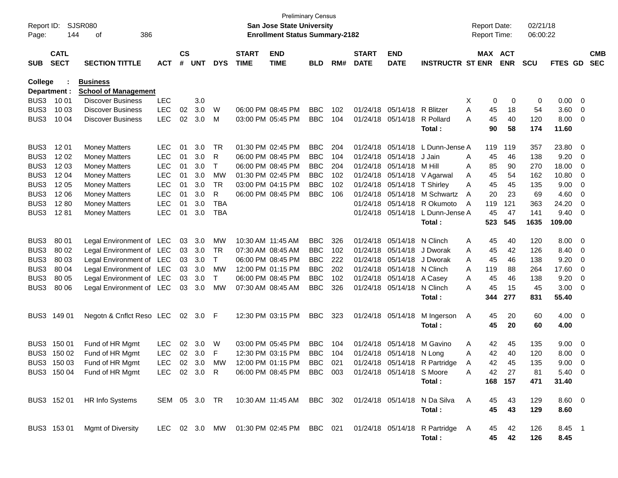| Report ID:<br>Page: | 144                        | SJSR080<br>386<br>οf          |              |                    |            |            |                             | <b>Preliminary Census</b><br><b>San Jose State University</b><br><b>Enrollment Status Summary-2182</b> |            |     |                             |                             |                                                                         |   | <b>Report Date:</b><br>Report Time: |            | 02/21/18<br>06:00:22 |                |                         |                          |
|---------------------|----------------------------|-------------------------------|--------------|--------------------|------------|------------|-----------------------------|--------------------------------------------------------------------------------------------------------|------------|-----|-----------------------------|-----------------------------|-------------------------------------------------------------------------|---|-------------------------------------|------------|----------------------|----------------|-------------------------|--------------------------|
| <b>SUB</b>          | <b>CATL</b><br><b>SECT</b> | <b>SECTION TITTLE</b>         | <b>ACT</b>   | $\mathsf{cs}$<br># | <b>UNT</b> | <b>DYS</b> | <b>START</b><br><b>TIME</b> | <b>END</b><br><b>TIME</b>                                                                              | <b>BLD</b> | RM# | <b>START</b><br><b>DATE</b> | <b>END</b><br><b>DATE</b>   | <b>INSTRUCTR ST ENR</b>                                                 |   | MAX ACT                             | <b>ENR</b> | <b>SCU</b>           | FTES GD        |                         | <b>CMB</b><br><b>SEC</b> |
| College             |                            | <b>Business</b>               |              |                    |            |            |                             |                                                                                                        |            |     |                             |                             |                                                                         |   |                                     |            |                      |                |                         |                          |
|                     | Department :               | <b>School of Management</b>   |              |                    |            |            |                             |                                                                                                        |            |     |                             |                             |                                                                         |   |                                     |            |                      |                |                         |                          |
| BUS3                | 10 01                      | <b>Discover Business</b>      | <b>LEC</b>   |                    | 3.0        |            |                             |                                                                                                        |            |     |                             |                             |                                                                         | X | 0                                   | 0          | 0                    | 0.00           | - 0                     |                          |
| BUS3                | 10 03                      | <b>Discover Business</b>      | <b>LEC</b>   | 02                 | 3.0        | W          |                             | 06:00 PM 08:45 PM                                                                                      | <b>BBC</b> | 102 |                             | 01/24/18 05/14/18 R Blitzer |                                                                         | A | 45                                  | 18         | 54                   | 3.60           | 0                       |                          |
| BUS3                | 10 04                      | <b>Discover Business</b>      | <b>LEC</b>   | 02                 | 3.0        | M          |                             | 03:00 PM 05:45 PM                                                                                      | <b>BBC</b> | 104 |                             | 01/24/18 05/14/18           | R Pollard                                                               | A | 45                                  | 40         | 120                  | 8.00           | 0                       |                          |
|                     |                            |                               |              |                    |            |            |                             |                                                                                                        |            |     |                             |                             | Total:                                                                  |   | 90                                  | 58         | 174                  | 11.60          |                         |                          |
| BUS3                | 12 01                      | <b>Money Matters</b>          | <b>LEC</b>   | 01                 | 3.0        | TR         |                             | 01:30 PM 02:45 PM                                                                                      | <b>BBC</b> | 204 |                             | 01/24/18 05/14/18           | L Dunn-Jense A                                                          |   | 119                                 | 119        | 357                  | 23.80          | $\overline{0}$          |                          |
| BUS3                | 12 02                      | <b>Money Matters</b>          | <b>LEC</b>   | 01                 | 3.0        | R          |                             | 06:00 PM 08:45 PM                                                                                      | <b>BBC</b> | 104 | 01/24/18                    | 05/14/18                    | J Jain                                                                  | A | 45                                  | 46         | 138                  | 9.20           | $\overline{0}$          |                          |
| BUS3                | 12 03                      | <b>Money Matters</b>          | <b>LEC</b>   | 01                 | 3.0        | T          |                             | 06:00 PM 08:45 PM                                                                                      | <b>BBC</b> | 204 | 01/24/18                    | 05/14/18                    | M Hill                                                                  | Α | 85                                  | 90         | 270                  | 18.00          | 0                       |                          |
| BUS3                | 12 04                      | <b>Money Matters</b>          | <b>LEC</b>   | 01                 | 3.0        | <b>MW</b>  |                             | 01:30 PM 02:45 PM                                                                                      | <b>BBC</b> | 102 |                             | 01/24/18 05/14/18           | V Agarwal                                                               | A | 45                                  | 54         | 162                  | 10.80          | 0                       |                          |
| BUS3                | 12 05                      | <b>Money Matters</b>          | <b>LEC</b>   | 01                 | 3.0        | <b>TR</b>  |                             | 03:00 PM 04:15 PM                                                                                      | <b>BBC</b> | 102 |                             | 01/24/18 05/14/18 T Shirley |                                                                         | A | 45                                  | 45         | 135                  | 9.00           | 0                       |                          |
| BUS3                | 12 06                      | <b>Money Matters</b>          | <b>LEC</b>   | 01                 | 3.0        | R          |                             | 06:00 PM 08:45 PM                                                                                      | <b>BBC</b> | 106 |                             |                             | 01/24/18 05/14/18 M Schwartz                                            | A | 20                                  | 23         | 69                   | 4.60           | 0                       |                          |
| BUS3                | 1280                       | <b>Money Matters</b>          | <b>LEC</b>   | 01                 | 3.0        | <b>TBA</b> |                             |                                                                                                        |            |     | 01/24/18                    |                             | 05/14/18 R Okumoto                                                      | A | 119                                 | 121        | 363                  | 24.20          | 0                       |                          |
| BUS3                | 1281                       | <b>Money Matters</b>          | <b>LEC</b>   | 01                 | 3.0        | <b>TBA</b> |                             |                                                                                                        |            |     |                             | 01/24/18 05/14/18           | L Dunn-Jense A                                                          |   | 45                                  | 47         | 141                  | 9.40           | 0                       |                          |
|                     |                            |                               |              |                    |            |            |                             |                                                                                                        |            |     |                             |                             | Total:                                                                  |   | 523                                 | 545        | 1635                 | 109.00         |                         |                          |
| BUS3                | 80 01                      | Legal Environment of LEC      |              | 03                 | 3.0        | MW         |                             | 10:30 AM 11:45 AM                                                                                      | <b>BBC</b> | 326 |                             | 01/24/18 05/14/18           | N Clinch                                                                | A | 45                                  | 40         | 120                  | 8.00           | - 0                     |                          |
| BUS3                | 80 02                      | Legal Environment of LEC      |              | 03                 | 3.0        | TR         |                             | 07:30 AM 08:45 AM                                                                                      | <b>BBC</b> | 102 |                             | 01/24/18 05/14/18           | J Dworak                                                                | A | 45                                  | 42         | 126                  | 8.40           | 0                       |                          |
| BUS3                | 80 03                      | Legal Environment of LEC      |              | 03                 | 3.0        | T          |                             | 06:00 PM 08:45 PM                                                                                      | <b>BBC</b> | 222 |                             | 01/24/18 05/14/18           | J Dworak                                                                | A | 45                                  | 46         | 138                  | 9.20           | 0                       |                          |
| BUS3                | 80 04                      | Legal Environment of LEC      |              | 03                 | 3.0        | <b>MW</b>  |                             | 12:00 PM 01:15 PM                                                                                      | <b>BBC</b> | 202 |                             | 01/24/18 05/14/18 N Clinch  |                                                                         | A | 119                                 | 88         | 264                  | 17.60          | 0                       |                          |
| BUS3                | 80 05                      | Legal Environment of LEC      |              | 03                 | 3.0        | T          |                             | 06:00 PM 08:45 PM                                                                                      | <b>BBC</b> | 102 |                             | 01/24/18 05/14/18           | A Casey                                                                 | A | 45                                  | 46         | 138                  | 9.20           | 0                       |                          |
| BUS3                | 80 06                      | Legal Environment of LEC      |              | 03                 | 3.0        | MW         |                             | 07:30 AM 08:45 AM                                                                                      | <b>BBC</b> | 326 |                             | 01/24/18 05/14/18           | N Clinch                                                                | A | 45                                  | 15         | 45                   | 3.00           | 0                       |                          |
|                     |                            |                               |              |                    |            |            |                             |                                                                                                        |            |     |                             |                             | Total :                                                                 |   | 344                                 | 277        | 831                  | 55.40          |                         |                          |
|                     | BUS3 149 01                | Negotn & Cnflct Reso LEC      |              |                    | 02 3.0 F   |            |                             | 12:30 PM 03:15 PM                                                                                      | <b>BBC</b> | 323 |                             | 01/24/18 05/14/18           | M Ingerson                                                              | A | 45                                  | 20         | 60                   | $4.00 \t 0$    |                         |                          |
|                     |                            |                               |              |                    |            |            |                             |                                                                                                        |            |     |                             |                             | Total:                                                                  |   | 45                                  | 20         | 60                   | 4.00           |                         |                          |
|                     | BUS3 150 01                | Fund of HR Mgmt               | <b>LEC</b>   | 02                 | 3.0        | W          |                             | 03:00 PM 05:45 PM                                                                                      | <b>BBC</b> | 104 |                             | 01/24/18 05/14/18           | M Gavino                                                                | Α | 42                                  | 45         | 135                  | 9.00           | $\overline{\mathbf{0}}$ |                          |
|                     | BUS3 150 02                | Fund of HR Mgmt               | <b>LEC</b>   | 02                 | 3.0        | F          |                             | 12:30 PM 03:15 PM                                                                                      | <b>BBC</b> | 104 |                             | 01/24/18 05/14/18 N Long    |                                                                         | A | 42                                  | 40         | 120                  | 8.00           | 0                       |                          |
|                     | BUS3 150 03                | Fund of HR Mgmt               | <b>LEC</b>   |                    | 02 3.0     | MW         |                             | 12:00 PM 01:15 PM                                                                                      | BBC        | 021 |                             |                             | 01/24/18 05/14/18 R Partridge                                           | A | 42                                  | 45         | 135                  | 9.00           | $\Omega$                |                          |
|                     |                            | BUS3 150 04 Fund of HR Mgmt   | LEC 02 3.0 R |                    |            |            |                             | 06:00 PM 08:45 PM BBC 003 01/24/18 05/14/18 S Moore                                                    |            |     |                             |                             |                                                                         | A | 42                                  | 27         | 81                   | $5.40 \quad 0$ |                         |                          |
|                     |                            |                               |              |                    |            |            |                             |                                                                                                        |            |     |                             |                             | Total:                                                                  |   |                                     | 168 157    | 471                  | 31.40          |                         |                          |
|                     |                            | BUS3 152 01 HR Info Systems   |              |                    |            |            |                             |                                                                                                        |            |     |                             |                             | SEM 05 3.0 TR 10:30 AM 11:45 AM BBC 302 01/24/18 05/14/18 N Da Silva    | A | 45                                  | 43         | 129                  | $8.60 \quad 0$ |                         |                          |
|                     |                            |                               |              |                    |            |            |                             |                                                                                                        |            |     |                             |                             | Total:                                                                  |   | 45                                  | 43         | 129                  | 8.60           |                         |                          |
|                     |                            | BUS3 153 01 Mgmt of Diversity |              |                    |            |            |                             |                                                                                                        |            |     |                             |                             | LEC 02 3.0 MW 01:30 PM 02:45 PM BBC 021 01/24/18 05/14/18 R Partridge A |   | 45                                  | 42         | 126                  | 8.45 1         |                         |                          |
|                     |                            |                               |              |                    |            |            |                             |                                                                                                        |            |     |                             |                             | Total:                                                                  |   | 45                                  | 42         | 126                  | 8.45           |                         |                          |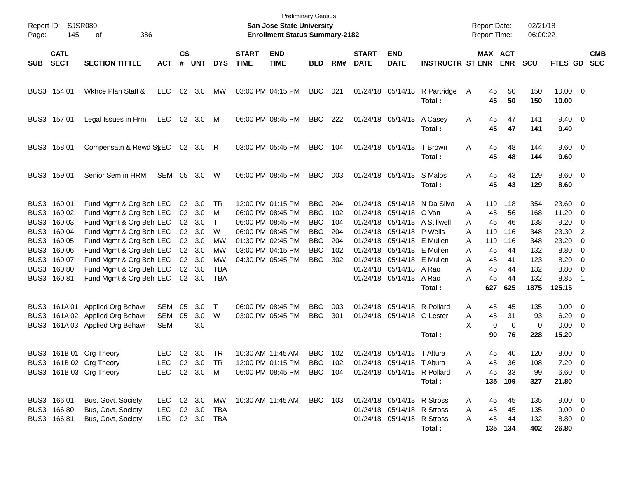| Page:      | Report ID: SJSR080<br>145  | 386<br>οf                                          |                |                    |                |            |                             | <b>Preliminary Census</b><br>San Jose State University<br><b>Enrollment Status Summary-2182</b> |                          |            |                             |                                        |                         | <b>Report Date:</b><br><b>Report Time:</b> |           |                       | 02/21/18<br>06:00:22 |                        |                          |                          |
|------------|----------------------------|----------------------------------------------------|----------------|--------------------|----------------|------------|-----------------------------|-------------------------------------------------------------------------------------------------|--------------------------|------------|-----------------------------|----------------------------------------|-------------------------|--------------------------------------------|-----------|-----------------------|----------------------|------------------------|--------------------------|--------------------------|
| <b>SUB</b> | <b>CATL</b><br><b>SECT</b> | <b>SECTION TITTLE</b>                              | <b>ACT</b>     | $\mathsf{cs}$<br># | <b>UNT</b>     | <b>DYS</b> | <b>START</b><br><b>TIME</b> | <b>END</b><br><b>TIME</b>                                                                       | <b>BLD</b>               | RM#        | <b>START</b><br><b>DATE</b> | <b>END</b><br><b>DATE</b>              | <b>INSTRUCTR ST ENR</b> |                                            |           | MAX ACT<br><b>ENR</b> | <b>SCU</b>           | <b>FTES GD</b>         |                          | <b>CMB</b><br><b>SEC</b> |
|            | BUS3 154 01                | Wkfrce Plan Staff &                                | <b>LEC</b>     | 02                 | 3.0            | МW         | 03:00 PM 04:15 PM           |                                                                                                 | <b>BBC</b>               | 021        |                             | 01/24/18 05/14/18                      | R Partridge<br>Total:   | A                                          | 45<br>45  | 50<br>50              | 150<br>150           | $10.00 \t 0$<br>10.00  |                          |                          |
|            | BUS3 157 01                | Legal Issues in Hrm                                | <b>LEC</b>     | 02                 | 3.0            | M          |                             | 06:00 PM 08:45 PM                                                                               | <b>BBC</b>               | 222        |                             | 01/24/18 05/14/18                      | A Casey<br>Total:       | A                                          | 45<br>45  | 47<br>47              | 141<br>141           | $9.40 \quad 0$<br>9.40 |                          |                          |
|            | BUS3 158 01                | Compensatn & Rewd SyEC                             |                |                    | $02 \quad 3.0$ | R          |                             | 03:00 PM 05:45 PM                                                                               | <b>BBC</b>               | 104        |                             | 01/24/18 05/14/18                      | T Brown<br>Total:       | Α                                          | 45<br>45  | 48<br>48              | 144<br>144           | $9.60 \quad 0$<br>9.60 |                          |                          |
|            | BUS3 159 01                | Senior Sem in HRM                                  | SEM            | 05                 | 3.0            | W          |                             | 06:00 PM 08:45 PM                                                                               | <b>BBC</b>               | 003        |                             | 01/24/18 05/14/18                      | S Malos<br>Total:       | Α                                          | 45<br>45  | 43<br>43              | 129<br>129           | $8.60$ 0<br>8.60       |                          |                          |
| BUS3       | BUS3 160 01<br>160 02      | Fund Mgmt & Org Beh LEC<br>Fund Mgmt & Org Beh LEC |                | 02                 | 3.0<br>02 3.0  | TR<br>M    |                             | 12:00 PM 01:15 PM<br>06:00 PM 08:45 PM                                                          | <b>BBC</b><br><b>BBC</b> | 204<br>102 |                             | 01/24/18 05/14/18<br>01/24/18 05/14/18 | N Da Silva<br>C Van     | A<br>A                                     | 119<br>45 | 118<br>56             | 354<br>168           | 23.60 0<br>11.20 0     |                          |                          |
| BUS3       | 160 03                     | Fund Mgmt & Org Beh LEC                            |                |                    | 02 3.0         | $\top$     |                             | 06:00 PM 08:45 PM                                                                               | <b>BBC</b>               | 104        |                             | 01/24/18 05/14/18 A Stillwell          |                         | A                                          | 45        | 46                    | 138                  | $9.20 \ 0$             |                          |                          |
| BUS3       | 160 04                     | Fund Mgmt & Org Beh LEC                            |                | 02 <sub>o</sub>    | 3.0            | W          |                             | 06:00 PM 08:45 PM                                                                               | <b>BBC</b>               | 204        |                             | 01/24/18 05/14/18                      | P Wells                 | A                                          | 119       | 116                   | 348                  | 23.30                  | $\overline{2}$           |                          |
| BUS3       | 160 05                     | Fund Mgmt & Org Beh LEC                            |                |                    | 02 3.0         | MW         |                             | 01:30 PM 02:45 PM                                                                               | <b>BBC</b>               | 204        |                             | 01/24/18 05/14/18                      | E Mullen                | A                                          | 119       | 116                   | 348                  | 23.20                  | $\overline{\mathbf{0}}$  |                          |
| BUS3       | 160 06                     | Fund Mgmt & Org Beh LEC                            |                |                    | 02 3.0         | MW         |                             | 03:00 PM 04:15 PM                                                                               | <b>BBC</b>               | 102        |                             | 01/24/18 05/14/18                      | E Mullen                | A                                          | 45        | 44                    | 132                  | 8.80 0                 |                          |                          |
| BUS3       | 160 07                     | Fund Mgmt & Org Beh LEC                            |                |                    | 02 3.0         | <b>MW</b>  |                             | 04:30 PM 05:45 PM                                                                               | <b>BBC</b>               | 302        |                             | 01/24/18 05/14/18                      | E Mullen                | A                                          | 45        | 41                    | 123                  | 8.20                   | $\overline{\phantom{0}}$ |                          |
| BUS3       | 16080                      | Fund Mgmt & Org Beh LEC                            |                |                    | 02 3.0         | <b>TBA</b> |                             |                                                                                                 |                          |            |                             | 01/24/18 05/14/18 A Rao                |                         | A                                          | 45        | 44                    | 132                  | 8.80                   | $\overline{\phantom{0}}$ |                          |
| BUS3       | 160 81                     | Fund Mgmt & Org Beh LEC                            |                |                    | $02 \quad 3.0$ | <b>TBA</b> |                             |                                                                                                 |                          |            |                             | 01/24/18 05/14/18                      | A Rao                   | A                                          | 45        | 44                    | 132                  | 8.85                   | $\overline{\phantom{1}}$ |                          |
|            |                            |                                                    |                |                    |                |            |                             |                                                                                                 |                          |            |                             |                                        | Total:                  |                                            | 627       | 625                   | 1875                 | 125.15                 |                          |                          |
| BUS3       | 161A 01                    | Applied Org Behavr                                 | <b>SEM</b>     | 05                 | 3.0            | T          |                             | 06:00 PM 08:45 PM                                                                               | <b>BBC</b>               | 003        |                             | 01/24/18 05/14/18 R Pollard            |                         | A                                          | 45        | 45                    | 135                  | $9.00 \t 0$            |                          |                          |
| BUS3       |                            | 161A 02 Applied Org Behavr                         | <b>SEM</b>     | 05                 | 3.0            | W          |                             | 03:00 PM 05:45 PM                                                                               | <b>BBC</b>               | 301        |                             | 01/24/18 05/14/18                      | G Lester                | Α                                          | 45        | 31                    | 93                   | $6.20 \ 0$             |                          |                          |
| BUS3       |                            | 161A 03 Applied Org Behavr                         | <b>SEM</b>     |                    | 3.0            |            |                             |                                                                                                 |                          |            |                             |                                        |                         | X                                          | 0         | $\mathbf 0$           | 0                    | $0.00 \t 0$            |                          |                          |
|            |                            |                                                    |                |                    |                |            |                             |                                                                                                 |                          |            |                             |                                        | Total:                  |                                            | 90        | 76                    | 228                  | 15.20                  |                          |                          |
|            |                            |                                                    |                |                    |                |            |                             |                                                                                                 |                          |            |                             |                                        |                         |                                            |           |                       |                      |                        |                          |                          |
|            |                            | BUS3 161B 01 Org Theory                            | LEC.           | 02                 | 3.0            | <b>TR</b>  | 10:30 AM 11:45 AM           |                                                                                                 | <b>BBC</b>               | 102        |                             | 01/24/18 05/14/18                      | T Altura                | Α                                          | 45        | 40                    | 120                  | $8.00 \t 0$            |                          |                          |
|            |                            | BUS3 161B 02 Org Theory                            | LEC            |                    | 02 3.0 TR      |            |                             | 12:00 PM 01:15 PM                                                                               | BBC                      | 102        |                             | 01/24/18 05/14/18 T Altura             |                         | A                                          | 45        | 36                    | 108                  | $7.20 \t 0$            |                          |                          |
|            |                            | BUS3 161B 03 Org Theory                            | LEC 02 3.0 M   |                    |                |            |                             | 06:00 PM 08:45 PM BBC 104                                                                       |                          |            |                             | 01/24/18 05/14/18 R Pollard            | Total:                  | A                                          | 45        | 33<br>135 109         | 99<br>327            | $6.60$ 0<br>21.80      |                          |                          |
|            |                            |                                                    |                |                    |                |            |                             |                                                                                                 |                          |            |                             |                                        |                         |                                            |           |                       |                      |                        |                          |                          |
|            | BUS3 166 01                | Bus, Govt, Society                                 |                |                    |                |            |                             | LEC 02 3.0 MW 10:30 AM 11:45 AM BBC 103                                                         |                          |            |                             | 01/24/18 05/14/18 R Stross             |                         | A                                          | 45        | 45                    | 135                  | $9.00 \t 0$            |                          |                          |
|            | BUS3 166 80                | Bus, Govt, Society                                 | LEC            |                    | 02 3.0         | TBA        |                             |                                                                                                 |                          |            |                             | 01/24/18 05/14/18 R Stross             |                         | A                                          | 45        | 45                    | 135                  | $9.00 \t 0$            |                          |                          |
|            | BUS3 16681                 | Bus, Govt, Society                                 | LEC 02 3.0 TBA |                    |                |            |                             |                                                                                                 |                          |            |                             | 01/24/18 05/14/18 R Stross             |                         | A                                          | 45        | 44                    | 132                  | 8.80 0                 |                          |                          |
|            |                            |                                                    |                |                    |                |            |                             |                                                                                                 |                          |            |                             |                                        | Total:                  |                                            |           | 135 134               | 402                  | 26.80                  |                          |                          |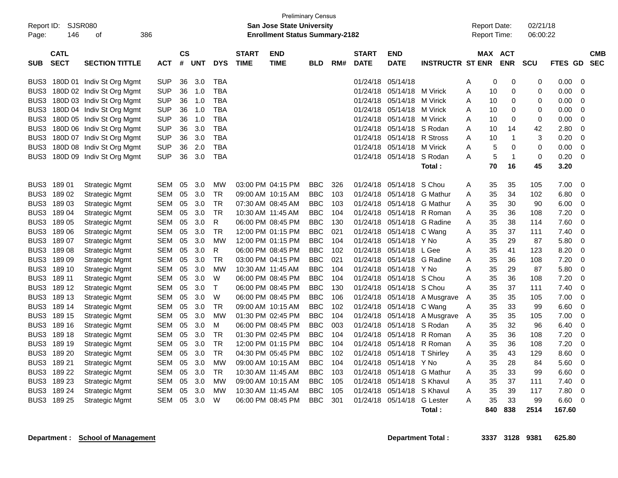| Report ID:<br>Page: | SJSR080<br>146             | 386<br>οf                 |            |            |            |              |                             | <b>Preliminary Census</b><br><b>San Jose State University</b><br><b>Enrollment Status Summary-2182</b> |            |     |                             |                           |                         | <b>Report Date:</b><br><b>Report Time:</b> |                       | 02/21/18<br>06:00:22 |                |                |                          |
|---------------------|----------------------------|---------------------------|------------|------------|------------|--------------|-----------------------------|--------------------------------------------------------------------------------------------------------|------------|-----|-----------------------------|---------------------------|-------------------------|--------------------------------------------|-----------------------|----------------------|----------------|----------------|--------------------------|
| <b>SUB</b>          | <b>CATL</b><br><b>SECT</b> | <b>SECTION TITTLE</b>     | ACT        | CS<br>$\#$ | <b>UNT</b> | <b>DYS</b>   | <b>START</b><br><b>TIME</b> | <b>END</b><br><b>TIME</b>                                                                              | <b>BLD</b> | RM# | <b>START</b><br><b>DATE</b> | <b>END</b><br><b>DATE</b> | <b>INSTRUCTR ST ENR</b> |                                            | MAX ACT<br><b>ENR</b> | <b>SCU</b>           | <b>FTES GD</b> |                | <b>CMB</b><br><b>SEC</b> |
| BUS3                |                            | 180D 01 Indiv St Org Mgmt | <b>SUP</b> | 36         | 3.0        | <b>TBA</b>   |                             |                                                                                                        |            |     | 01/24/18                    | 05/14/18                  |                         | Α                                          | 0<br>$\mathbf 0$      | 0                    | 0.00           | $\overline{0}$ |                          |
| BUS3                |                            | 180D 02 Indiv St Org Mgmt | <b>SUP</b> | 36         | 1.0        | TBA          |                             |                                                                                                        |            |     | 01/24/18                    | 05/14/18                  | M Virick                | A<br>10                                    | $\mathbf 0$           | $\mathbf 0$          | 0.00           | $\overline{0}$ |                          |
| BUS3                |                            | 180D 03 Indiv St Org Mgmt | <b>SUP</b> | 36         | 1.0        | <b>TBA</b>   |                             |                                                                                                        |            |     | 01/24/18                    | 05/14/18                  | M Virick                | A<br>10                                    | $\mathbf 0$           | 0                    | 0.00           | $\overline{0}$ |                          |
| BUS3                |                            | 180D 04 Indiv St Org Mgmt | <b>SUP</b> | 36         | 1.0        | <b>TBA</b>   |                             |                                                                                                        |            |     | 01/24/18                    | 05/14/18                  | M Virick                | A<br>10                                    | $\mathbf 0$           | $\mathbf 0$          | 0.00           | $\overline{0}$ |                          |
| BUS <sub>3</sub>    |                            | 180D 05 Indiv St Org Mgmt | <b>SUP</b> | 36         | 1.0        | <b>TBA</b>   |                             |                                                                                                        |            |     | 01/24/18                    | 05/14/18                  | M Virick                | Α<br>10                                    | $\mathbf 0$           | $\mathbf 0$          | 0.00           | $\overline{0}$ |                          |
| BUS3                |                            | 180D 06 Indiv St Org Mgmt | <b>SUP</b> | 36         | 3.0        | TBA          |                             |                                                                                                        |            |     | 01/24/18                    | 05/14/18                  | S Rodan                 | 10<br>A                                    | 14                    | 42                   | 2.80           | $\overline{0}$ |                          |
| BUS3                |                            | 180D 07 Indiv St Org Mgmt | <b>SUP</b> | 36         | 3.0        | <b>TBA</b>   |                             |                                                                                                        |            |     | 01/24/18                    | 05/14/18                  | R Stross                | A<br>10                                    | $\mathbf{1}$          | 3                    | 0.20           | $\Omega$       |                          |
| BUS3                |                            | 180D 08 Indiv St Org Mgmt | <b>SUP</b> | 36         | 2.0        | <b>TBA</b>   |                             |                                                                                                        |            |     | 01/24/18                    | 05/14/18                  | M Virick                | A                                          | 5<br>$\mathbf 0$      | $\mathbf 0$          | 0.00           | $\overline{0}$ |                          |
| BUS3                |                            | 180D 09 Indiv St Org Mgmt | <b>SUP</b> | 36         | 3.0        | <b>TBA</b>   |                             |                                                                                                        |            |     | 01/24/18                    | 05/14/18                  | S Rodan                 | А                                          | $\overline{1}$<br>5   | $\mathbf 0$          | 0.20           | $\Omega$       |                          |
|                     |                            |                           |            |            |            |              |                             |                                                                                                        |            |     |                             |                           | Total:                  | 70                                         | 16                    | 45                   | 3.20           |                |                          |
|                     |                            |                           |            |            |            |              |                             |                                                                                                        |            |     |                             |                           |                         |                                            |                       |                      |                |                |                          |
| BUS <sub>3</sub>    | 18901                      | <b>Strategic Mgmt</b>     | SEM        | 05         | 3.0        | МW           |                             | 03:00 PM 04:15 PM                                                                                      | <b>BBC</b> | 326 | 01/24/18                    | 05/14/18                  | S Chou                  | 35<br>Α                                    | 35                    | 105                  | 7.00           | $\overline{0}$ |                          |
| BUS3                | 18902                      | <b>Strategic Mgmt</b>     | <b>SEM</b> | 05         | 3.0        | TR           |                             | 09:00 AM 10:15 AM                                                                                      | <b>BBC</b> | 103 | 01/24/18                    | 05/14/18                  | <b>G</b> Mathur         | 35<br>Α                                    | 34                    | 102                  | 6.80           | $\mathbf 0$    |                          |
| BUS3                | 18903                      | <b>Strategic Mgmt</b>     | <b>SEM</b> | 05         | 3.0        | <b>TR</b>    |                             | 07:30 AM 08:45 AM                                                                                      | <b>BBC</b> | 103 | 01/24/18                    | 05/14/18                  | <b>G</b> Mathur         | 35<br>А                                    | 30                    | 90                   | 6.00           | $\overline{0}$ |                          |
| BUS <sub>3</sub>    | 18904                      | <b>Strategic Mgmt</b>     | <b>SEM</b> | 05         | 3.0        | <b>TR</b>    |                             | 10:30 AM 11:45 AM                                                                                      | <b>BBC</b> | 104 | 01/24/18                    | 05/14/18                  | R Roman                 | 35<br>A                                    | 36                    | 108                  | 7.20           | $\mathbf 0$    |                          |
| BUS3                | 18905                      | <b>Strategic Mgmt</b>     | <b>SEM</b> | 05         | 3.0        | R            |                             | 06:00 PM 08:45 PM                                                                                      | <b>BBC</b> | 130 | 01/24/18                    | 05/14/18                  | G Radine                | 35<br>A                                    | 38                    | 114                  | 7.60           | $\Omega$       |                          |
| BUS <sub>3</sub>    | 18906                      | <b>Strategic Mgmt</b>     | <b>SEM</b> | 05         | 3.0        | <b>TR</b>    |                             | 12:00 PM 01:15 PM                                                                                      | <b>BBC</b> | 021 | 01/24/18                    | 05/14/18                  | C Wang                  | 35<br>A                                    | 37                    | 111                  | 7.40           | $\overline{0}$ |                          |
| BUS3                | 18907                      | <b>Strategic Mgmt</b>     | SEM        | 05         | 3.0        | <b>MW</b>    |                             | 12:00 PM 01:15 PM                                                                                      | <b>BBC</b> | 104 | 01/24/18                    | 05/14/18                  | Y No                    | A<br>35                                    | 29                    | 87                   | 5.80           | $\mathbf 0$    |                          |
| BUS <sub>3</sub>    | 18908                      | <b>Strategic Mgmt</b>     | SEM        | 05         | 3.0        | R            |                             | 06:00 PM 08:45 PM                                                                                      | <b>BBC</b> | 102 | 01/24/18                    | 05/14/18                  | L Gee                   | A<br>35                                    | 41                    | 123                  | 8.20           | -0             |                          |
| BUS3                | 18909                      | <b>Strategic Mgmt</b>     | SEM        | 05         | 3.0        | <b>TR</b>    |                             | 03:00 PM 04:15 PM                                                                                      | <b>BBC</b> | 021 | 01/24/18                    | 05/14/18                  | G Radine                | 35<br>Α                                    | 36                    | 108                  | 7.20           | $\mathbf 0$    |                          |
| BUS3                | 189 10                     | <b>Strategic Mgmt</b>     | <b>SEM</b> | 05         | 3.0        | <b>MW</b>    |                             | 10:30 AM 11:45 AM                                                                                      | <b>BBC</b> | 104 | 01/24/18                    | 05/14/18                  | Y No                    | A<br>35                                    | 29                    | 87                   | 5.80           | $\Omega$       |                          |
| BUS <sub>3</sub>    | 189 11                     | <b>Strategic Mgmt</b>     | <b>SEM</b> | 05         | 3.0        | W            |                             | 06:00 PM 08:45 PM                                                                                      | <b>BBC</b> | 104 | 01/24/18                    | 05/14/18                  | S Chou                  | 35<br>A                                    | 36                    | 108                  | 7.20           | $\mathbf 0$    |                          |
| BUS3                | 189 12                     | <b>Strategic Mgmt</b>     | SEM        | 05         | 3.0        | $\mathsf{T}$ |                             | 06:00 PM 08:45 PM                                                                                      | <b>BBC</b> | 130 | 01/24/18                    | 05/14/18                  | S Chou                  | 35<br>А                                    | 37                    | 111                  | 7.40           | $\Omega$       |                          |
| BUS3                | 189 13                     | <b>Strategic Mgmt</b>     | <b>SEM</b> | 05         | 3.0        | W            |                             | 06:00 PM 08:45 PM                                                                                      | <b>BBC</b> | 106 | 01/24/18                    | 05/14/18                  | A Musgrave              | 35<br>A                                    | 35                    | 105                  | 7.00           | $\overline{0}$ |                          |
| BUS3                | 189 14                     | <b>Strategic Mgmt</b>     | <b>SEM</b> | 05         | 3.0        | <b>TR</b>    |                             | 09:00 AM 10:15 AM                                                                                      | <b>BBC</b> | 102 | 01/24/18                    | 05/14/18                  | C Wang                  | 35<br>A                                    | 33                    | 99                   | 6.60           | $\overline{0}$ |                          |
| BUS3                | 189 15                     | <b>Strategic Mgmt</b>     | <b>SEM</b> | 05         | 3.0        | MW           |                             | 01:30 PM 02:45 PM                                                                                      | <b>BBC</b> | 104 | 01/24/18                    | 05/14/18                  | A Musgrave              | 35<br>A                                    | 35                    | 105                  | 7.00           | $\overline{0}$ |                          |
| BUS3                | 189 16                     | <b>Strategic Mgmt</b>     | SEM        | 05         | 3.0        | м            |                             | 06:00 PM 08:45 PM                                                                                      | <b>BBC</b> | 003 | 01/24/18                    | 05/14/18                  | S Rodan                 | 35<br>Α                                    | 32                    | 96                   | 6.40           | $\mathbf 0$    |                          |
| BUS <sub>3</sub>    | 189 18                     | <b>Strategic Mgmt</b>     | <b>SEM</b> | 05         | 3.0        | <b>TR</b>    |                             | 01:30 PM 02:45 PM                                                                                      | <b>BBC</b> | 104 | 01/24/18                    | 05/14/18                  | R Roman                 | 35<br>Α                                    | 36                    | 108                  | 7.20           | $\overline{0}$ |                          |
| BUS3                | 189 19                     | <b>Strategic Mgmt</b>     | <b>SEM</b> | 05         | 3.0        | <b>TR</b>    |                             | 12:00 PM 01:15 PM                                                                                      | <b>BBC</b> | 104 | 01/24/18                    | 05/14/18                  | R Roman                 | 35<br>Α                                    | 36                    | 108                  | 7.20           | $\mathbf 0$    |                          |
| BUS3                | 189 20                     | Strategic Mgmt            | SEM        | 05         | 3.0        | <b>TR</b>    |                             | 04:30 PM 05:45 PM                                                                                      | <b>BBC</b> | 102 | 01/24/18                    | 05/14/18                  | T Shirlev               | 35<br>A                                    | 43                    | 129                  | 8.60           | $\Omega$       |                          |
| BUS3                | 189 21                     | <b>Strategic Mgmt</b>     | SEM        | 05         | 3.0        | <b>MW</b>    |                             | 09:00 AM 10:15 AM                                                                                      | <b>BBC</b> | 104 | 01/24/18                    | 05/14/18                  | Y No                    | A<br>35                                    | 28                    | 84                   | 5.60           | $\mathbf 0$    |                          |
| BUS3                | 189 22                     | <b>Strategic Mgmt</b>     | <b>SEM</b> | 05         | 3.0        | <b>TR</b>    |                             | 10:30 AM 11:45 AM                                                                                      | <b>BBC</b> | 103 | 01/24/18                    | 05/14/18                  | <b>G</b> Mathur         | 35<br>Α                                    | 33                    | 99                   | 6.60           | $\overline{0}$ |                          |
| BUS3                | 189 23                     | <b>Strategic Mgmt</b>     | SEM        | 05         | 3.0        | MW           |                             | 09:00 AM 10:15 AM                                                                                      | <b>BBC</b> | 105 | 01/24/18                    | 05/14/18                  | S Khavul                | Α<br>35                                    | 37                    | 111                  | 7.40           | $\overline{0}$ |                          |
| BUS3                | 189 24                     | <b>Strategic Mgmt</b>     | SEM        | 05         | 3.0        | MW           |                             | 10:30 AM 11:45 AM                                                                                      | <b>BBC</b> | 105 | 01/24/18                    | 05/14/18                  | S Khavul                | 35<br>A                                    | 39                    | 117                  | 7.80           | $\overline{0}$ |                          |
| BUS3                | 189 25                     | <b>Strategic Mgmt</b>     | <b>SEM</b> | 05         | 3.0        | W            |                             | 06:00 PM 08:45 PM                                                                                      | <b>BBC</b> | 301 | 01/24/18                    | 05/14/18                  | <b>G</b> Lester         | A<br>35                                    | 33                    | 99                   | 6.60           | $\overline{0}$ |                          |
|                     |                            |                           |            |            |            |              |                             |                                                                                                        |            |     |                             |                           | Total:                  | 840                                        | 838                   | 2514                 | 167.60         |                |                          |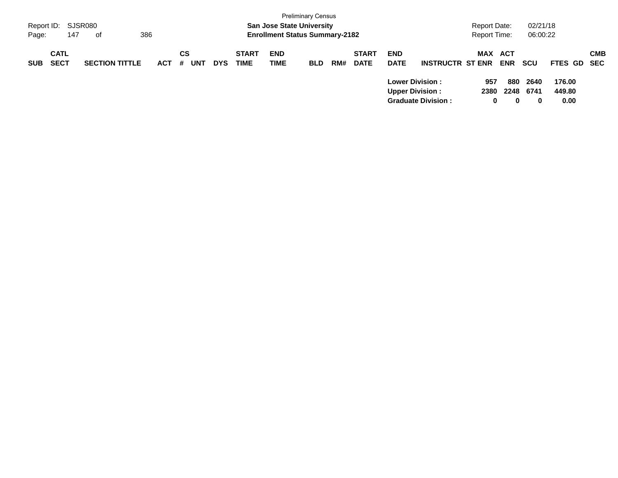| Page:      | Report ID: SJSR080<br>147  | 386<br>оf             |            |                |            |                             | <b>San Jose State University</b><br><b>Enrollment Status Summary-2182</b> | <b>Preliminary Census</b> |     |                             |                                                                                |                           | <b>Report Date:</b><br><b>Report Time:</b> |                                         | 02/21/18<br>06:00:22       |                                        |            |
|------------|----------------------------|-----------------------|------------|----------------|------------|-----------------------------|---------------------------------------------------------------------------|---------------------------|-----|-----------------------------|--------------------------------------------------------------------------------|---------------------------|--------------------------------------------|-----------------------------------------|----------------------------|----------------------------------------|------------|
| <b>SUB</b> | <b>CATL</b><br><b>SECT</b> | <b>SECTION TITTLE</b> | <b>ACT</b> | СS<br>UNT<br># | <b>DYS</b> | <b>START</b><br><b>TIME</b> | <b>END</b><br><b>TIME</b>                                                 | <b>BLD</b>                | RM# | <b>START</b><br><b>DATE</b> | <b>END</b><br><b>DATE</b><br><b>Lower Division :</b><br><b>Upper Division:</b> | <b>INSTRUCTR ST ENR</b>   | <b>MAX</b><br>957<br>2380                  | <b>ACT</b><br><b>ENR</b><br>880<br>2248 | <b>SCU</b><br>2640<br>6741 | <b>FTES GD SEC</b><br>176.00<br>449.80 | <b>CMB</b> |
|            |                            |                       |            |                |            |                             |                                                                           |                           |     |                             |                                                                                | <b>Graduate Division:</b> | 0                                          | 0                                       | $\bf{0}$                   | 0.00                                   |            |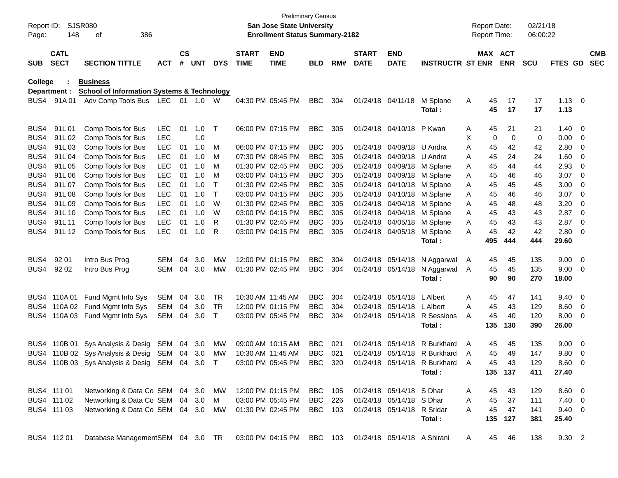| Report ID:<br>Page: | 148                        | <b>SJSR080</b><br>386<br>οf                           |            |               |       |            |                             | <b>Preliminary Census</b><br><b>San Jose State University</b><br><b>Enrollment Status Summary-2182</b> |                |     |                             |                             |                              |   | <b>Report Date:</b><br><b>Report Time:</b> |            | 02/21/18<br>06:00:22 |                |                         |                          |
|---------------------|----------------------------|-------------------------------------------------------|------------|---------------|-------|------------|-----------------------------|--------------------------------------------------------------------------------------------------------|----------------|-----|-----------------------------|-----------------------------|------------------------------|---|--------------------------------------------|------------|----------------------|----------------|-------------------------|--------------------------|
| <b>SUB</b>          | <b>CATL</b><br><b>SECT</b> | <b>SECTION TITTLE</b>                                 | <b>ACT</b> | $\mathsf{cs}$ | # UNT | <b>DYS</b> | <b>START</b><br><b>TIME</b> | <b>END</b><br><b>TIME</b>                                                                              | <b>BLD</b>     | RM# | <b>START</b><br><b>DATE</b> | <b>END</b><br><b>DATE</b>   | <b>INSTRUCTR ST ENR</b>      |   | MAX ACT                                    | <b>ENR</b> | <b>SCU</b>           | FTES GD        |                         | <b>CMB</b><br><b>SEC</b> |
| College             |                            | <b>Business</b>                                       |            |               |       |            |                             |                                                                                                        |                |     |                             |                             |                              |   |                                            |            |                      |                |                         |                          |
|                     | Department :               | <b>School of Information Systems &amp; Technology</b> |            |               |       |            |                             |                                                                                                        |                |     |                             |                             |                              |   |                                            |            |                      |                |                         |                          |
| BUS4.               | 91A 01                     | Adv Comp Tools Bus LEC 01 1.0 W                       |            |               |       |            |                             | 04:30 PM 05:45 PM                                                                                      | <b>BBC</b>     | 304 |                             | 01/24/18 04/11/18           | M Splane                     | Α | 45                                         | 17         | 17                   | $1.13 \ 0$     |                         |                          |
|                     |                            |                                                       |            |               |       |            |                             |                                                                                                        |                |     |                             |                             | Total:                       |   | 45                                         | 17         | 17                   | 1.13           |                         |                          |
| BUS4                | 91L01                      | Comp Tools for Bus                                    | LEC        | 01            | 1.0   | $\top$     |                             | 06:00 PM 07:15 PM                                                                                      | <b>BBC</b>     | 305 |                             | 01/24/18 04/10/18           | P Kwan                       | A | 45                                         | 21         | 21                   | 1.40           | $\overline{\mathbf{0}}$ |                          |
| BUS4                | 91L02                      | Comp Tools for Bus                                    | <b>LEC</b> |               | 1.0   |            |                             |                                                                                                        |                |     |                             |                             |                              | х | 0                                          | 0          | 0                    | 0.00           | 0                       |                          |
| BUS4                | 91L03                      | Comp Tools for Bus                                    | <b>LEC</b> | 01            | 1.0   | M          |                             | 06:00 PM 07:15 PM                                                                                      | <b>BBC</b>     | 305 |                             | 01/24/18 04/09/18           | U Andra                      | A | 45                                         | 42         | 42                   | 2.80           | 0                       |                          |
| BUS4                | 91L04                      | Comp Tools for Bus                                    | <b>LEC</b> | 01            | 1.0   | M          |                             | 07:30 PM 08:45 PM                                                                                      | <b>BBC</b>     | 305 |                             | 01/24/18 04/09/18           | U Andra                      | A | 45                                         | 24         | 24                   | 1.60           | 0                       |                          |
| BUS4                | 91L05                      | Comp Tools for Bus                                    | <b>LEC</b> | 01            | 1.0   | M          |                             | 01:30 PM 02:45 PM                                                                                      | <b>BBC</b>     | 305 |                             | 01/24/18 04/09/18           | M Splane                     | Α | 45                                         | 44         | 44                   | 2.93           | 0                       |                          |
| BUS4                | 91L06                      | Comp Tools for Bus                                    | <b>LEC</b> | 01            | 1.0   | M          |                             | 03:00 PM 04:15 PM                                                                                      | <b>BBC</b>     | 305 |                             | 01/24/18 04/09/18           | M Splane                     | A | 45                                         | 46         | 46                   | 3.07           | 0                       |                          |
| BUS4                | 91L07                      | Comp Tools for Bus                                    | <b>LEC</b> | 01            | 1.0   | $\top$     |                             | 01:30 PM 02:45 PM                                                                                      | <b>BBC</b>     | 305 |                             | 01/24/18 04/10/18           | M Splane                     | Α | 45                                         | 45         | 45                   | 3.00           | 0                       |                          |
| BUS4                | 91L08                      | Comp Tools for Bus                                    | <b>LEC</b> | 01            | 1.0   | $\top$     |                             | 03:00 PM 04:15 PM                                                                                      | <b>BBC</b>     | 305 |                             | 01/24/18 04/10/18           | M Splane                     | Α | 45                                         | 46         | 46                   | 3.07           | 0                       |                          |
| BUS4                | 91L09                      | Comp Tools for Bus                                    | <b>LEC</b> | 01            | 1.0   | W          |                             | 01:30 PM 02:45 PM                                                                                      | <b>BBC</b>     | 305 |                             | 01/24/18 04/04/18           | M Splane                     | A | 45                                         | 48         | 48                   | 3.20           | 0                       |                          |
| BUS4                | 91L 10                     | Comp Tools for Bus                                    | <b>LEC</b> | 01            | 1.0   | W          |                             | 03:00 PM 04:15 PM                                                                                      | <b>BBC</b>     | 305 |                             | 01/24/18 04/04/18           | M Splane                     | A | 45                                         | 43         | 43                   | 2.87           | 0                       |                          |
| BUS4                | 91L 11                     | Comp Tools for Bus                                    | <b>LEC</b> | 01            | 1.0   | R          |                             | 01:30 PM 02:45 PM                                                                                      | <b>BBC</b>     | 305 |                             | 01/24/18 04/05/18           | M Splane                     | A | 45                                         | 43         | 43                   | 2.87           | 0                       |                          |
| BUS4                | 91L 12                     | Comp Tools for Bus                                    | <b>LEC</b> | 01            | 1.0   | R          |                             | 03:00 PM 04:15 PM                                                                                      | <b>BBC</b>     | 305 |                             | 01/24/18 04/05/18           | M Splane                     | A | 45                                         | 42         | 42                   | 2.80           | 0                       |                          |
|                     |                            |                                                       |            |               |       |            |                             |                                                                                                        |                |     |                             |                             | Total :                      |   | 495                                        | 444        | 444                  | 29.60          |                         |                          |
| BUS4                | 92 01                      | Intro Bus Prog                                        | <b>SEM</b> | 04            | 3.0   | MW         |                             | 12:00 PM 01:15 PM                                                                                      | <b>BBC</b>     | 304 |                             | 01/24/18 05/14/18           | N Aggarwal                   | A | 45                                         | 45         | 135                  | 9.00           | $\overline{0}$          |                          |
| BUS4                | 92 02                      | Intro Bus Prog                                        | SEM        | 04            | 3.0   | МW         |                             | 01:30 PM 02:45 PM                                                                                      | <b>BBC</b>     | 304 |                             | 01/24/18 05/14/18           | N Aggarwal                   | A | 45                                         | 45         | 135                  | 9.00           | 0                       |                          |
|                     |                            |                                                       |            |               |       |            |                             |                                                                                                        |                |     |                             |                             | Total:                       |   | 90                                         | 90         | 270                  | 18.00          |                         |                          |
| BUS4                | 110A01                     | Fund Mgmt Info Sys                                    | <b>SEM</b> | 04            | 3.0   | TR         |                             | 10:30 AM 11:45 AM                                                                                      | <b>BBC</b>     | 304 |                             | 01/24/18 05/14/18           | L Albert                     | Α | 45                                         | 47         | 141                  | 9.40           | - 0                     |                          |
| BUS4                | 110A 02                    | Fund Mgmt Info Sys                                    | <b>SEM</b> | 04            | 3.0   | TR         |                             | 12:00 PM 01:15 PM                                                                                      | <b>BBC</b>     | 304 |                             | 01/24/18 05/14/18 L Albert  |                              | A | 45                                         | 43         | 129                  | 8.60           | 0                       |                          |
| BUS4                | 110A 03                    | Fund Mgmt Info Sys                                    | SEM        | 04            | 3.0   | T          |                             | 03:00 PM 05:45 PM                                                                                      | <b>BBC</b>     | 304 |                             | 01/24/18 05/14/18           | R Sessions                   | A | 45                                         | 40         | 120                  | 8.00           | 0                       |                          |
|                     |                            |                                                       |            |               |       |            |                             |                                                                                                        |                |     |                             |                             | Total:                       |   | 135                                        | 130        | 390                  | 26.00          |                         |                          |
| BUS4                |                            | 110B 01 Sys Analysis & Desig                          | SEM        | 04            | 3.0   | MW         |                             | 09:00 AM 10:15 AM                                                                                      | <b>BBC</b>     | 021 |                             | 01/24/18 05/14/18           | R Burkhard                   | A | 45                                         | 45         | 135                  | 9.00           | $\overline{0}$          |                          |
|                     |                            | BUS4 110B 02 Sys Analysis & Desig                     | SEM        | 04            | 3.0   | MW         |                             | 10:30 AM 11:45 AM                                                                                      | <b>BBC</b>     | 021 |                             | 01/24/18 05/14/18           | R Burkhard                   | A | 45                                         | 49         | 147                  | 9.80           | 0                       |                          |
|                     |                            | BUS4 110B 03 Sys Analysis & Desig SEM 04 3.0          |            |               |       | $\top$     |                             | 03:00 PM 05:45 PM                                                                                      | BBC            | 320 |                             |                             | 01/24/18 05/14/18 R Burkhard | A | 45                                         | 43         | 129                  | 8.60           | - 0                     |                          |
|                     |                            |                                                       |            |               |       |            |                             |                                                                                                        |                |     |                             |                             | Total:                       |   |                                            | 135 137    | 411                  | 27.40          |                         |                          |
|                     | BUS4 111 01                | Networking & Data Co SEM 04 3.0                       |            |               |       | MW         |                             | 12:00 PM 01:15 PM                                                                                      | <b>BBC</b> 105 |     |                             | 01/24/18 05/14/18 S Dhar    |                              | A | 45                                         | 43         | 129                  | $8.60 \quad 0$ |                         |                          |
|                     | BUS4 111 02                | Networking & Data Co SEM 04 3.0                       |            |               |       | М          |                             | 03:00 PM 05:45 PM                                                                                      | <b>BBC</b> 226 |     |                             | 01/24/18 05/14/18 S Dhar    |                              | A | 45                                         | 37         | 111                  | $7.40 \ 0$     |                         |                          |
|                     | BUS4 111 03                | Networking & Data Co SEM 04 3.0                       |            |               |       | MW         |                             | 01:30 PM 02:45 PM                                                                                      | BBC 103        |     |                             | 01/24/18 05/14/18 R Sridar  |                              | Α | 45                                         | 47         | 141                  | $9.40\ 0$      |                         |                          |
|                     |                            |                                                       |            |               |       |            |                             |                                                                                                        |                |     |                             |                             | Total:                       |   |                                            | 135 127    | 381                  | 25.40          |                         |                          |
|                     | BUS4 112 01                | Database ManagementSEM 04 3.0 TR                      |            |               |       |            |                             | 03:00 PM 04:15 PM BBC 103                                                                              |                |     |                             | 01/24/18 05/14/18 A Shirani |                              | A | 45                                         | 46         | 138                  | 9.30 2         |                         |                          |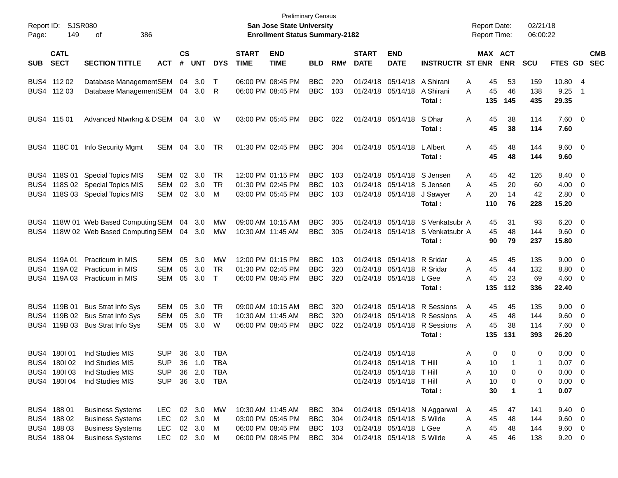| Report ID:<br>Page: | 149                        | SJSR080<br>386<br>οf                        |            |                    |            |              |                             | <b>San Jose State University</b><br><b>Enrollment Status Summary-2182</b> | <b>Preliminary Census</b> |     |                             |                           |                                  | <b>Report Date:</b><br>Report Time: |                              | 02/21/18<br>06:00:22 |                        |                          |            |
|---------------------|----------------------------|---------------------------------------------|------------|--------------------|------------|--------------|-----------------------------|---------------------------------------------------------------------------|---------------------------|-----|-----------------------------|---------------------------|----------------------------------|-------------------------------------|------------------------------|----------------------|------------------------|--------------------------|------------|
| <b>SUB</b>          | <b>CATL</b><br><b>SECT</b> | <b>SECTION TITTLE</b>                       | <b>ACT</b> | $\mathsf{cs}$<br># | <b>UNT</b> | <b>DYS</b>   | <b>START</b><br><b>TIME</b> | <b>END</b><br><b>TIME</b>                                                 | <b>BLD</b>                | RM# | <b>START</b><br><b>DATE</b> | <b>END</b><br><b>DATE</b> | <b>INSTRUCTR ST ENR</b>          |                                     | <b>MAX ACT</b><br><b>ENR</b> | <b>SCU</b>           | FTES GD SEC            |                          | <b>CMB</b> |
|                     | BUS4 112 02                | Database ManagementSEM 04 3.0               |            |                    |            | $\top$       |                             | 06:00 PM 08:45 PM                                                         | <b>BBC</b>                | 220 |                             | 01/24/18 05/14/18         | A Shirani                        | 45<br>A                             | 53                           | 159                  | 10.80                  | - 4                      |            |
|                     | BUS4 112 03                | Database ManagementSEM 04 3.0 R             |            |                    |            |              |                             | 06:00 PM 08:45 PM                                                         | <b>BBC</b>                | 103 |                             | 01/24/18 05/14/18         | A Shirani<br>Total:              | 45<br>A<br>135                      | 46<br>145                    | 138<br>435           | 9.25<br>29.35          | $\overline{1}$           |            |
|                     | BUS4 115 01                | Advanced Ntwrkng & DSEM 04 3.0 W            |            |                    |            |              |                             | 03:00 PM 05:45 PM                                                         | <b>BBC</b>                | 022 |                             | 01/24/18 05/14/18         | S Dhar<br>Total:                 | A<br>45<br>45                       | 38<br>38                     | 114<br>114           | 7.60 0<br>7.60         |                          |            |
|                     |                            | BUS4 118C 01 Info Security Mgmt             | SEM 04 3.0 |                    |            | TR           |                             | 01:30 PM 02:45 PM                                                         | <b>BBC</b>                | 304 |                             | 01/24/18 05/14/18         | L Albert<br>Total:               | 45<br>A<br>45                       | 48<br>48                     | 144<br>144           | $9.60 \quad 0$<br>9.60 |                          |            |
|                     |                            | BUS4 118S 01 Special Topics MIS             | SEM        | 02                 | 3.0        | <b>TR</b>    |                             | 12:00 PM 01:15 PM                                                         | <b>BBC</b>                | 103 |                             |                           | 01/24/18 05/14/18 S Jensen       | 45<br>A                             | 42                           | 126                  | 8.40                   | $\overline{\mathbf{0}}$  |            |
| BUS4                |                            | 118S 02 Special Topics MIS                  | <b>SEM</b> | 02                 | 3.0        | <b>TR</b>    |                             | 01:30 PM 02:45 PM                                                         | <b>BBC</b>                | 103 |                             |                           | 01/24/18 05/14/18 S Jensen       | 45<br>A                             | 20                           | 60                   | 4.00                   | - 0                      |            |
| BUS4                |                            | 118S 03 Special Topics MIS                  | <b>SEM</b> | 02                 | 3.0        | M            |                             | 03:00 PM 05:45 PM                                                         | <b>BBC</b>                | 103 |                             | 01/24/18 05/14/18         | J Sawyer<br>Total:               | 20<br>A<br>110                      | 14<br>76                     | 42<br>228            | 2.80<br>15.20          | 0                        |            |
|                     |                            | BUS4 118W 01 Web Based Computing SEM        |            | 04                 | 3.0        | МW           |                             | 09:00 AM 10:15 AM                                                         | <b>BBC</b>                | 305 |                             | 01/24/18 05/14/18         | S Venkatsubr A                   | 45                                  | 31                           | 93                   | 6.20                   | $\overline{\mathbf{0}}$  |            |
|                     |                            | BUS4 118W 02 Web Based Computing SEM 04 3.0 |            |                    |            | МW           |                             | 10:30 AM 11:45 AM                                                         | <b>BBC</b>                | 305 |                             |                           | 01/24/18 05/14/18 S Venkatsubr A | 45                                  | 48                           | 144                  | 9.60                   | - 0                      |            |
|                     |                            |                                             |            |                    |            |              |                             |                                                                           |                           |     |                             |                           | Total:                           | 90                                  | 79                           | 237                  | 15.80                  |                          |            |
|                     | BUS4 119A 01               | <b>Practicum in MIS</b>                     | SEM        | 05                 | 3.0        | МW           |                             | 12:00 PM 01:15 PM                                                         | <b>BBC</b>                | 103 |                             | 01/24/18 05/14/18         | R Sridar                         | 45<br>A                             | 45                           | 135                  | 9.00                   | $\overline{\mathbf{0}}$  |            |
| BUS4                | 119A 02                    | Practicum in MIS                            | <b>SEM</b> | 05                 | 3.0        | <b>TR</b>    |                             | 01:30 PM 02:45 PM                                                         | <b>BBC</b>                | 320 | 01/24/18                    | 05/14/18 R Sridar         |                                  | 45<br>Α                             | 44                           | 132                  | 8.80                   | 0                        |            |
|                     |                            | BUS4 119A 03 Practicum in MIS               | SEM        | 05                 | 3.0        | $\mathsf{T}$ |                             | 06:00 PM 08:45 PM                                                         | <b>BBC</b>                | 320 |                             | 01/24/18 05/14/18 L Gee   |                                  | 45<br>Α                             | 23                           | 69                   | 4.60                   | $\overline{0}$           |            |
|                     |                            |                                             |            |                    |            |              |                             |                                                                           |                           |     |                             |                           | Total:                           | 135                                 | 112                          | 336                  | 22.40                  |                          |            |
|                     |                            | BUS4 119B 01 Bus Strat Info Sys             | SEM        | 05                 | 3.0        | <b>TR</b>    |                             | 09:00 AM 10:15 AM                                                         | <b>BBC</b>                | 320 |                             | 01/24/18 05/14/18         | R Sessions                       | 45<br>A                             | 45                           | 135                  | 9.00                   | $\overline{\mathbf{0}}$  |            |
|                     |                            | BUS4 119B 02 Bus Strat Info Sys             | <b>SEM</b> | 05                 | 3.0        | <b>TR</b>    |                             | 10:30 AM 11:45 AM                                                         | <b>BBC</b>                | 320 | 01/24/18                    | 05/14/18                  | R Sessions                       | 45<br>A                             | 48                           | 144                  | 9.60                   | $\overline{0}$           |            |
|                     |                            | BUS4 119B 03 Bus Strat Info Sys             | SEM        | 05                 | 3.0        | W            |                             | 06:00 PM 08:45 PM                                                         | <b>BBC</b>                | 022 |                             | 01/24/18 05/14/18         | R Sessions                       | 45<br>A                             | 38                           | 114                  | 7.60                   | 0                        |            |
|                     |                            |                                             |            |                    |            |              |                             |                                                                           |                           |     |                             |                           | Total:                           | 135                                 | 131                          | 393                  | 26.20                  |                          |            |
|                     | BUS4 180 01                | Ind Studies MIS                             | SUP        |                    | 36 3.0     | TBA          |                             |                                                                           |                           |     |                             | 01/24/18 05/14/18         |                                  | A                                   | 0<br>0                       | 0                    | $0.00 \quad 0$         |                          |            |
|                     | BUS4 180 02                | Ind Studies MIS                             | SUP        | 36                 | 1.0        | TBA          |                             |                                                                           |                           |     |                             | 01/24/18 05/14/18         | T Hill                           | A<br>10                             |                              | 1                    | $0.07 \quad 0$         |                          |            |
|                     | BUS4 180103                | Ind Studies MIS                             | <b>SUP</b> | 36                 | 2.0        | <b>TBA</b>   |                             |                                                                           |                           |     |                             | 01/24/18 05/14/18 T Hill  |                                  | 10<br>Α                             | 0                            | 0                    | 0.00                   | $\overline{\phantom{0}}$ |            |
|                     | BUS4 180104                | Ind Studies MIS                             | <b>SUP</b> |                    | 36 3.0 TBA |              |                             |                                                                           |                           |     |                             | 01/24/18 05/14/18 T Hill  |                                  | Α<br>10                             | 0                            | 0                    | $0.00 \t 0$            |                          |            |
|                     |                            |                                             |            |                    |            |              |                             |                                                                           |                           |     |                             |                           | Total:                           | 30                                  | $\mathbf 1$                  | $\blacktriangleleft$ | 0.07                   |                          |            |
|                     | BUS4 188 01                | <b>Business Systems</b>                     | LEC        |                    | 02 3.0     | MW           |                             | 10:30 AM 11:45 AM                                                         | <b>BBC</b>                | 304 |                             |                           | 01/24/18 05/14/18 N Aggarwal     | 45<br>A                             | 47                           | 141                  | $9.40 \quad 0$         |                          |            |
|                     | BUS4 188 02                | <b>Business Systems</b>                     | LEC        |                    | 02 3.0     | M            |                             | 03:00 PM 05:45 PM                                                         | <b>BBC</b>                | 304 |                             | 01/24/18 05/14/18 S Wilde |                                  | 45<br>Α                             | 48                           | 144                  | $9.60 \quad 0$         |                          |            |
|                     | BUS4 188 03                | <b>Business Systems</b>                     | <b>LEC</b> |                    | 02 3.0     | M            |                             | 06:00 PM 08:45 PM                                                         | <b>BBC</b>                | 103 |                             | 01/24/18 05/14/18 L Gee   |                                  | 45<br>Α                             | 48                           | 144                  | 9.60 0                 |                          |            |
|                     | BUS4 188 04                | <b>Business Systems</b>                     | LEC        |                    | 02 3.0 M   |              |                             | 06:00 PM 08:45 PM                                                         | <b>BBC</b>                | 304 |                             | 01/24/18 05/14/18 S Wilde |                                  | 45<br>Α                             | 46                           | 138                  | $9.20 \t 0$            |                          |            |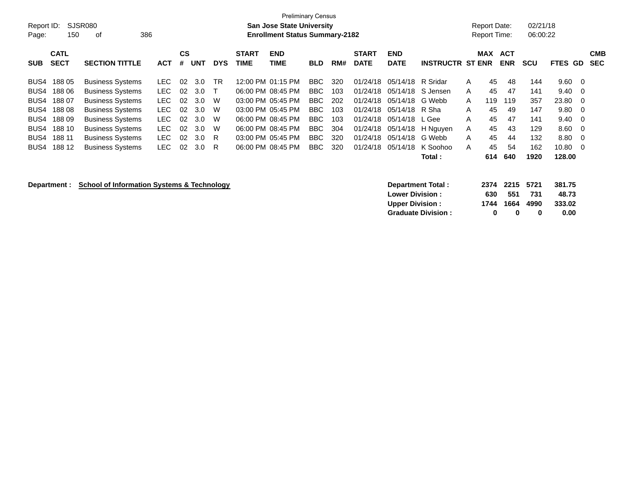| Report ID:<br>Page: | 150                        | SJSR080<br>386<br>οf                                  |            |                |            |            |                             | <b>Preliminary Census</b><br><b>San Jose State University</b><br><b>Enrollment Status Summary-2182</b> |            |     |                             |                           |                         |   | Report Date:<br><b>Report Time:</b> |                          | 02/21/18<br>06:00:22 |                 |     |                          |
|---------------------|----------------------------|-------------------------------------------------------|------------|----------------|------------|------------|-----------------------------|--------------------------------------------------------------------------------------------------------|------------|-----|-----------------------------|---------------------------|-------------------------|---|-------------------------------------|--------------------------|----------------------|-----------------|-----|--------------------------|
| <b>SUB</b>          | <b>CATL</b><br><b>SECT</b> | <b>SECTION TITTLE</b>                                 | <b>ACT</b> | <b>CS</b><br># | <b>UNT</b> | <b>DYS</b> | <b>START</b><br><b>TIME</b> | <b>END</b><br>TIME                                                                                     | <b>BLD</b> | RM# | <b>START</b><br><b>DATE</b> | <b>END</b><br><b>DATE</b> | <b>INSTRUCTR ST ENR</b> |   | <b>MAX</b>                          | <b>ACT</b><br><b>ENR</b> | <b>SCU</b>           | FTES GD         |     | <b>CMB</b><br><b>SEC</b> |
|                     |                            |                                                       |            |                |            |            |                             |                                                                                                        |            |     |                             |                           |                         |   |                                     |                          |                      |                 |     |                          |
| BUS4                | 188 05                     | <b>Business Systems</b>                               | LEC.       | 02             | 3.0        | TR         |                             | 12:00 PM 01:15 PM                                                                                      | BBC.       | 320 | 01/24/18                    | 05/14/18 R Sridar         |                         | A | 45                                  | 48                       | 144                  | 9.60            | - 0 |                          |
| BUS4                | 188 06                     | <b>Business Systems</b>                               | LEC.       | 02             | 3.0        |            |                             | 06:00 PM 08:45 PM                                                                                      | BBC        | 103 | 01/24/18                    |                           | 05/14/18 S Jensen       | A | 45                                  | 47                       | 141                  | 9.40            | - 0 |                          |
| BUS4                | 18807                      | <b>Business Systems</b>                               | <b>LEC</b> | 02             | 3.0        | W          |                             | 03:00 PM 05:45 PM                                                                                      | BBC        | 202 | 01/24/18                    | 05/14/18                  | G Webb                  | A | 119                                 | 119                      | 357                  | 23.80           | - 0 |                          |
| BUS4                | 18808                      | <b>Business Systems</b>                               | <b>LEC</b> | 02             | 3.0        | W          |                             | 03:00 PM 05:45 PM                                                                                      | BBC        | 103 | 01/24/18                    | 05/14/18                  | R Sha                   | A | 45                                  | 49                       | 147                  | 9.80            | -0  |                          |
| BUS4                | 18809                      | <b>Business Systems</b>                               | <b>LEC</b> | 02             | 3.0        | W          |                             | 06:00 PM 08:45 PM                                                                                      | BBC        | 103 | 01/24/18                    | 05/14/18 L Gee            |                         | A | 45                                  | 47                       | 141                  | 9.40            | 0   |                          |
| BUS4                | 188 10                     | <b>Business Systems</b>                               | <b>LEC</b> | 02             | 3.0        | W          |                             | 06:00 PM 08:45 PM                                                                                      | BBC.       | 304 | 01/24/18                    |                           | 05/14/18 H Nguyen       | Α | 45                                  | 43                       | 129                  | 8.60            | 0   |                          |
| BUS4                | 188 11                     | <b>Business Systems</b>                               | <b>LEC</b> | 02             | 3.0        | R          |                             | 03:00 PM 05:45 PM                                                                                      | <b>BBC</b> | 320 | 01/24/18                    | 05/14/18 G Webb           |                         | A | 45                                  | 44                       | 132                  | 8.80            | -0  |                          |
| BUS4                | 188 12                     | <b>Business Systems</b>                               | <b>LEC</b> | 02             | 3.0        | R          |                             | 06:00 PM 08:45 PM                                                                                      | BBC        | 320 | 01/24/18                    | 05/14/18                  | K Soohoo                | A | 45                                  | 54                       | 162                  | 10.80           | - 0 |                          |
|                     |                            |                                                       |            |                |            |            |                             |                                                                                                        |            |     |                             |                           | <b>Total</b> :          |   | 614                                 | 640                      | 1920                 | 128.00          |     |                          |
|                     | Department :               | <b>School of Information Systems &amp; Technology</b> |            |                |            |            |                             |                                                                                                        |            |     |                             | <b>Lower Division:</b>    | Department Total:       |   | 2374<br>630                         | 2215<br>551              | 5721<br>731          | 381.75<br>48.73 |     |                          |

**Upper Division : 1744 1664 4990 333.02 Graduate Division : 0 0 0 0.00**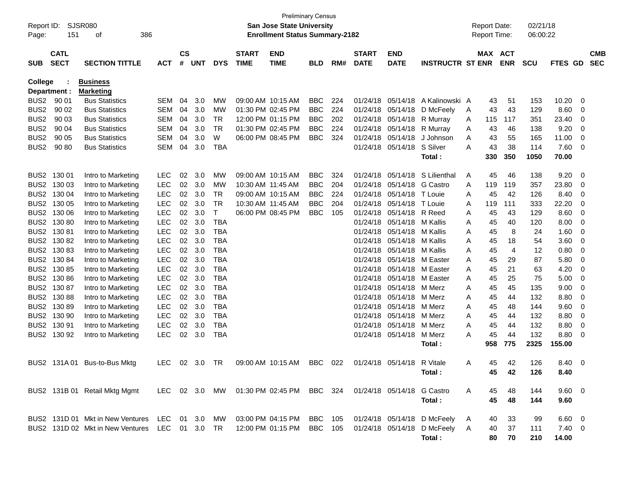| Report ID:       |              | SJSR080                                     |            |               |            |             |                   | <b>Preliminary Census</b><br><b>San Jose State University</b>      |            |     |              |                   |                         |     | <b>Report Date:</b> |            | 02/21/18   |                |          |            |
|------------------|--------------|---------------------------------------------|------------|---------------|------------|-------------|-------------------|--------------------------------------------------------------------|------------|-----|--------------|-------------------|-------------------------|-----|---------------------|------------|------------|----------------|----------|------------|
| Page:            | 151          | 386<br>οf                                   |            |               |            |             |                   | <b>Enrollment Status Summary-2182</b>                              |            |     |              |                   |                         |     | <b>Report Time:</b> |            | 06:00:22   |                |          |            |
|                  | <b>CATL</b>  |                                             |            | $\mathsf{cs}$ |            |             | <b>START</b>      | <b>END</b>                                                         |            |     | <b>START</b> | <b>END</b>        |                         |     | MAX ACT             |            |            |                |          | <b>CMB</b> |
| <b>SUB</b>       | <b>SECT</b>  | <b>SECTION TITTLE</b>                       | <b>ACT</b> | #             | <b>UNT</b> | <b>DYS</b>  | <b>TIME</b>       | <b>TIME</b>                                                        | <b>BLD</b> | RM# | <b>DATE</b>  | <b>DATE</b>       | <b>INSTRUCTR ST ENR</b> |     |                     | <b>ENR</b> | <b>SCU</b> | FTES GD        |          | <b>SEC</b> |
| <b>College</b>   |              | <b>Business</b>                             |            |               |            |             |                   |                                                                    |            |     |              |                   |                         |     |                     |            |            |                |          |            |
|                  | Department : | <b>Marketing</b>                            |            |               |            |             |                   |                                                                    |            |     |              |                   |                         |     |                     |            |            |                |          |            |
| BUS <sub>2</sub> | 90 01        | <b>Bus Statistics</b>                       | SEM        | 04            | 3.0        | MW          | 09:00 AM 10:15 AM |                                                                    | <b>BBC</b> | 224 | 01/24/18     | 05/14/18          | A Kalinowski A          |     | 43                  | 51         | 153        | 10.20          | 0        |            |
| BUS <sub>2</sub> | 90 02        | <b>Bus Statistics</b>                       | SEM        | 04            | 3.0        | MW          | 01:30 PM 02:45 PM |                                                                    | <b>BBC</b> | 224 | 01/24/18     | 05/14/18          | D McFeely               | A   | 43                  | 43         | 129        | 8.60           | -0       |            |
| BUS <sub>2</sub> | 90 03        | <b>Bus Statistics</b>                       | SEM        | 04            | 3.0        | TR          |                   | 12:00 PM 01:15 PM                                                  | <b>BBC</b> | 202 | 01/24/18     | 05/14/18          | R Murray                | A   | 115                 | 117        | 351        | 23.40          | 0        |            |
| BUS <sub>2</sub> | 90 04        | <b>Bus Statistics</b>                       | SEM        | 04            | 3.0        | TR          | 01:30 PM 02:45 PM |                                                                    | <b>BBC</b> | 224 | 01/24/18     | 05/14/18          | R Murray                | A   | 43                  | 46         | 138        | 9.20           | -0       |            |
| BUS <sub>2</sub> | 90 05        | <b>Bus Statistics</b>                       | SEM        | 04            | 3.0        | W           |                   | 06:00 PM 08:45 PM                                                  | <b>BBC</b> | 324 | 01/24/18     | 05/14/18          | J Johnson               | A   | 43                  | 55         | 165        | 11.00          | 0        |            |
| BUS <sub>2</sub> | 90 80        | <b>Bus Statistics</b>                       | SEM        | 04            | 3.0        | TBA         |                   |                                                                    |            |     | 01/24/18     | 05/14/18          | S Silver                | A   | 43                  | 38         | 114        | 7.60           | 0        |            |
|                  |              |                                             |            |               |            |             |                   |                                                                    |            |     |              |                   | Total:                  |     | 330                 | 350        | 1050       | 70.00          |          |            |
| BUS <sub>2</sub> | 130 01       | Intro to Marketing                          | <b>LEC</b> | 02            | 3.0        | <b>MW</b>   | 09:00 AM 10:15 AM |                                                                    | <b>BBC</b> | 324 | 01/24/18     | 05/14/18          | S Lilienthal            | A   | 45                  | 46         | 138        | 9.20           | 0        |            |
| BUS <sub>2</sub> | 130 03       | Intro to Marketing                          | <b>LEC</b> | 02            | 3.0        | MW          |                   | 10:30 AM 11:45 AM                                                  | <b>BBC</b> | 204 | 01/24/18     | 05/14/18          | <b>G</b> Castro         | A   | 119                 | 119        | 357        | 23.80          | 0        |            |
| BUS <sub>2</sub> | 130 04       | Intro to Marketing                          | LEC        | 02            | 3.0        | TR          |                   | 09:00 AM 10:15 AM                                                  | <b>BBC</b> | 224 | 01/24/18     | 05/14/18          | T Louie                 | A   | 45                  | 42         | 126        | 8.40           | 0        |            |
| BUS <sub>2</sub> | 130 05       | Intro to Marketing                          | LEC        | 02            | 3.0        | TR          |                   | 10:30 AM 11:45 AM                                                  | <b>BBC</b> | 204 | 01/24/18     | 05/14/18          | T Louie                 | A   | 119                 | 111        | 333        | 22.20          | 0        |            |
| BUS <sub>2</sub> | 130 06       | Intro to Marketing                          | LEC        | 02            | 3.0        | $\mathsf T$ |                   | 06:00 PM 08:45 PM                                                  | <b>BBC</b> | 105 | 01/24/18     | 05/14/18          | R Reed                  | A   | 45                  | 43         | 129        | 8.60           | 0        |            |
| BUS <sub>2</sub> | 130 80       | Intro to Marketing                          | LEC        | 02            | 3.0        | <b>TBA</b>  |                   |                                                                    |            |     | 01/24/18     | 05/14/18          | M Kallis                | A   | 45                  | 40         | 120        | 8.00           | 0        |            |
| BUS <sub>2</sub> | 13081        | Intro to Marketing                          | LEC        | 02            | 3.0        | <b>TBA</b>  |                   |                                                                    |            |     | 01/24/18     | 05/14/18          | M Kallis                | A   | 45                  | 8          | 24         | 1.60           | 0        |            |
| BUS <sub>2</sub> | 13082        | Intro to Marketing                          | LEC        | 02            | 3.0        | <b>TBA</b>  |                   |                                                                    |            |     | 01/24/18     | 05/14/18          | M Kallis                | A   | 45                  | 18         | 54         | 3.60           | 0        |            |
| BUS <sub>2</sub> | 13083        | Intro to Marketing                          | LEC        | 02            | 3.0        | <b>TBA</b>  |                   |                                                                    |            |     | 01/24/18     | 05/14/18          | M Kallis                | A   | 45                  | 4          | 12         | 0.80           | 0        |            |
| BUS <sub>2</sub> | 130 84       | Intro to Marketing                          | LEC        | 02            | 3.0        | <b>TBA</b>  |                   |                                                                    |            |     | 01/24/18     | 05/14/18          | M Easter                | A   | 45                  | 29         | 87         | 5.80           | -0       |            |
| BUS <sub>2</sub> | 130 85       | Intro to Marketing                          | LEC        | 02            | 3.0        | <b>TBA</b>  |                   |                                                                    |            |     | 01/24/18     | 05/14/18          | M Easter                | A   | 45                  | 21         | 63         | 4.20           | 0        |            |
| BUS <sub>2</sub> | 130 86       | Intro to Marketing                          | LEC        | 02            | 3.0        | <b>TBA</b>  |                   |                                                                    |            |     | 01/24/18     | 05/14/18          | M Easter                | A   | 45                  | 25         | 75         | 5.00           | 0        |            |
| BUS <sub>2</sub> | 13087        | Intro to Marketing                          | LEC        | 02            | 3.0        | <b>TBA</b>  |                   |                                                                    |            |     | 01/24/18     | 05/14/18          | M Merz                  | A   | 45                  | 45         | 135        | 9.00           | 0        |            |
| BUS <sub>2</sub> | 13088        | Intro to Marketing                          | LEC        | 02            | 3.0        | <b>TBA</b>  |                   |                                                                    |            |     | 01/24/18     | 05/14/18          | M Merz                  | A   | 45                  | 44         | 132        | 8.80           | 0        |            |
| BUS <sub>2</sub> | 13089        | Intro to Marketing                          | LEC        | 02            | 3.0        | <b>TBA</b>  |                   |                                                                    |            |     | 01/24/18     | 05/14/18          | M Merz                  | Α   | 45                  | 48         | 144        | 9.60           | 0        |            |
| BUS <sub>2</sub> | 130 90       | Intro to Marketing                          | LEC        | 02            | 3.0        | <b>TBA</b>  |                   |                                                                    |            |     | 01/24/18     | 05/14/18          | M Merz                  | A   | 45                  | 44         | 132        | 8.80           | 0        |            |
| BUS <sub>2</sub> | 130 91       | Intro to Marketing                          | LEC        | 02            | 3.0        | <b>TBA</b>  |                   |                                                                    |            |     | 01/24/18     | 05/14/18          | M Merz                  | A   | 45                  | 44         | 132        | 8.80           | 0        |            |
| BUS <sub>2</sub> | 130 92       | Intro to Marketing                          | <b>LEC</b> | 02            | 3.0        | TBA         |                   |                                                                    |            |     | 01/24/18     | 05/14/18          | M Merz                  | A   | 45                  | 44         | 132        | 8.80           | 0        |            |
|                  |              |                                             |            |               |            |             |                   |                                                                    |            |     |              |                   | Total :                 |     | 958                 | 775        | 2325       | 155.00         |          |            |
|                  |              | BUS2 131A 01 Bus-to-Bus Mktg                | LEC        |               | 02 3.0     | TR          |                   | 09:00 AM 10:15 AM                                                  | BBC        | 022 | 01/24/18     | 05/14/18 R Vitale |                         | A   | 45.                 | 42         | 126        | 8.40           | $\Omega$ |            |
|                  |              |                                             |            |               |            |             |                   |                                                                    |            |     |              |                   | Total:                  |     | 45                  | 42         | 126        | 8.40           |          |            |
|                  |              | BUS2 131B 01 Retail Mktg Mgmt               |            |               |            |             |                   | LEC 02 3.0 MW 01:30 PM 02:45 PM BBC 324 01/24/18 05/14/18 G Castro |            |     |              |                   |                         | A   | 45                  | 48         | 144        | $9.60 \quad 0$ |          |            |
|                  |              |                                             |            |               |            |             |                   |                                                                    |            |     |              |                   | Total:                  |     | 45                  | 48         | 144        | 9.60           |          |            |
|                  |              |                                             |            |               |            |             |                   |                                                                    |            |     |              |                   |                         |     |                     |            |            |                |          |            |
|                  |              | BUS2 131D 01 Mkt in New Ventures LEC 01 3.0 |            |               |            |             |                   | MW  03:00 PM  04:15 PM                                             | BBC 105    |     |              | 01/24/18 05/14/18 | D McFeely               | A   | 40                  | 33         | 99         | $6.60 \quad 0$ |          |            |
|                  |              | BUS2 131D 02 Mkt in New Ventures LEC 01 3.0 |            |               |            | TR          |                   | 12:00 PM 01:15 PM BBC 105                                          |            |     |              | 01/24/18 05/14/18 | D McFeely               | - A | 40                  | 37         | 111        | $7.40 \quad 0$ |          |            |
|                  |              |                                             |            |               |            |             |                   |                                                                    |            |     |              |                   | Total:                  |     | 80                  | 70         | 210        | 14.00          |          |            |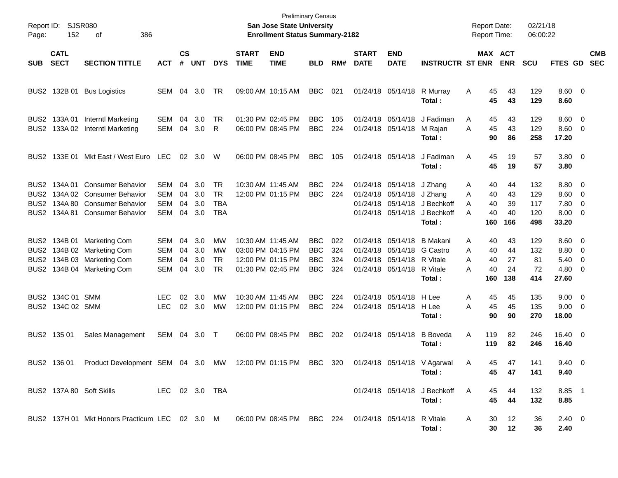| Page:                                                | Report ID: SJSR080<br>152       | 386<br>οf                                                                                                        |                                        |                      |                          |                                             |                             | <b>Preliminary Census</b><br><b>San Jose State University</b><br><b>Enrollment Status Summary-2182</b> |                                                      |                          |                             |                                                                                                             |                                                                  | <b>Report Date:</b><br><b>Report Time:</b> |                                                     | 02/21/18<br>06:00:22            |                                                              |                          |
|------------------------------------------------------|---------------------------------|------------------------------------------------------------------------------------------------------------------|----------------------------------------|----------------------|--------------------------|---------------------------------------------|-----------------------------|--------------------------------------------------------------------------------------------------------|------------------------------------------------------|--------------------------|-----------------------------|-------------------------------------------------------------------------------------------------------------|------------------------------------------------------------------|--------------------------------------------|-----------------------------------------------------|---------------------------------|--------------------------------------------------------------|--------------------------|
| <b>SUB</b>                                           | <b>CATL</b><br><b>SECT</b>      | <b>SECTION TITTLE</b>                                                                                            | <b>ACT</b>                             | <b>CS</b><br>#       | <b>UNT</b>               | <b>DYS</b>                                  | <b>START</b><br><b>TIME</b> | <b>END</b><br><b>TIME</b>                                                                              | <b>BLD</b>                                           | RM#                      | <b>START</b><br><b>DATE</b> | <b>END</b><br><b>DATE</b>                                                                                   | <b>INSTRUCTR ST ENR</b>                                          |                                            | MAX ACT<br><b>ENR</b>                               | <b>SCU</b>                      | FTES GD                                                      | <b>CMB</b><br><b>SEC</b> |
| BUS2                                                 |                                 | 132B 01 Bus Logistics                                                                                            | SEM                                    | 04                   | 3.0                      | TR                                          |                             | 09:00 AM 10:15 AM                                                                                      | <b>BBC</b>                                           | 021                      |                             | 01/24/18 05/14/18                                                                                           | R Murray<br>Total:                                               | A                                          | 45<br>43<br>45<br>43                                | 129<br>129                      | $8.60 \quad 0$<br>8.60                                       |                          |
| BUS2<br>BUS2                                         | 133A 01                         | Interntl Marketing<br>133A 02 Interntl Marketing                                                                 | <b>SEM</b><br>SEM                      | 04<br>04             | 3.0<br>3.0               | TR<br>R                                     |                             | 01:30 PM 02:45 PM<br>06:00 PM 08:45 PM                                                                 | <b>BBC</b><br><b>BBC</b>                             | 105<br>224               |                             | 01/24/18 05/14/18<br>01/24/18 05/14/18                                                                      | J Fadiman<br>M Rajan<br>Total:                                   | A<br>A                                     | 45<br>43<br>45<br>43<br>90<br>86                    | 129<br>129<br>258               | $8.60 \quad 0$<br>$8.60$ 0<br>17.20                          |                          |
| BUS2                                                 |                                 | 133E 01 Mkt East / West Euro                                                                                     | <b>LEC</b>                             | 02 <sub>o</sub>      | - 3.0                    | W                                           |                             | 06:00 PM 08:45 PM                                                                                      | <b>BBC</b>                                           | 105                      |                             | 01/24/18 05/14/18                                                                                           | J Fadiman<br>Total:                                              | A                                          | 45<br>19<br>45<br>19                                | 57<br>57                        | 3.80 0<br>3.80                                               |                          |
| BUS2<br>BUS2<br>BUS2<br>BUS2                         |                                 | 134A 01 Consumer Behavior<br>134A 02 Consumer Behavior<br>134A 80 Consumer Behavior<br>134A 81 Consumer Behavior | SEM<br>SEM<br><b>SEM</b><br>SEM        | 04<br>04<br>04<br>04 | 3.0<br>3.0<br>3.0<br>3.0 | TR<br><b>TR</b><br><b>TBA</b><br><b>TBA</b> | 10:30 AM 11:45 AM           | 12:00 PM 01:15 PM                                                                                      | <b>BBC</b><br><b>BBC</b>                             | 224<br>224               |                             | 01/24/18 05/14/18<br>01/24/18 05/14/18 J Zhang<br>01/24/18 05/14/18                                         | J Zhang<br>01/24/18 05/14/18 J Bechkoff<br>J Bechkoff<br>Total : | A<br>A<br>A<br>A<br>160                    | 40<br>44<br>40<br>43<br>40<br>39<br>40<br>40<br>166 | 132<br>129<br>117<br>120<br>498 | $8.80\ 0$<br>$8.60 \quad 0$<br>7.80 0<br>8.00 0<br>33.20     |                          |
| BUS2<br>BUS <sub>2</sub><br>BUS <sub>2</sub><br>BUS2 |                                 | 134B 01 Marketing Com<br>134B 02 Marketing Com<br>134B 03 Marketing Com<br>134B 04 Marketing Com                 | SEM<br><b>SEM</b><br><b>SEM</b><br>SEM | 04<br>04<br>04<br>04 | 3.0<br>3.0<br>3.0<br>3.0 | MW<br>MW<br><b>TR</b><br>TR                 | 10:30 AM 11:45 AM           | 03:00 PM 04:15 PM<br>12:00 PM 01:15 PM<br>01:30 PM 02:45 PM                                            | <b>BBC</b><br><b>BBC</b><br><b>BBC</b><br><b>BBC</b> | 022<br>324<br>324<br>324 |                             | 01/24/18 05/14/18<br>01/24/18 05/14/18 G Castro<br>01/24/18 05/14/18 R Vitale<br>01/24/18 05/14/18 R Vitale | <b>B</b> Makani<br>Total :                                       | A<br>A<br>A<br>A<br>160                    | 40<br>43<br>40<br>44<br>40<br>27<br>40<br>24<br>138 | 129<br>132<br>81<br>72<br>414   | $8.60 \quad 0$<br>8.80 0<br>$5.40 \ 0$<br>$4.80\ 0$<br>27.60 |                          |
| BUS2                                                 | BUS2 134C 01 SMM<br>134C 02 SMM |                                                                                                                  | LEC.<br><b>LEC</b>                     | 02                   | 3.0<br>02 3.0            | МW<br><b>MW</b>                             | 10:30 AM 11:45 AM           | 12:00 PM 01:15 PM                                                                                      | <b>BBC</b><br><b>BBC</b>                             | 224<br>224               |                             | 01/24/18 05/14/18<br>01/24/18 05/14/18                                                                      | H Lee<br>H Lee<br>Total :                                        | A<br>A                                     | 45<br>45<br>45<br>45<br>90<br>90                    | 135<br>135<br>270               | $9.00 \t 0$<br>$9.00 \t 0$<br>18.00                          |                          |
|                                                      | BUS2 135 01                     | Sales Management                                                                                                 | SEM 04                                 |                      | 3.0                      | $\top$                                      |                             | 06:00 PM 08:45 PM                                                                                      | <b>BBC</b>                                           | 202                      |                             | 01/24/18 05/14/18                                                                                           | <b>B</b> Boveda<br>Total :                                       | Α<br>119<br>119                            | 82<br>82                                            | 246<br>246                      | $16.40 \quad 0$<br>16.40                                     |                          |
|                                                      | BUS2 136 01                     | Product Development SEM 04 3.0 MW                                                                                |                                        |                      |                          |                                             |                             | 12:00 PM 01:15 PM                                                                                      | BBC 320                                              |                          |                             |                                                                                                             | 01/24/18 05/14/18 V Agarwal<br>Total :                           | A                                          | 47<br>45<br>45<br>47                                | 141<br>141                      | 9.40 0<br>9.40                                               |                          |
|                                                      |                                 | BUS2 137A 80 Soft Skills<br>LEC 02 3.0 TBA                                                                       |                                        |                      |                          |                                             |                             |                                                                                                        |                                                      |                          |                             |                                                                                                             | 01/24/18 05/14/18 J Bechkoff<br>Total:                           | A                                          | 45<br>44<br>45<br>44                                | 132<br>132                      | 8.85 1<br>8.85                                               |                          |
|                                                      |                                 | BUS2 137H 01 Mkt Honors Practicum LEC 02 3.0 M 06:00 PM 08:45 PM BBC 224 01/24/18 05/14/18 R Vitale              |                                        |                      |                          |                                             |                             |                                                                                                        |                                                      |                          |                             |                                                                                                             | Total:                                                           | A                                          | 12<br>30<br>30 12                                   | 36<br>36                        | $2.40 \quad 0$<br>2.40                                       |                          |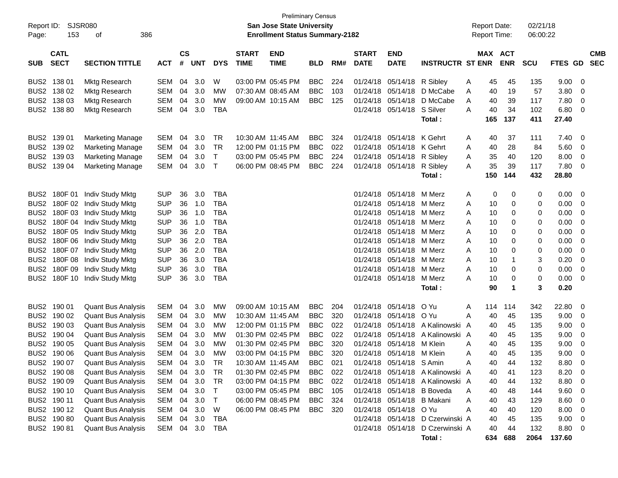| Report ID:<br>Page: | 153                        | SJSR080<br>386<br>οf      |            |                    |            |            |                             | <b>Preliminary Census</b><br><b>San Jose State University</b><br><b>Enrollment Status Summary-2182</b> |            |     |                             |                            |                                  |   | <b>Report Date:</b><br><b>Report Time:</b> |                      | 02/21/18<br>06:00:22 |         |                          |                          |
|---------------------|----------------------------|---------------------------|------------|--------------------|------------|------------|-----------------------------|--------------------------------------------------------------------------------------------------------|------------|-----|-----------------------------|----------------------------|----------------------------------|---|--------------------------------------------|----------------------|----------------------|---------|--------------------------|--------------------------|
| <b>SUB</b>          | <b>CATL</b><br><b>SECT</b> | <b>SECTION TITTLE</b>     | <b>ACT</b> | $\mathsf{cs}$<br># | <b>UNT</b> | <b>DYS</b> | <b>START</b><br><b>TIME</b> | <b>END</b><br><b>TIME</b>                                                                              | <b>BLD</b> | RM# | <b>START</b><br><b>DATE</b> | <b>END</b><br><b>DATE</b>  | <b>INSTRUCTR ST ENR</b>          |   | MAX ACT                                    | <b>ENR</b>           | <b>SCU</b>           | FTES GD |                          | <b>CMB</b><br><b>SEC</b> |
| BUS2                | 138 01                     | Mktg Research             | SEM        | 04                 | 3.0        | W          |                             | 03:00 PM 05:45 PM                                                                                      | <b>BBC</b> | 224 | 01/24/18                    | 05/14/18                   | R Sibley                         | Α | 45                                         | 45                   | 135                  | 9.00    | - 0                      |                          |
| BUS <sub>2</sub>    | 138 02                     | Mktg Research             | <b>SEM</b> | 04                 | 3.0        | МW         |                             | 07:30 AM 08:45 AM                                                                                      | <b>BBC</b> | 103 | 01/24/18                    | 05/14/18                   | D McCabe                         | Α | 40                                         | 19                   | 57                   | 3.80    | 0                        |                          |
| BUS <sub>2</sub>    | 138 03                     | Mktg Research             | <b>SEM</b> | 04                 | 3.0        | MW         |                             | 09:00 AM 10:15 AM                                                                                      | <b>BBC</b> | 125 | 01/24/18                    | 05/14/18                   | D McCabe                         | A | 40                                         | 39                   | 117                  | 7.80    | $\mathbf 0$              |                          |
| BUS <sub>2</sub>    | 138 80                     | Mktg Research             | <b>SEM</b> | 04                 | 3.0        | <b>TBA</b> |                             |                                                                                                        |            |     | 01/24/18                    | 05/14/18                   | S Silver                         | A | 40                                         | 34                   | 102                  | 6.80    | 0                        |                          |
|                     |                            |                           |            |                    |            |            |                             |                                                                                                        |            |     |                             |                            | Total:                           |   | 165                                        | 137                  | 411                  | 27.40   |                          |                          |
| BUS <sub>2</sub>    | 139 01                     | <b>Marketing Manage</b>   | <b>SEM</b> | 04                 | 3.0        | <b>TR</b>  | 10:30 AM 11:45 AM           |                                                                                                        | <b>BBC</b> | 324 | 01/24/18                    | 05/14/18                   | K Gehrt                          | A | 40                                         | 37                   | 111                  | 7.40    | - 0                      |                          |
| BUS <sub>2</sub>    | 139 02                     | <b>Marketing Manage</b>   | <b>SEM</b> | 04                 | 3.0        | <b>TR</b>  |                             | 12:00 PM 01:15 PM                                                                                      | <b>BBC</b> | 022 | 01/24/18                    | 05/14/18                   | K Gehrt                          | A | 40                                         | 28                   | 84                   | 5.60    | $\overline{0}$           |                          |
| BUS <sub>2</sub>    | 139 03                     | <b>Marketing Manage</b>   | <b>SEM</b> | 04                 | 3.0        | T          |                             | 03:00 PM 05:45 PM                                                                                      | <b>BBC</b> | 224 | 01/24/18                    | 05/14/18                   | R Sibley                         | Α | 35                                         | 40                   | 120                  | 8.00    | $\overline{0}$           |                          |
| BUS <sub>2</sub>    | 139 04                     | <b>Marketing Manage</b>   | <b>SEM</b> | 04                 | 3.0        | $\top$     |                             | 06:00 PM 08:45 PM                                                                                      | <b>BBC</b> | 224 | 01/24/18                    | 05/14/18                   | R Sibley                         | A | 35                                         | 39                   | 117                  | 7.80    | 0                        |                          |
|                     |                            |                           |            |                    |            |            |                             |                                                                                                        |            |     |                             |                            | Total:                           |   | 150                                        | 144                  | 432                  | 28.80   |                          |                          |
| BUS <sub>2</sub>    | 180F 01                    | Indiv Study Mktg          | <b>SUP</b> | 36                 | 3.0        | <b>TBA</b> |                             |                                                                                                        |            |     | 01/24/18                    | 05/14/18                   | M Merz                           | Α | 0                                          | 0                    | 0                    | 0.00    | - 0                      |                          |
| BUS <sub>2</sub>    | 180F 02                    | Indiv Study Mktg          | <b>SUP</b> | 36                 | 1.0        | <b>TBA</b> |                             |                                                                                                        |            |     | 01/24/18                    | 05/14/18                   | M Merz                           | A | 10                                         | 0                    | 0                    | 0.00    | 0                        |                          |
| BUS <sub>2</sub>    | 180F03                     | Indiv Study Mktg          | <b>SUP</b> | 36                 | 1.0        | <b>TBA</b> |                             |                                                                                                        |            |     | 01/24/18                    | 05/14/18                   | M Merz                           | A | 10                                         | 0                    | 0                    | 0.00    | 0                        |                          |
| BUS <sub>2</sub>    | 180F 04                    | Indiv Study Mktg          | <b>SUP</b> | 36                 | 1.0        | <b>TBA</b> |                             |                                                                                                        |            |     | 01/24/18                    | 05/14/18                   | M Merz                           | A | 10                                         | 0                    | 0                    | 0.00    | 0                        |                          |
| BUS <sub>2</sub>    | 180F 05                    | Indiv Study Mktg          | <b>SUP</b> | 36                 | 2.0        | <b>TBA</b> |                             |                                                                                                        |            |     | 01/24/18                    | 05/14/18                   | M Merz                           | A | 10                                         | 0                    | 0                    | 0.00    | 0                        |                          |
| BUS <sub>2</sub>    | 180F 06                    | Indiv Study Mktg          | <b>SUP</b> | 36                 | 2.0        | <b>TBA</b> |                             |                                                                                                        |            |     | 01/24/18                    | 05/14/18                   | M Merz                           | A | 10                                         | 0                    | 0                    | 0.00    | 0                        |                          |
| BUS <sub>2</sub>    | 180F 07                    | Indiv Study Mktg          | <b>SUP</b> | 36                 | 2.0        | <b>TBA</b> |                             |                                                                                                        |            |     | 01/24/18                    | 05/14/18                   | M Merz                           | A | 10                                         | 0                    | 0                    | 0.00    | 0                        |                          |
| BUS <sub>2</sub>    | 180F 08                    | Indiv Study Mktg          | <b>SUP</b> | 36                 | 3.0        | <b>TBA</b> |                             |                                                                                                        |            |     | 01/24/18                    | 05/14/18                   | M Merz                           | A | 10                                         | -1                   | 3                    | 0.20    | 0                        |                          |
| BUS <sub>2</sub>    | 180F 09                    | Indiv Study Mktg          | <b>SUP</b> | 36                 | 3.0        | <b>TBA</b> |                             |                                                                                                        |            |     | 01/24/18                    | 05/14/18                   | M Merz                           | A | 10                                         | 0                    | 0                    | 0.00    | 0                        |                          |
| BUS <sub>2</sub>    | 180F 10                    | Indiv Study Mktg          | <b>SUP</b> | 36                 | 3.0        | <b>TBA</b> |                             |                                                                                                        |            |     | 01/24/18                    | 05/14/18                   | M Merz                           | A | 10                                         | 0                    | 0                    | 0.00    | 0                        |                          |
|                     |                            |                           |            |                    |            |            |                             |                                                                                                        |            |     |                             |                            | Total:                           |   | 90                                         | $\blacktriangleleft$ | 3                    | 0.20    |                          |                          |
| BUS <sub>2</sub>    | 190 01                     | <b>Quant Bus Analysis</b> | <b>SEM</b> | 04                 | 3.0        | MW         |                             | 09:00 AM 10:15 AM                                                                                      | <b>BBC</b> | 204 | 01/24/18                    | 05/14/18                   | O Yu                             | A | 114                                        | 114                  | 342                  | 22.80   | 0                        |                          |
| BUS <sub>2</sub>    | 190 02                     | <b>Quant Bus Analysis</b> | <b>SEM</b> | 04                 | 3.0        | MW         | 10:30 AM 11:45 AM           |                                                                                                        | <b>BBC</b> | 320 | 01/24/18                    | 05/14/18                   | O Yu                             | A | 40                                         | 45                   | 135                  | 9.00    | 0                        |                          |
| BUS <sub>2</sub>    | 190 03                     | <b>Quant Bus Analysis</b> | <b>SEM</b> | 04                 | 3.0        | MW         |                             | 12:00 PM 01:15 PM                                                                                      | <b>BBC</b> | 022 | 01/24/18                    | 05/14/18                   | A Kalinowski                     | A | 40                                         | 45                   | 135                  | 9.00    | 0                        |                          |
| BUS <sub>2</sub>    | 190 04                     | <b>Quant Bus Analysis</b> | <b>SEM</b> | 04                 | 3.0        | MW         |                             | 01:30 PM 02:45 PM                                                                                      | <b>BBC</b> | 022 | 01/24/18                    | 05/14/18                   | A Kalinowski A                   |   | 40                                         | 45                   | 135                  | 9.00    | 0                        |                          |
| BUS <sub>2</sub>    | 190 05                     | <b>Quant Bus Analysis</b> | <b>SEM</b> | 04                 | 3.0        | МW         |                             | 01:30 PM 02:45 PM                                                                                      | <b>BBC</b> | 320 | 01/24/18                    | 05/14/18                   | M Klein                          | A | 40                                         | 45                   | 135                  | 9.00    | 0                        |                          |
| BUS <sub>2</sub>    | 190 06                     | <b>Quant Bus Analysis</b> | <b>SEM</b> | 04                 | 3.0        | MW         |                             | 03:00 PM 04:15 PM                                                                                      | <b>BBC</b> | 320 | 01/24/18                    | 05/14/18                   | M Klein                          | Α | 40                                         | 45                   | 135                  | 9.00    | 0                        |                          |
|                     | BUS2 190 07                | <b>Quant Bus Analysis</b> | <b>SEM</b> |                    | 04 3.0     | <b>TR</b>  |                             | 10:30 AM 11:45 AM                                                                                      | <b>BBC</b> | 021 |                             | 01/24/18 05/14/18 S Amin   |                                  | A | 40                                         | 44                   | 132                  | 8.80    | 0                        |                          |
|                     | BUS2 190 08                | <b>Quant Bus Analysis</b> | SEM        | 04                 | 3.0        | TR         |                             | 01:30 PM 02:45 PM                                                                                      | BBC        | 022 |                             |                            | 01/24/18 05/14/18 A Kalinowski A |   | 40                                         | 41                   | 123                  | 8.20    | $\overline{\mathbf{0}}$  |                          |
|                     | BUS2 190 09                | <b>Quant Bus Analysis</b> | SEM        | 04                 | 3.0        | TR         |                             | 03:00 PM 04:15 PM                                                                                      | <b>BBC</b> | 022 |                             |                            | 01/24/18 05/14/18 A Kalinowski A |   | 40                                         | 44                   | 132                  | 8.80    | $\overline{\mathbf{0}}$  |                          |
|                     | BUS2 190 10                | <b>Quant Bus Analysis</b> | SEM        | 04                 | 3.0        | T          |                             | 03:00 PM 05:45 PM                                                                                      | <b>BBC</b> | 105 |                             |                            | 01/24/18 05/14/18 B Boveda       | Α | 40                                         | 48                   | 144                  | 9.60    | $\overline{\mathbf{0}}$  |                          |
|                     | BUS2 190 11                | <b>Quant Bus Analysis</b> | SEM        | 04                 | 3.0        | T          |                             | 06:00 PM 08:45 PM                                                                                      | BBC        | 324 |                             | 01/24/18 05/14/18 B Makani |                                  | Α | 40                                         | 43                   | 129                  | 8.60    | $\overline{\mathbf{0}}$  |                          |
|                     | BUS2 190 12                | <b>Quant Bus Analysis</b> | SEM        | 04                 | 3.0        | W          |                             | 06:00 PM 08:45 PM                                                                                      | BBC 320    |     |                             | 01/24/18 05/14/18          | O Yu                             | A | 40                                         | 40                   | 120                  | 8.00    | $\overline{\mathbf{0}}$  |                          |
|                     | BUS2 190 80                | <b>Quant Bus Analysis</b> | SEM        | 04                 | 3.0        | <b>TBA</b> |                             |                                                                                                        |            |     |                             | 01/24/18 05/14/18          | D Czerwinski A                   |   | 40                                         | 45                   | 135                  | 9.00    | $\overline{\mathbf{0}}$  |                          |
|                     | BUS2 190 81                | <b>Quant Bus Analysis</b> | SEM        |                    | 04 3.0     | <b>TBA</b> |                             |                                                                                                        |            |     |                             |                            | 01/24/18 05/14/18 D Czerwinski A |   | 40                                         | 44                   | 132                  | 8.80    | $\overline{\phantom{0}}$ |                          |
|                     |                            |                           |            |                    |            |            |                             |                                                                                                        |            |     |                             |                            | Total:                           |   | 634                                        | 688                  | 2064                 | 137.60  |                          |                          |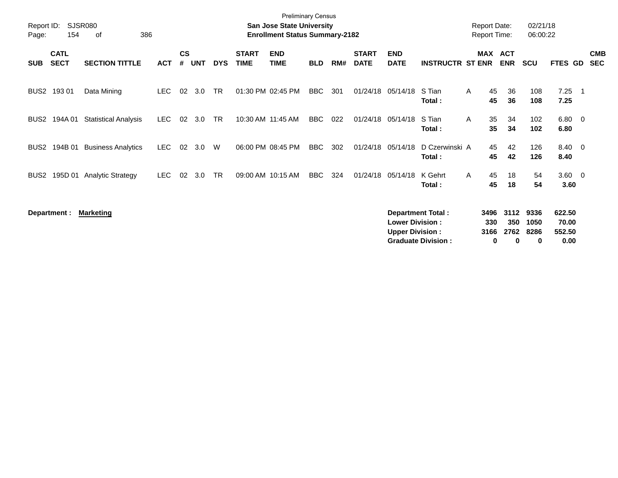| Report ID:<br>Page: | 154                        | SJSR080<br>386<br>οf        |            |                |            |            |                             | <b>Preliminary Census</b><br><b>San Jose State University</b><br><b>Enrollment Status Summary-2182</b> |            |     |                             |                                                  |                                                       |   | <b>Report Date:</b><br>Report Time: |                          | 02/21/18<br>06:00:22      |                                   |     |                          |
|---------------------|----------------------------|-----------------------------|------------|----------------|------------|------------|-----------------------------|--------------------------------------------------------------------------------------------------------|------------|-----|-----------------------------|--------------------------------------------------|-------------------------------------------------------|---|-------------------------------------|--------------------------|---------------------------|-----------------------------------|-----|--------------------------|
| <b>SUB</b>          | <b>CATL</b><br><b>SECT</b> | <b>SECTION TITTLE</b>       | <b>ACT</b> | <b>CS</b><br># | <b>UNT</b> | <b>DYS</b> | <b>START</b><br><b>TIME</b> | <b>END</b><br><b>TIME</b>                                                                              | <b>BLD</b> | RM# | <b>START</b><br><b>DATE</b> | <b>END</b><br><b>DATE</b>                        | <b>INSTRUCTR ST ENR</b>                               |   | MAX ACT                             | <b>ENR</b>               | <b>SCU</b>                | <b>FTES GD</b>                    |     | <b>CMB</b><br><b>SEC</b> |
|                     | BUS2 193 01                | Data Mining                 | LEC.       | 02             | 3.0        | TR         |                             | 01:30 PM 02:45 PM                                                                                      | BBC        | 301 |                             | 01/24/18 05/14/18                                | S Tian<br>Total:                                      | A | 45<br>45                            | 36<br>36                 | 108<br>108                | 7.25<br>7.25                      | - 1 |                          |
| BUS2                | 194A 01                    | <b>Statistical Analysis</b> | <b>LEC</b> | 02             | 3.0        | TR         |                             | 10:30 AM 11:45 AM                                                                                      | <b>BBC</b> | 022 | 01/24/18                    | 05/14/18                                         | S Tian<br>Total:                                      | A | 35<br>35                            | 34<br>34                 | 102<br>102                | $6.80\ 0$<br>6.80                 |     |                          |
| BUS2                | 194B 01                    | <b>Business Analytics</b>   | <b>LEC</b> | 02             | 3.0        | W          |                             | 06:00 PM 08:45 PM                                                                                      | <b>BBC</b> | 302 |                             | 01/24/18 05/14/18                                | D Czerwinski A<br>Total:                              |   | 45<br>45                            | 42<br>42                 | 126<br>126                | 8.40 0<br>8.40                    |     |                          |
| BUS2                | 195D 01                    | <b>Analytic Strategy</b>    | <b>LEC</b> | 02             | 3.0        | <b>TR</b>  |                             | 09:00 AM 10:15 AM                                                                                      | BBC        | 324 | 01/24/18                    | 05/14/18                                         | K Gehrt<br>Total:                                     | A | 45<br>45                            | 18<br>18                 | 54<br>54                  | $3.60 \quad 0$<br>3.60            |     |                          |
|                     | Department :               | <b>Marketing</b>            |            |                |            |            |                             |                                                                                                        |            |     |                             | <b>Lower Division:</b><br><b>Upper Division:</b> | <b>Department Total:</b><br><b>Graduate Division:</b> |   | 3496<br>330<br>3166<br>0            | 3112<br>350<br>2762<br>0 | 9336<br>1050<br>8286<br>0 | 622.50<br>70.00<br>552.50<br>0.00 |     |                          |